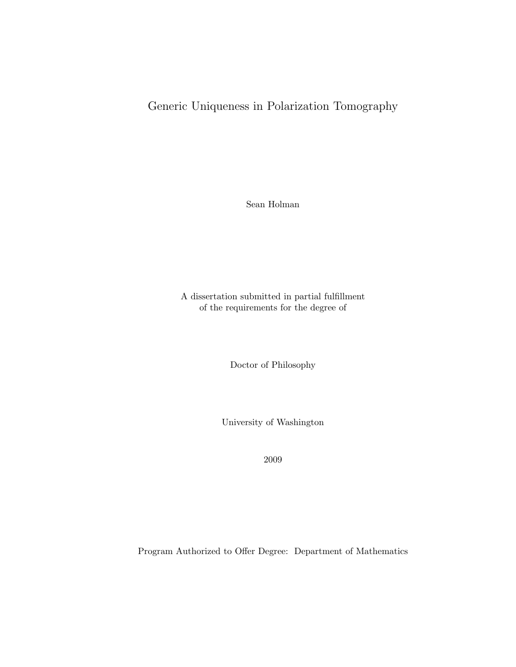# Generic Uniqueness in Polarization Tomography

Sean Holman

A dissertation submitted in partial fulfillment of the requirements for the degree of

Doctor of Philosophy

University of Washington

2009

Program Authorized to Offer Degree: Department of Mathematics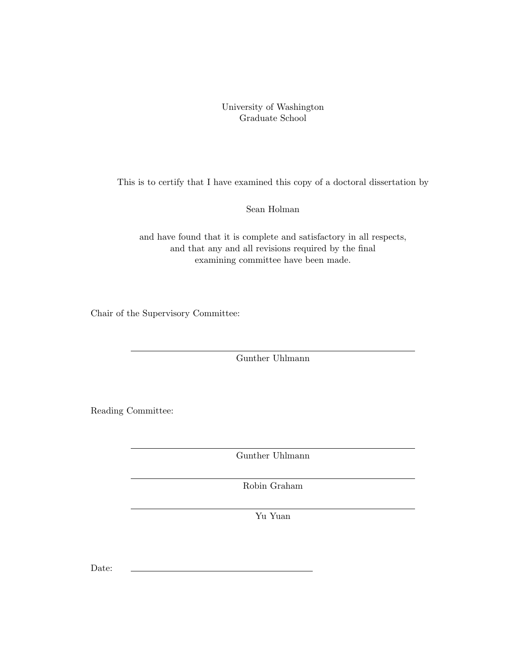University of Washington Graduate School

This is to certify that I have examined this copy of a doctoral dissertation by

Sean Holman

and have found that it is complete and satisfactory in all respects, and that any and all revisions required by the final examining committee have been made.

Chair of the Supervisory Committee:

Gunther Uhlmann

Reading Committee:

Gunther Uhlmann

Robin Graham

Yu Yuan

Date: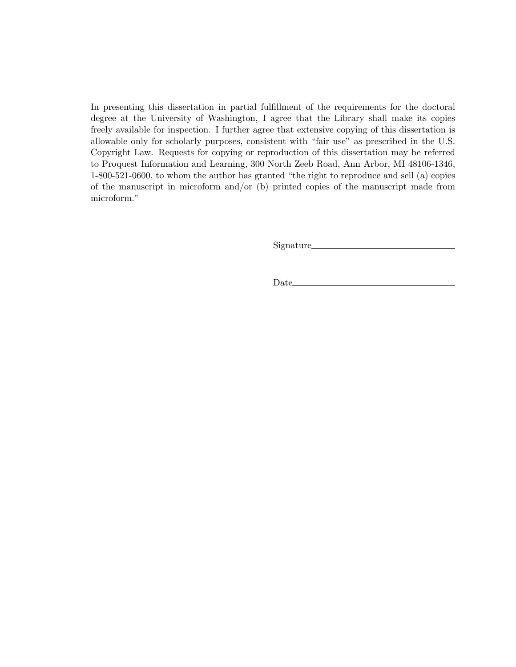In presenting this dissertation in partial fulfillment of the requirements for the doctoral degree at the University of Washington, I agree that the Library shall make its copies freely available for inspection. I further agree that extensive copying of this dissertation is allowable only for scholarly purposes, consistent with "fair use" as prescribed in the U.S. Copyright Law. Requests for copying or reproduction of this dissertation may be referred to Proquest Information and Learning, 300 North Zeeb Road, Ann Arbor, MI 48106-1346, 1-800-521-0600, to whom the author has granted "the right to reproduce and sell (a) copies of the manuscript in microform and/or (b) printed copies of the manuscript made from microform."

Signature

Date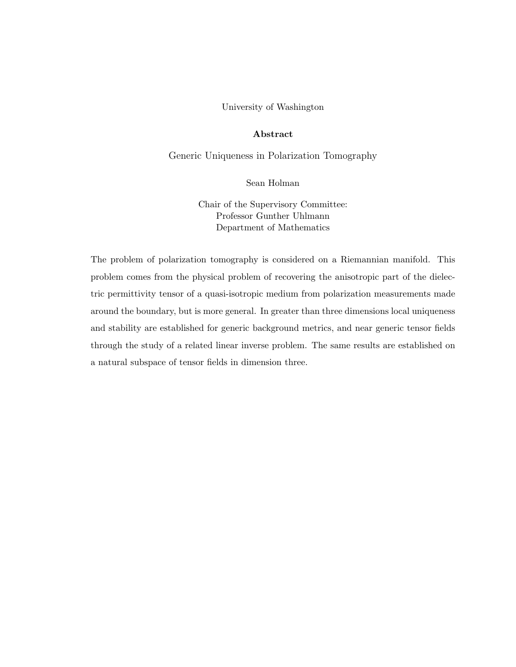#### University of Washington

### Abstract

Generic Uniqueness in Polarization Tomography

Sean Holman

Chair of the Supervisory Committee: Professor Gunther Uhlmann Department of Mathematics

The problem of polarization tomography is considered on a Riemannian manifold. This problem comes from the physical problem of recovering the anisotropic part of the dielectric permittivity tensor of a quasi-isotropic medium from polarization measurements made around the boundary, but is more general. In greater than three dimensions local uniqueness and stability are established for generic background metrics, and near generic tensor fields through the study of a related linear inverse problem. The same results are established on a natural subspace of tensor fields in dimension three.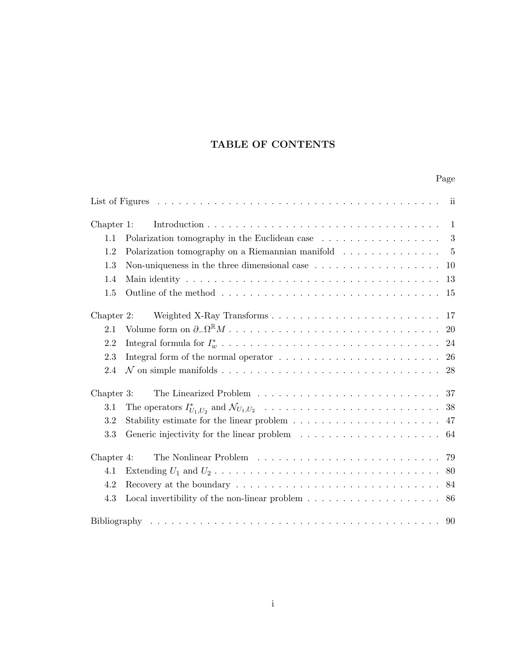## TABLE OF CONTENTS

## Page

| Chapter 1: | $\overline{1}$                                                                                  |  |
|------------|-------------------------------------------------------------------------------------------------|--|
| 1.1        | Polarization tomography in the Euclidean case $\ldots \ldots \ldots \ldots \ldots$ 3            |  |
| 1.2        | Polarization tomography on a Riemannian manifold $\dots \dots \dots \dots \dots$                |  |
| 1.3        | Non-uniqueness in the three dimensional case $\dots \dots \dots \dots \dots \dots \dots$<br>10  |  |
| 1.4        | 13                                                                                              |  |
| 1.5        | 15                                                                                              |  |
| Chapter 2: | Weighted X-Ray Transforms<br>17                                                                 |  |
| 2.1        | <b>20</b>                                                                                       |  |
| 2.2        | 24                                                                                              |  |
| 2.3        | 26                                                                                              |  |
| 2.4        | 28                                                                                              |  |
| Chapter 3: |                                                                                                 |  |
| 3.1        |                                                                                                 |  |
| 3.2        | 47                                                                                              |  |
| 3.3        | 64                                                                                              |  |
| Chapter 4: | 79                                                                                              |  |
| 4.1        | -80                                                                                             |  |
| 4.2        | 84                                                                                              |  |
| 4.3        | Local invertibility of the non-linear problem $\dots \dots \dots \dots \dots \dots \dots$<br>86 |  |
|            |                                                                                                 |  |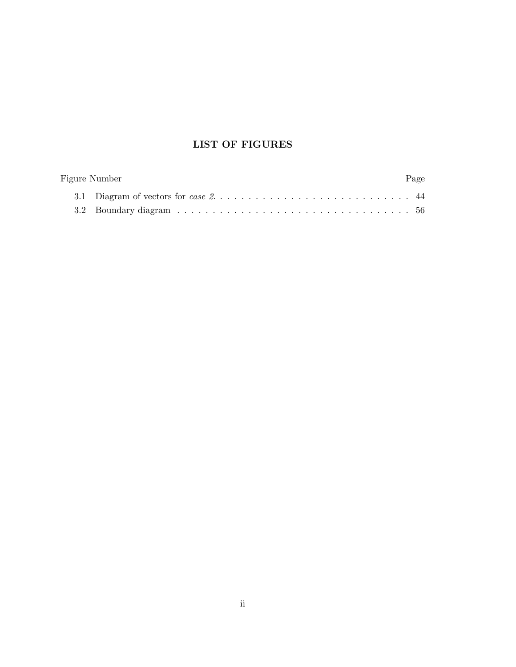# LIST OF FIGURES

| Figure Number | Page |
|---------------|------|
|               |      |
|               |      |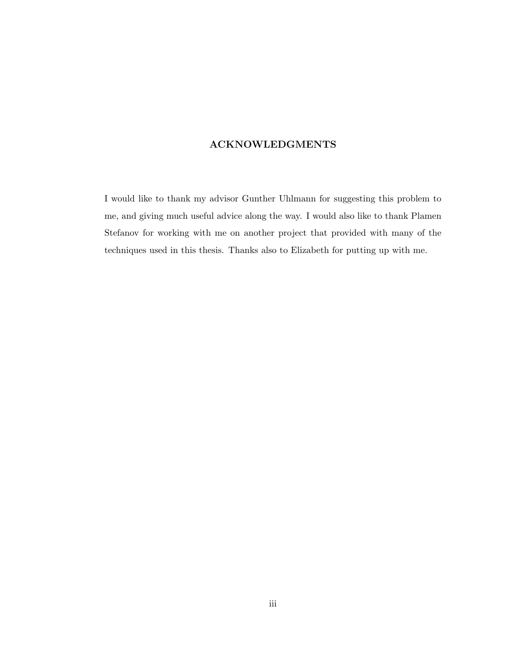### ACKNOWLEDGMENTS

I would like to thank my advisor Gunther Uhlmann for suggesting this problem to me, and giving much useful advice along the way. I would also like to thank Plamen Stefanov for working with me on another project that provided with many of the techniques used in this thesis. Thanks also to Elizabeth for putting up with me.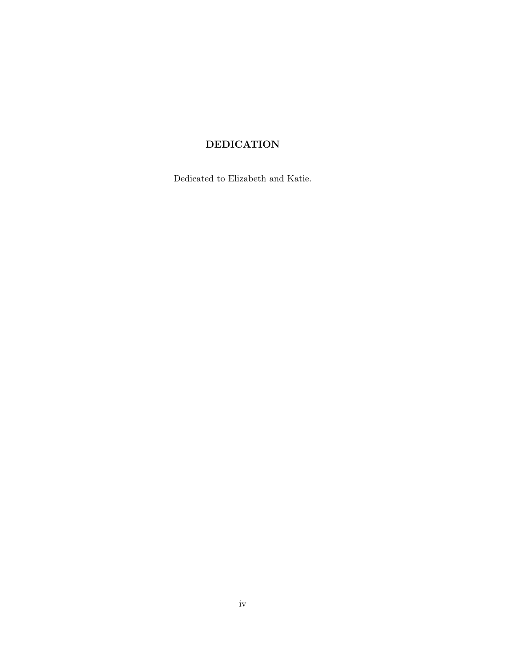## DEDICATION

Dedicated to Elizabeth and Katie.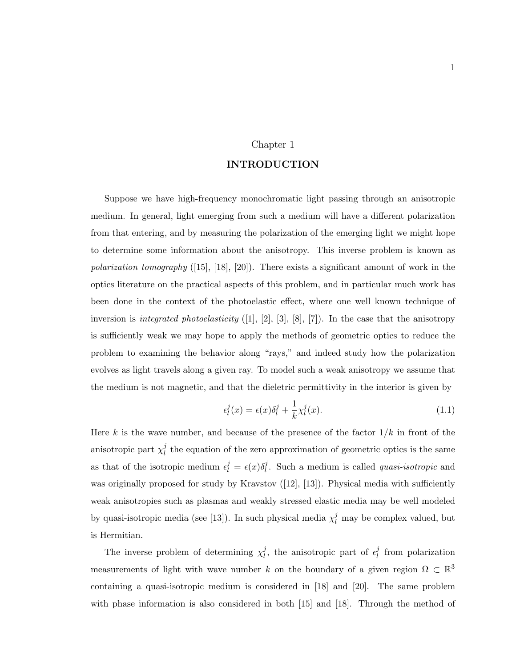### Chapter 1

### INTRODUCTION

Suppose we have high-frequency monochromatic light passing through an anisotropic medium. In general, light emerging from such a medium will have a different polarization from that entering, and by measuring the polarization of the emerging light we might hope to determine some information about the anisotropy. This inverse problem is known as polarization tomography  $(15]$ ,  $[18]$ ,  $[20]$ ). There exists a significant amount of work in the optics literature on the practical aspects of this problem, and in particular much work has been done in the context of the photoelastic effect, where one well known technique of inversion is *integrated photoelasticity* ([1], [2], [3], [8], [7]). In the case that the anisotropy is sufficiently weak we may hope to apply the methods of geometric optics to reduce the problem to examining the behavior along "rays," and indeed study how the polarization evolves as light travels along a given ray. To model such a weak anisotropy we assume that the medium is not magnetic, and that the dieletric permittivity in the interior is given by

$$
\epsilon_l^j(x) = \epsilon(x)\delta_l^j + \frac{1}{k}\chi_l^j(x). \tag{1.1}
$$

Here k is the wave number, and because of the presence of the factor  $1/k$  in front of the anisotropic part  $\chi_l^j$  $\ell_l^j$  the equation of the zero approximation of geometric optics is the same as that of the isotropic medium  $\epsilon_l^j = \epsilon(x)\delta_l^j$  $\ell_l^j$ . Such a medium is called *quasi-isotropic* and was originally proposed for study by Kravstov  $([12], [13])$ . Physical media with sufficiently weak anisotropies such as plasmas and weakly stressed elastic media may be well modeled by quasi-isotropic media (see [13]). In such physical media  $\chi_l^j$  may be complex valued, but is Hermitian.

The inverse problem of determining  $\chi_l^j$  $\mu_l^j$ , the anisotropic part of  $\epsilon_l^j$  $\ell$  from polarization measurements of light with wave number k on the boundary of a given region  $\Omega \subset \mathbb{R}^3$ containing a quasi-isotropic medium is considered in [18] and [20]. The same problem with phase information is also considered in both [15] and [18]. Through the method of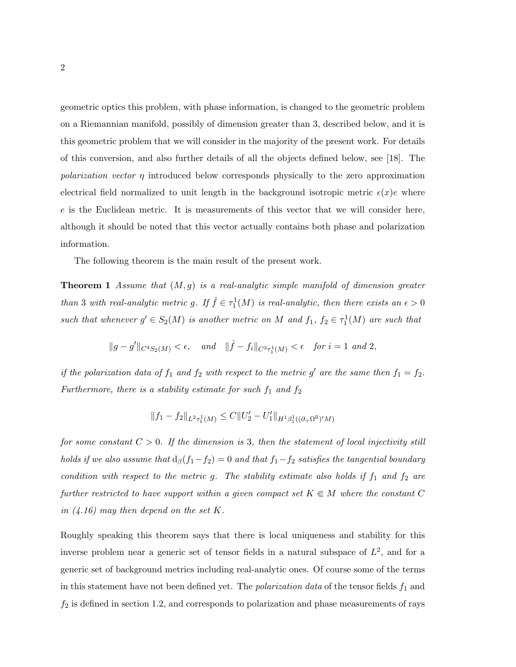geometric optics this problem, with phase information, is changed to the geometric problem on a Riemannian manifold, possibly of dimension greater than 3, described below, and it is this geometric problem that we will consider in the majority of the present work. For details of this conversion, and also further details of all the objects defined below, see [18]. The polarization vector  $\eta$  introduced below corresponds physically to the zero approximation electrical field normalized to unit length in the background isotropic metric  $\epsilon(x)e$  where e is the Euclidean metric. It is measurements of this vector that we will consider here, although it should be noted that this vector actually contains both phase and polarization information.

The following theorem is the main result of the present work.

**Theorem 1** Assume that  $(M, g)$  is a real-analytic simple manifold of dimension greater than 3 with real-analytic metric g. If  $\hat{f} \in \tau_1^1(M)$  is real-analytic, then there exists an  $\epsilon > 0$ such that whenever  $g' \in S_2(M)$  is another metric on M and  $f_1, f_2 \in \tau_1^1(M)$  are such that

$$
||g - g'||_{C^4S_2(M)} < \epsilon
$$
, and  $||\hat{f} - f_i||_{C^3\tau_1^1(M)} < \epsilon$  for  $i = 1$  and 2,

if the polarization data of  $f_1$  and  $f_2$  with respect to the metric g' are the same then  $f_1 = f_2$ . Furthermore, there is a stability estimate for such  $f_1$  and  $f_2$ 

$$
||f_1 - f_2||_{L^2 \tau_1^1(M)} \leq C||U'_2 - U'_1||_{H^1 \beta_1^1((\partial_+ \Omega^{\mathbb{R}})^\prime M)}
$$

for some constant  $C > 0$ . If the dimension is 3, then the statement of local injectivity still holds if we also assume that  $d_{\beta}(f_1-f_2) = 0$  and that  $f_1-f_2$  satisfies the tangential boundary condition with respect to the metric g. The stability estimate also holds if  $f_1$  and  $f_2$  are further restricted to have support within a given compact set  $K \subseteq M$  where the constant C in  $(4.16)$  may then depend on the set K.

Roughly speaking this theorem says that there is local uniqueness and stability for this inverse problem near a generic set of tensor fields in a natural subspace of  $L^2$ , and for a generic set of background metrics including real-analytic ones. Of course some of the terms in this statement have not been defined yet. The *polarization data* of the tensor fields  $f_1$  and  $f_2$  is defined in section 1.2, and corresponds to polarization and phase measurements of rays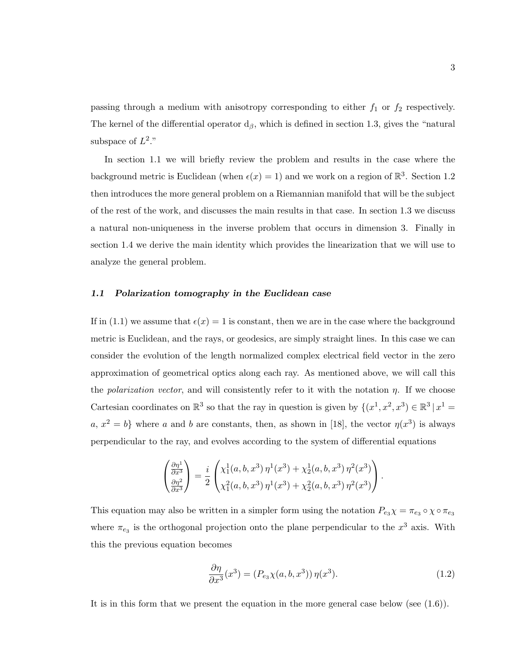passing through a medium with anisotropy corresponding to either  $f_1$  or  $f_2$  respectively. The kernel of the differential operator  $d_{\beta}$ , which is defined in section 1.3, gives the "natural" subspace of  $L^2$ ."

In section 1.1 we will briefly review the problem and results in the case where the background metric is Euclidean (when  $\epsilon(x) = 1$ ) and we work on a region of  $\mathbb{R}^3$ . Section 1.2 then introduces the more general problem on a Riemannian manifold that will be the subject of the rest of the work, and discusses the main results in that case. In section 1.3 we discuss a natural non-uniqueness in the inverse problem that occurs in dimension 3. Finally in section 1.4 we derive the main identity which provides the linearization that we will use to analyze the general problem.

#### 1.1 Polarization tomography in the Euclidean case

If in (1.1) we assume that  $\epsilon(x) = 1$  is constant, then we are in the case where the background metric is Euclidean, and the rays, or geodesics, are simply straight lines. In this case we can consider the evolution of the length normalized complex electrical field vector in the zero approximation of geometrical optics along each ray. As mentioned above, we will call this the *polarization vector*, and will consistently refer to it with the notation  $\eta$ . If we choose Cartesian coordinates on  $\mathbb{R}^3$  so that the ray in question is given by  $\{(x^1, x^2, x^3) \in \mathbb{R}^3 | x^1 =$  $a, x^2 = b$  where a and b are constants, then, as shown in [18], the vector  $\eta(x^3)$  is always perpendicular to the ray, and evolves according to the system of differential equations

$$
\begin{pmatrix}\n\frac{\partial \eta^1}{\partial x^3} \\
\frac{\partial \eta^2}{\partial x^3}\n\end{pmatrix} = \frac{i}{2} \begin{pmatrix}\n\chi_1^1(a, b, x^3) \eta^1(x^3) + \chi_2^1(a, b, x^3) \eta^2(x^3) \\
\chi_1^2(a, b, x^3) \eta^1(x^3) + \chi_2^2(a, b, x^3) \eta^2(x^3)\n\end{pmatrix}.
$$

This equation may also be written in a simpler form using the notation  $P_{e_3}\chi = \pi_{e_3} \circ \chi \circ \pi_{e_3}$ where  $\pi_{e_3}$  is the orthogonal projection onto the plane perpendicular to the  $x^3$  axis. With this the previous equation becomes

$$
\frac{\partial \eta}{\partial x^3}(x^3) = (P_{e_3}\chi(a,b,x^3))\eta(x^3). \tag{1.2}
$$

It is in this form that we present the equation in the more general case below (see (1.6)).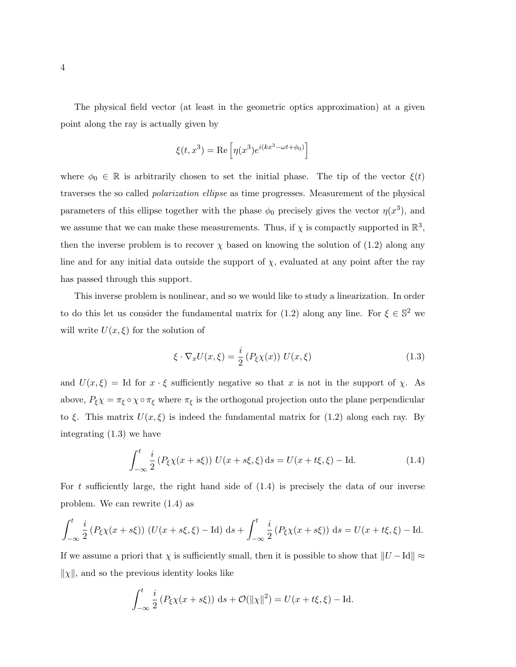The physical field vector (at least in the geometric optics approximation) at a given point along the ray is actually given by

$$
\xi(t, x^3) = \text{Re}\left[\eta(x^3)e^{i(kx^3 - \omega t + \phi_0)}\right]
$$

where  $\phi_0 \in \mathbb{R}$  is arbitrarily chosen to set the initial phase. The tip of the vector  $\xi(t)$ traverses the so called polarization ellipse as time progresses. Measurement of the physical parameters of this ellipse together with the phase  $\phi_0$  precisely gives the vector  $\eta(x^3)$ , and we assume that we can make these measurements. Thus, if  $\chi$  is compactly supported in  $\mathbb{R}^3$ , then the inverse problem is to recover  $\chi$  based on knowing the solution of (1.2) along any line and for any initial data outside the support of  $\chi$ , evaluated at any point after the ray has passed through this support.

This inverse problem is nonlinear, and so we would like to study a linearization. In order to do this let us consider the fundamental matrix for (1.2) along any line. For  $\xi \in \mathbb{S}^2$  we will write  $U(x,\xi)$  for the solution of

$$
\xi \cdot \nabla_x U(x,\xi) = \frac{i}{2} \left( P_\xi \chi(x) \right) \, U(x,\xi) \tag{1.3}
$$

and  $U(x,\xi) = \text{Id}$  for  $x \cdot \xi$  sufficiently negative so that x is not in the support of  $\chi$ . As above,  $P_{\xi}\chi = \pi_{\xi} \circ \chi \circ \pi_{\xi}$  where  $\pi_{\xi}$  is the orthogonal projection onto the plane perpendicular to  $\xi$ . This matrix  $U(x,\xi)$  is indeed the fundamental matrix for (1.2) along each ray. By integrating (1.3) we have

$$
\int_{-\infty}^{t} \frac{i}{2} \left( P_{\xi} \chi(x + s\xi) \right) U(x + s\xi, \xi) \, \mathrm{d}s = U(x + t\xi, \xi) - \mathrm{Id}.\tag{1.4}
$$

For t sufficiently large, the right hand side of  $(1.4)$  is precisely the data of our inverse problem. We can rewrite (1.4) as

$$
\int_{-\infty}^{t} \frac{i}{2} (P_{\xi} \chi(x+s\xi)) (U(x+s\xi, \xi) - \text{Id}) ds + \int_{-\infty}^{t} \frac{i}{2} (P_{\xi} \chi(x+s\xi)) ds = U(x+t\xi, \xi) - \text{Id}.
$$

If we assume a priori that  $\chi$  is sufficiently small, then it is possible to show that  $||U - Id|| \approx$  $\|\chi\|$ , and so the previous identity looks like

$$
\int_{-\infty}^{t} \frac{i}{2} (P_{\xi} \chi(x + s\xi)) ds + \mathcal{O}(\|\chi\|^{2}) = U(x + t\xi, \xi) - \text{Id}.
$$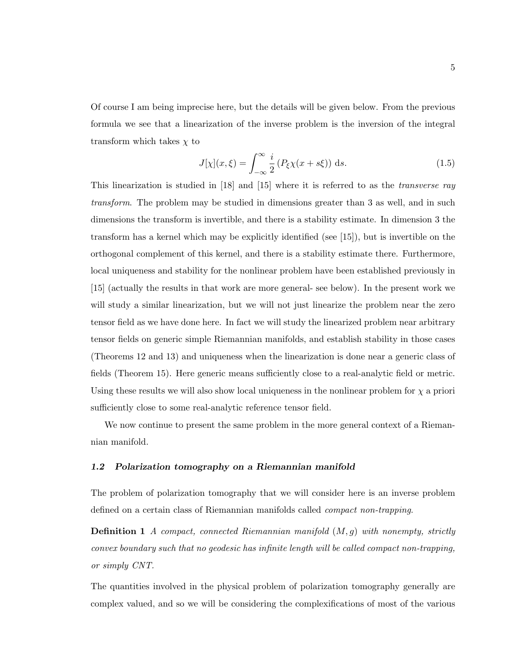Of course I am being imprecise here, but the details will be given below. From the previous formula we see that a linearization of the inverse problem is the inversion of the integral transform which takes  $\chi$  to

$$
J[\chi](x,\xi) = \int_{-\infty}^{\infty} \frac{i}{2} \left( P_{\xi} \chi(x+s\xi) \right) \, \mathrm{d}s. \tag{1.5}
$$

This linearization is studied in [18] and [15] where it is referred to as the transverse ray transform. The problem may be studied in dimensions greater than 3 as well, and in such dimensions the transform is invertible, and there is a stability estimate. In dimension 3 the transform has a kernel which may be explicitly identified (see [15]), but is invertible on the orthogonal complement of this kernel, and there is a stability estimate there. Furthermore, local uniqueness and stability for the nonlinear problem have been established previously in [15] (actually the results in that work are more general- see below). In the present work we will study a similar linearization, but we will not just linearize the problem near the zero tensor field as we have done here. In fact we will study the linearized problem near arbitrary tensor fields on generic simple Riemannian manifolds, and establish stability in those cases (Theorems 12 and 13) and uniqueness when the linearization is done near a generic class of fields (Theorem 15). Here generic means sufficiently close to a real-analytic field or metric. Using these results we will also show local uniqueness in the nonlinear problem for  $\chi$  a priori sufficiently close to some real-analytic reference tensor field.

We now continue to present the same problem in the more general context of a Riemannian manifold.

#### 1.2 Polarization tomography on a Riemannian manifold

The problem of polarization tomography that we will consider here is an inverse problem defined on a certain class of Riemannian manifolds called compact non-trapping.

**Definition 1** A compact, connected Riemannian manifold  $(M, g)$  with nonempty, strictly convex boundary such that no geodesic has infinite length will be called compact non-trapping, or simply CNT.

The quantities involved in the physical problem of polarization tomography generally are complex valued, and so we will be considering the complexifications of most of the various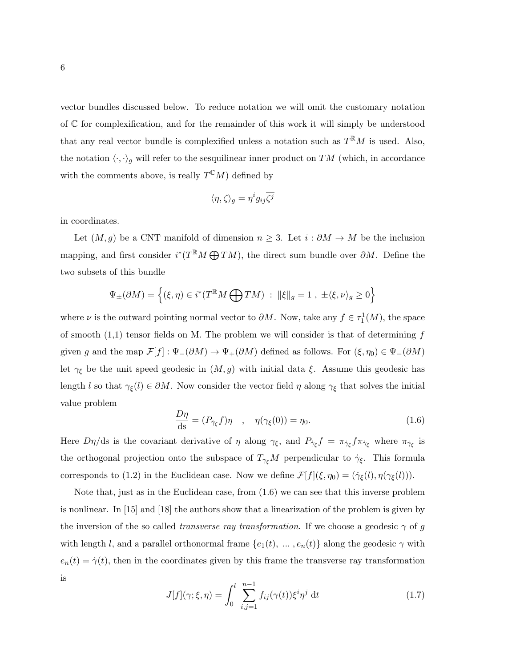vector bundles discussed below. To reduce notation we will omit the customary notation of C for complexification, and for the remainder of this work it will simply be understood that any real vector bundle is complexified unless a notation such as  $T^{R}M$  is used. Also, the notation  $\langle \cdot, \cdot \rangle_g$  will refer to the sesquilinear inner product on TM (which, in accordance with the comments above, is really  $T^{\mathbb{C}}M$ ) defined by

$$
\langle \eta, \zeta \rangle_g = \eta^i g_{ij} \overline{\zeta^j}
$$

in coordinates.

Let  $(M, g)$  be a CNT manifold of dimension  $n \geq 3$ . Let  $i : \partial M \to M$  be the inclusion mapping, and first consider  $i^*(T^{\mathbb{R}}M \bigoplus TM)$ , the direct sum bundle over  $\partial M$ . Define the two subsets of this bundle

$$
\Psi_{\pm}(\partial M) = \left\{ (\xi, \eta) \in i^*(T^{\mathbb{R}}M \bigoplus TM) \; : \; \|\xi\|_g = 1 \; , \; \pm \langle \xi, \nu \rangle_g \ge 0 \right\}
$$

where  $\nu$  is the outward pointing normal vector to  $\partial M$ . Now, take any  $f \in \tau_1^1(M)$ , the space of smooth  $(1,1)$  tensor fields on M. The problem we will consider is that of determining f given g and the map  $\mathcal{F}[f]: \Psi_-(\partial M) \to \Psi_+(\partial M)$  defined as follows. For  $(\xi, \eta_0) \in \Psi_-(\partial M)$ let  $\gamma_{\xi}$  be the unit speed geodesic in  $(M, g)$  with initial data  $\xi$ . Assume this geodesic has length l so that  $\gamma_{\xi}(l) \in \partial M$ . Now consider the vector field  $\eta$  along  $\gamma_{\xi}$  that solves the initial value problem

$$
\frac{D\eta}{\text{ds}} = (P_{\dot{\gamma}_{\xi}}f)\eta \quad , \quad \eta(\gamma_{\xi}(0)) = \eta_0. \tag{1.6}
$$

Here  $D\eta/\text{ds}$  is the covariant derivative of  $\eta$  along  $\gamma_{\xi}$ , and  $P_{\gamma_{\xi}}f = \pi_{\gamma_{\xi}}f\pi_{\gamma_{\xi}}$  where  $\pi_{\gamma_{\xi}}$  is the orthogonal projection onto the subspace of  $T_{\gamma_{\xi}}M$  perpendicular to  $\dot{\gamma}_{\xi}$ . This formula corresponds to (1.2) in the Euclidean case. Now we define  $\mathcal{F}[f](\xi, \eta_0) = (\dot{\gamma}_{\xi}(l), \eta(\gamma_{\xi}(l))).$ 

Note that, just as in the Euclidean case, from (1.6) we can see that this inverse problem is nonlinear. In [15] and [18] the authors show that a linearization of the problem is given by the inversion of the so called *transverse ray transformation*. If we choose a geodesic  $\gamma$  of g with length l, and a parallel orthonormal frame  $\{e_1(t), \ldots, e_n(t)\}$  along the geodesic  $\gamma$  with  $e_n(t) = \dot{\gamma}(t)$ , then in the coordinates given by this frame the transverse ray transformation is

$$
J[f](\gamma;\xi,\eta) = \int_0^l \sum_{i,j=1}^{n-1} f_{ij}(\gamma(t))\xi^i \eta^j dt \qquad (1.7)
$$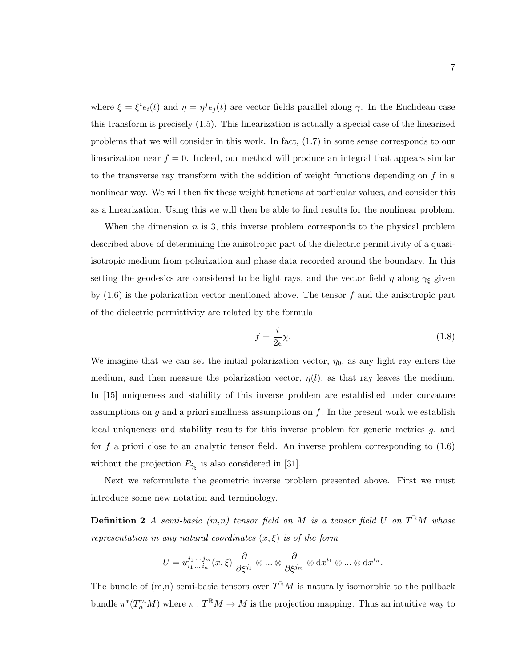where  $\xi = \xi^i e_i(t)$  and  $\eta = \eta^j e_j(t)$  are vector fields parallel along  $\gamma$ . In the Euclidean case this transform is precisely (1.5). This linearization is actually a special case of the linearized problems that we will consider in this work. In fact, (1.7) in some sense corresponds to our linearization near  $f = 0$ . Indeed, our method will produce an integral that appears similar to the transverse ray transform with the addition of weight functions depending on  $f$  in a nonlinear way. We will then fix these weight functions at particular values, and consider this as a linearization. Using this we will then be able to find results for the nonlinear problem.

When the dimension  $n$  is 3, this inverse problem corresponds to the physical problem described above of determining the anisotropic part of the dielectric permittivity of a quasiisotropic medium from polarization and phase data recorded around the boundary. In this setting the geodesics are considered to be light rays, and the vector field  $\eta$  along  $\gamma_{\xi}$  given by  $(1.6)$  is the polarization vector mentioned above. The tensor f and the anisotropic part of the dielectric permittivity are related by the formula

$$
f = \frac{i}{2\epsilon}\chi.
$$
 (1.8)

We imagine that we can set the initial polarization vector,  $\eta_0$ , as any light ray enters the medium, and then measure the polarization vector,  $\eta(l)$ , as that ray leaves the medium. In [15] uniqueness and stability of this inverse problem are established under curvature assumptions on  $g$  and a priori smallness assumptions on  $f$ . In the present work we establish local uniqueness and stability results for this inverse problem for generic metrics g, and for f a priori close to an analytic tensor field. An inverse problem corresponding to  $(1.6)$ without the projection  $P_{\dot{\gamma}_{\xi}}$  is also considered in [31].

Next we reformulate the geometric inverse problem presented above. First we must introduce some new notation and terminology.

**Definition 2** A semi-basic  $(m,n)$  tensor field on M is a tensor field U on  $T^{\mathbb{R}}M$  whose representation in any natural coordinates  $(x, \xi)$  is of the form

$$
U=u_{i_1\,\ldots\,i_n}^{j_1\,\ldots\,j_m}(x,\xi)\; \frac{\partial}{\partial\xi^{j_1}}\otimes\ldots\otimes \frac{\partial}{\partial\xi^{j_m}}\otimes \mathrm{d} x^{i_1}\otimes\ldots\otimes \mathrm{d} x^{i_n}.
$$

The bundle of  $(m,n)$  semi-basic tensors over  $T^{R}M$  is naturally isomorphic to the pullback bundle  $\pi^*(T_n^mM)$  where  $\pi: T^{\mathbb{R}}M \to M$  is the projection mapping. Thus an intuitive way to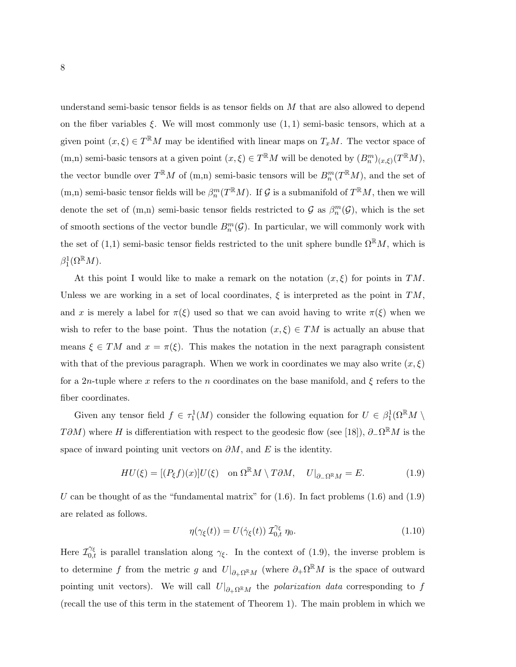understand semi-basic tensor fields is as tensor fields on M that are also allowed to depend on the fiber variables  $\xi$ . We will most commonly use  $(1, 1)$  semi-basic tensors, which at a given point  $(x,\xi) \in T^{\mathbb{R}}M$  may be identified with linear maps on  $T_xM$ . The vector space of (m,n) semi-basic tensors at a given point  $(x,\xi) \in T^{\mathbb{R}}M$  will be denoted by  $(B_n^m)_{(x,\xi)}(T^{\mathbb{R}}M)$ , the vector bundle over  $T^{\mathbb{R}}M$  of  $(m,n)$  semi-basic tensors will be  $B_n^m(T^{\mathbb{R}}M)$ , and the set of (m,n) semi-basic tensor fields will be  $\beta_n^m(T^{\mathbb{R}}M)$ . If G is a submanifold of  $T^{\mathbb{R}}M$ , then we will denote the set of  $(m,n)$  semi-basic tensor fields restricted to  $\mathcal G$  as  $\beta_n^m(\mathcal G)$ , which is the set of smooth sections of the vector bundle  $B_n^m(G)$ . In particular, we will commonly work with the set of (1,1) semi-basic tensor fields restricted to the unit sphere bundle  $\Omega^{\mathbb{R}}M$ , which is  $\beta_1^1(\Omega^{\R}M)$ .

At this point I would like to make a remark on the notation  $(x,\xi)$  for points in TM. Unless we are working in a set of local coordinates,  $\xi$  is interpreted as the point in TM, and x is merely a label for  $\pi(\xi)$  used so that we can avoid having to write  $\pi(\xi)$  when we wish to refer to the base point. Thus the notation  $(x, \xi) \in TM$  is actually an abuse that means  $\xi \in TM$  and  $x = \pi(\xi)$ . This makes the notation in the next paragraph consistent with that of the previous paragraph. When we work in coordinates we may also write  $(x, \xi)$ for a 2n-tuple where x refers to the n coordinates on the base manifold, and  $\xi$  refers to the fiber coordinates.

Given any tensor field  $f \in \tau_1^1(M)$  consider the following equation for  $U \in \beta_1^1(\Omega^{\mathbb{R}}M \setminus$ T $\partial M$ ) where H is differentiation with respect to the geodesic flow (see [18]),  $\partial_-\Omega^{\mathbb{R}}M$  is the space of inward pointing unit vectors on  $\partial M$ , and E is the identity.

$$
HU(\xi) = [(P_{\xi}f)(x)]U(\xi) \quad \text{on } \Omega^{\mathbb{R}}M \setminus T\partial M, \quad U|_{\partial_{-\Omega} \mathbb{R}}M = E. \tag{1.9}
$$

U can be thought of as the "fundamental matrix" for  $(1.6)$ . In fact problems  $(1.6)$  and  $(1.9)$ are related as follows.

$$
\eta(\gamma_{\xi}(t)) = U(\dot{\gamma}_{\xi}(t)) \mathcal{I}_{0,t}^{\gamma_{\xi}} \eta_{0}. \qquad (1.10)
$$

Here  $\mathcal{I}_{0,t}^{\gamma_{\xi}}$  is parallel translation along  $\gamma_{\xi}$ . In the context of (1.9), the inverse problem is to determine f from the metric g and  $U|_{\partial_{+}\Omega^{\mathbb{R}}M}$  (where  $\partial_{+}\Omega^{\mathbb{R}}M$  is the space of outward pointing unit vectors). We will call  $U|_{\partial_{+}\Omega^{R}M}$  the *polarization data* corresponding to f (recall the use of this term in the statement of Theorem 1). The main problem in which we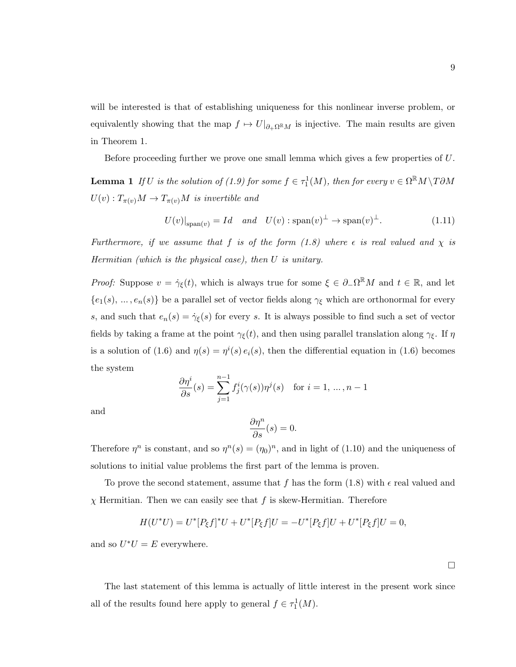will be interested is that of establishing uniqueness for this nonlinear inverse problem, or equivalently showing that the map  $f \mapsto U|_{\partial_{+}\Omega^{R}M}$  is injective. The main results are given in Theorem 1.

Before proceeding further we prove one small lemma which gives a few properties of U.

**Lemma 1** If U is the solution of (1.9) for some  $f \in \tau_1^1(M)$ , then for every  $v \in \Omega^{\mathbb{R}}M \setminus T\partial M$  $U(v) : T_{\pi(v)}M \to T_{\pi(v)}M$  is invertible and

$$
U(v)|_{\text{span}(v)} = Id \quad and \quad U(v) : \text{span}(v)^{\perp} \to \text{span}(v)^{\perp}.
$$
 (1.11)

Furthermore, if we assume that f is of the form  $(1.8)$  where  $\epsilon$  is real valued and  $\chi$  is Hermitian (which is the physical case), then U is unitary.

*Proof:* Suppose  $v = \dot{\gamma}_{\xi}(t)$ , which is always true for some  $\xi \in \partial_{-}\Omega^{\mathbb{R}}M$  and  $t \in \mathbb{R}$ , and let  ${e_1(s), ..., e_n(s)}$  be a parallel set of vector fields along  $\gamma_{\xi}$  which are orthonormal for every s, and such that  $e_n(s) = \dot{\gamma}_{\xi}(s)$  for every s. It is always possible to find such a set of vector fields by taking a frame at the point  $\gamma_{\xi}(t)$ , and then using parallel translation along  $\gamma_{\xi}$ . If  $\eta$ is a solution of (1.6) and  $\eta(s) = \eta^{i}(s) e_i(s)$ , then the differential equation in (1.6) becomes the system

$$
\frac{\partial \eta^i}{\partial s}(s) = \sum_{j=1}^{n-1} f_j^i(\gamma(s)) \eta^j(s) \quad \text{for } i = 1, \dots, n-1
$$

and

$$
\frac{\partial \eta^n}{\partial s}(s) = 0.
$$

Therefore  $\eta^n$  is constant, and so  $\eta^n(s) = (\eta_0)^n$ , and in light of (1.10) and the uniqueness of solutions to initial value problems the first part of the lemma is proven.

To prove the second statement, assume that f has the form  $(1.8)$  with  $\epsilon$  real valued and  $\chi$  Hermitian. Then we can easily see that f is skew-Hermitian. Therefore

$$
H(U^*U) = U^*[P_{\xi}f]^*U + U^*[P_{\xi}f]U = -U^*[P_{\xi}f]U + U^*[P_{\xi}f]U = 0,
$$

and so  $U^*U = E$  everywhere.

The last statement of this lemma is actually of little interest in the present work since all of the results found here apply to general  $f \in \tau_1^1(M)$ .

 $\Box$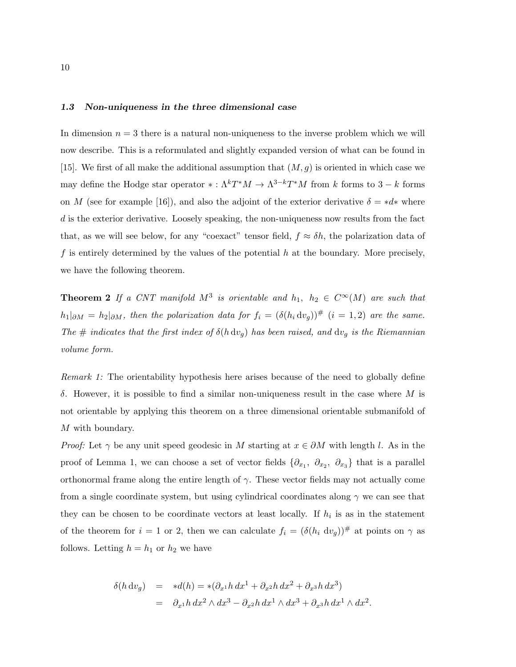### 1.3 Non-uniqueness in the three dimensional case

In dimension  $n = 3$  there is a natural non-uniqueness to the inverse problem which we will now describe. This is a reformulated and slightly expanded version of what can be found in [15]. We first of all make the additional assumption that  $(M, g)$  is oriented in which case we may define the Hodge star operator  $*: \Lambda^k T^*M \to \Lambda^{3-k} T^*M$  from k forms to  $3-k$  forms on M (see for example [16]), and also the adjoint of the exterior derivative  $\delta = *d*$  where d is the exterior derivative. Loosely speaking, the non-uniqueness now results from the fact that, as we will see below, for any "coexact" tensor field,  $f \approx \delta h$ , the polarization data of f is entirely determined by the values of the potential h at the boundary. More precisely, we have the following theorem.

**Theorem 2** If a CNT manifold  $M^3$  is orientable and  $h_1$ ,  $h_2 \in C^{\infty}(M)$  are such that  $h_1|_{\partial M} = h_2|_{\partial M}$ , then the polarization data for  $f_i = (\delta(h_i \, dv_g))^{\#}$   $(i = 1, 2)$  are the same. The # indicates that the first index of  $\delta(h dv_g)$  has been raised, and  $dv_g$  is the Riemannian volume form.

Remark 1: The orientability hypothesis here arises because of the need to globally define δ. However, it is possible to find a similar non-uniqueness result in the case where M is not orientable by applying this theorem on a three dimensional orientable submanifold of M with boundary.

*Proof:* Let  $\gamma$  be any unit speed geodesic in M starting at  $x \in \partial M$  with length l. As in the proof of Lemma 1, we can choose a set of vector fields  $\{\partial_{x_1}, \partial_{x_2}, \partial_{x_3}\}\$  that is a parallel orthonormal frame along the entire length of  $\gamma$ . These vector fields may not actually come from a single coordinate system, but using cylindrical coordinates along  $\gamma$  we can see that they can be chosen to be coordinate vectors at least locally. If  $h_i$  is as in the statement of the theorem for  $i = 1$  or 2, then we can calculate  $f_i = (\delta(h_i \, dv_g))^{\#}$  at points on  $\gamma$  as follows. Letting  $h = h_1$  or  $h_2$  we have

$$
\delta(h dv_g) = *d(h) = *(\partial_{x^1} h dx^1 + \partial_{x^2} h dx^2 + \partial_{x^3} h dx^3)
$$
  
= 
$$
\partial_{x^1} h dx^2 \wedge dx^3 - \partial_{x^2} h dx^1 \wedge dx^3 + \partial_{x^3} h dx^1 \wedge dx^2.
$$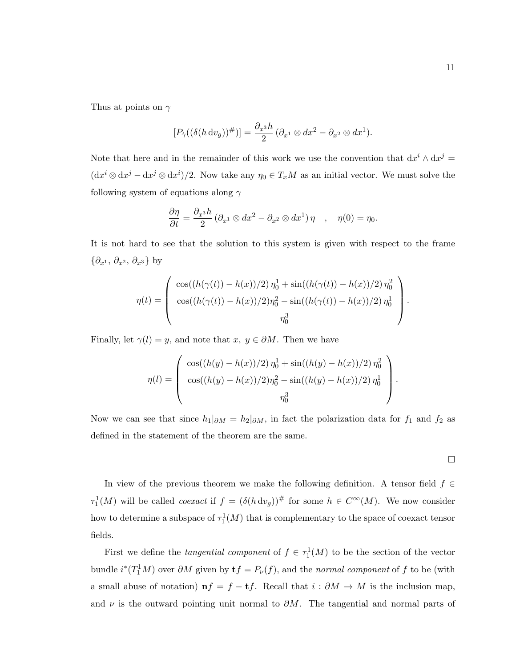Thus at points on  $\gamma$ 

$$
[P_{\dot{\gamma}}((\delta(h \, \mathrm{d} v_g))^{\#})] = \frac{\partial_{x^3}h}{2} (\partial_{x^1} \otimes dx^2 - \partial_{x^2} \otimes dx^1).
$$

Note that here and in the remainder of this work we use the convention that  $dx^{i} \wedge dx^{j} =$  $(\mathrm{d} x^i \otimes \mathrm{d} x^j - \mathrm{d} x^j \otimes \mathrm{d} x^i)/2$ . Now take any  $\eta_0 \in T_xM$  as an initial vector. We must solve the following system of equations along  $\gamma$ 

$$
\frac{\partial \eta}{\partial t} = \frac{\partial_{x^3} h}{2} \left( \partial_{x^1} \otimes dx^2 - \partial_{x^2} \otimes dx^1 \right) \eta \quad , \quad \eta(0) = \eta_0.
$$

It is not hard to see that the solution to this system is given with respect to the frame  $\{\partial_{x^1}, \partial_{x^2}, \partial_{x^3}\}\$  by

$$
\eta(t) = \begin{pmatrix} \cos((h(\gamma(t)) - h(x))/2) \eta_0^1 + \sin((h(\gamma(t)) - h(x))/2) \eta_0^2 \\ \cos((h(\gamma(t)) - h(x))/2) \eta_0^2 - \sin((h(\gamma(t)) - h(x))/2) \eta_0^1 \\ \eta_0^3 \end{pmatrix}.
$$

Finally, let  $\gamma(l) = y$ , and note that  $x, y \in \partial M$ . Then we have

$$
\eta(l) = \begin{pmatrix} \cos((h(y) - h(x))/2) \eta_0^1 + \sin((h(y) - h(x))/2) \eta_0^2 \\ \cos((h(y) - h(x))/2) \eta_0^2 - \sin((h(y) - h(x))/2) \eta_0^1 \\ \eta_0^3 \end{pmatrix}.
$$

Now we can see that since  $h_1|_{\partial M} = h_2|_{\partial M}$ , in fact the polarization data for  $f_1$  and  $f_2$  as defined in the statement of the theorem are the same.

$$
\Box
$$

In view of the previous theorem we make the following definition. A tensor field  $f \in$  $\tau_1^1(M)$  will be called *coexact* if  $f = (\delta(h \, dv_g))^{\#}$  for some  $h \in C^{\infty}(M)$ . We now consider how to determine a subspace of  $\tau_1^1(M)$  that is complementary to the space of coexact tensor fields.

First we define the *tangential component* of  $f \in \tau_1^1(M)$  to be the section of the vector bundle  $i^*(T_1^1M)$  over  $\partial M$  given by  $\mathbf{t}f = P_{\nu}(f)$ , and the normal component of f to be (with a small abuse of notation)  $nf = f - tf$ . Recall that  $i : \partial M \to M$  is the inclusion map, and  $\nu$  is the outward pointing unit normal to  $\partial M$ . The tangential and normal parts of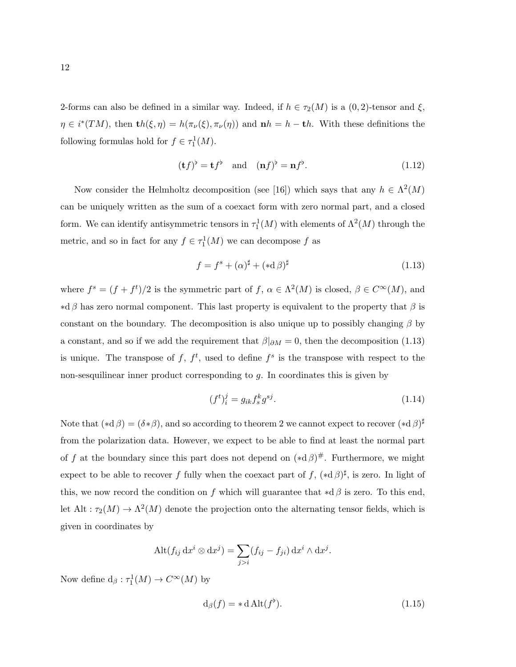2-forms can also be defined in a similar way. Indeed, if  $h \in \tau_2(M)$  is a  $(0, 2)$ -tensor and  $\xi$ ,  $\eta \in i^*(TM)$ , then  $\mathbf{t}h(\xi,\eta) = h(\pi_\nu(\xi),\pi_\nu(\eta))$  and  $\mathbf{n}h = h - \mathbf{t}h$ . With these definitions the following formulas hold for  $f \in \tau_1^1(M)$ .

$$
(\mathbf{t}f)^{\flat} = \mathbf{t}f^{\flat} \quad \text{and} \quad (\mathbf{n}f)^{\flat} = \mathbf{n}f^{\flat}.\tag{1.12}
$$

Now consider the Helmholtz decomposition (see [16]) which says that any  $h \in \Lambda^2(M)$ can be uniquely written as the sum of a coexact form with zero normal part, and a closed form. We can identify antisymmetric tensors in  $\tau_1^1(M)$  with elements of  $\Lambda^2(M)$  through the metric, and so in fact for any  $f \in \tau_1^1(M)$  we can decompose f as

$$
f = f^s + (\alpha)^\sharp + (*d\beta)^\sharp \tag{1.13}
$$

where  $f^s = (f + f^t)/2$  is the symmetric part of  $f, \alpha \in \Lambda^2(M)$  is closed,  $\beta \in C^{\infty}(M)$ , and  $*d\beta$  has zero normal component. This last property is equivalent to the property that  $\beta$  is constant on the boundary. The decomposition is also unique up to possibly changing  $\beta$  by a constant, and so if we add the requirement that  $\beta|_{\partial M} = 0$ , then the decomposition (1.13) is unique. The transpose of f,  $f^t$ , used to define  $f^s$  is the transpose with respect to the non-sesquilinear inner product corresponding to g. In coordinates this is given by

$$
(f^t)_i^j = g_{ik} f_s^k g^{sj}.
$$
\n(1.14)

Note that  $(*d\beta) = (\delta * \beta)$ , and so according to theorem 2 we cannot expect to recover  $(*d\beta)^\sharp$ from the polarization data. However, we expect to be able to find at least the normal part of f at the boundary since this part does not depend on  $(*d\beta)^\#$ . Furthermore, we might expect to be able to recover f fully when the coexact part of f,  $(*d\beta)^\sharp$ , is zero. In light of this, we now record the condition on f which will guarantee that  $*d\beta$  is zero. To this end, let Alt :  $\tau_2(M) \to \Lambda^2(M)$  denote the projection onto the alternating tensor fields, which is given in coordinates by

$$
\mathrm{Alt}(f_{ij} \, \mathrm{d} x^i \otimes \mathrm{d} x^j) = \sum_{j>i} (f_{ij} - f_{ji}) \, \mathrm{d} x^i \wedge \mathrm{d} x^j.
$$

Now define  $d_{\beta}: \tau_1^1(M) \to C^{\infty}(M)$  by

$$
d_{\beta}(f) = * d \text{Alt}(f^{\flat}). \tag{1.15}
$$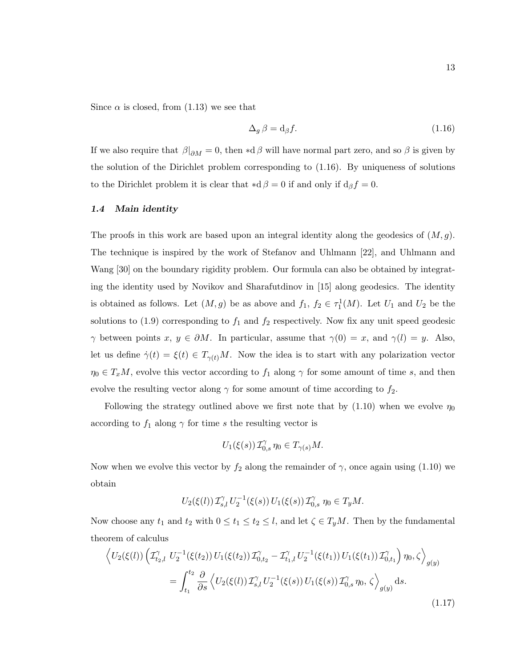Since  $\alpha$  is closed, from (1.13) we see that

$$
\Delta_g \beta = \mathrm{d}_{\beta} f. \tag{1.16}
$$

If we also require that  $\beta|_{\partial M} = 0$ , then ∗d  $\beta$  will have normal part zero, and so  $\beta$  is given by the solution of the Dirichlet problem corresponding to (1.16). By uniqueness of solutions to the Dirichlet problem it is clear that  $\star d \beta = 0$  if and only if  $d_{\beta} f = 0$ .

#### 1.4 Main identity

The proofs in this work are based upon an integral identity along the geodesics of  $(M, g)$ . The technique is inspired by the work of Stefanov and Uhlmann [22], and Uhlmann and Wang [30] on the boundary rigidity problem. Our formula can also be obtained by integrating the identity used by Novikov and Sharafutdinov in [15] along geodesics. The identity is obtained as follows. Let  $(M, g)$  be as above and  $f_1, f_2 \in \tau_1^1(M)$ . Let  $U_1$  and  $U_2$  be the solutions to (1.9) corresponding to  $f_1$  and  $f_2$  respectively. Now fix any unit speed geodesic  $\gamma$  between points  $x, y \in \partial M$ . In particular, assume that  $\gamma(0) = x$ , and  $\gamma(l) = y$ . Also, let us define  $\dot{\gamma}(t) = \xi(t) \in T_{\gamma(t)}M$ . Now the idea is to start with any polarization vector  $\eta_0 \in T_xM$ , evolve this vector according to  $f_1$  along  $\gamma$  for some amount of time s, and then evolve the resulting vector along  $\gamma$  for some amount of time according to  $f_2$ .

Following the strategy outlined above we first note that by  $(1.10)$  when we evolve  $\eta_0$ according to  $f_1$  along  $\gamma$  for time s the resulting vector is

$$
U_1(\xi(s))\mathcal{I}_{0,s}^{\gamma}\eta_0 \in T_{\gamma(s)}M.
$$

Now when we evolve this vector by  $f_2$  along the remainder of  $\gamma$ , once again using (1.10) we obtain

$$
U_2(\xi(l))\mathcal{I}_{s,l}^{\gamma}U_2^{-1}(\xi(s))\,U_1(\xi(s))\mathcal{I}_{0,s}^{\gamma}\,\eta_0\in T_yM.
$$

Now choose any  $t_1$  and  $t_2$  with  $0 \le t_1 \le t_2 \le l$ , and let  $\zeta \in T_yM$ . Then by the fundamental theorem of calculus

$$
\left\langle U_2(\xi(l)) \left( \mathcal{I}_{t_2,l}^{\gamma} U_2^{-1}(\xi(t_2)) U_1(\xi(t_2)) \mathcal{I}_{0,t_2}^{\gamma} - \mathcal{I}_{t_1,l}^{\gamma} U_2^{-1}(\xi(t_1)) U_1(\xi(t_1)) \mathcal{I}_{0,t_1}^{\gamma} \right) \eta_0, \zeta \right\rangle_{g(y)}
$$
  

$$
= \int_{t_1}^{t_2} \frac{\partial}{\partial s} \left\langle U_2(\xi(l)) \mathcal{I}_{s,l}^{\gamma} U_2^{-1}(\xi(s)) U_1(\xi(s)) \mathcal{I}_{0,s}^{\gamma} \eta_0, \zeta \right\rangle_{g(y)} ds.
$$
 (1.17)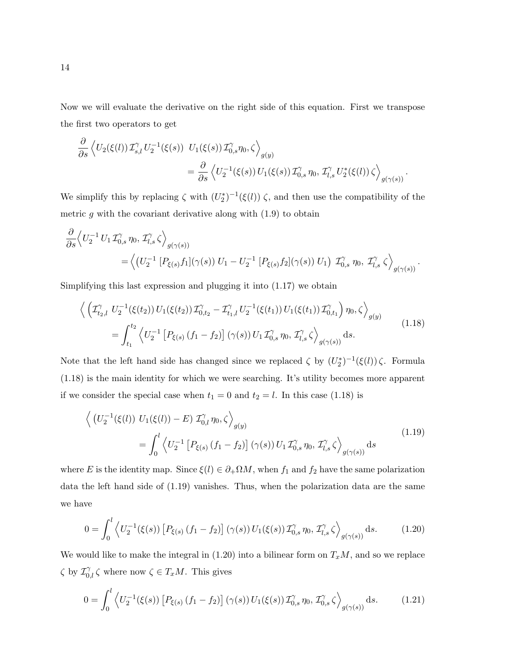Now we will evaluate the derivative on the right side of this equation. First we transpose the first two operators to get

$$
\frac{\partial}{\partial s} \left\langle U_2(\xi(l)) \mathcal{I}_{s,l}^{\gamma} U_2^{-1}(\xi(s)) U_1(\xi(s)) \mathcal{I}_{0,s}^{\gamma} \eta_0, \zeta \right\rangle_{g(y)} \n= \frac{\partial}{\partial s} \left\langle U_2^{-1}(\xi(s)) U_1(\xi(s)) \mathcal{I}_{0,s}^{\gamma} \eta_0, \mathcal{I}_{l,s}^{\gamma} U_2^*(\xi(l)) \zeta \right\rangle_{g(\gamma(s))}.
$$

We simplify this by replacing  $\zeta$  with  $(U_2^*)^{-1}(\xi(l))$   $\zeta$ , and then use the compatibility of the metric  $g$  with the covariant derivative along with  $(1.9)$  to obtain

$$
\frac{\partial}{\partial s} \left\langle U_2^{-1} U_1 \mathcal{I}_{0,s}^{\gamma} \eta_0, \mathcal{I}_{l,s}^{\gamma} \zeta \right\rangle_{g(\gamma(s))} \n= \left\langle \left( U_2^{-1} \left[ P_{\xi(s)} f_1 \right] (\gamma(s)) U_1 - U_2^{-1} \left[ P_{\xi(s)} f_2 \right] (\gamma(s)) U_1 \right) \mathcal{I}_{0,s}^{\gamma} \eta_0, \mathcal{I}_{l,s}^{\gamma} \zeta \right\rangle_{g(\gamma(s))}.
$$

Simplifying this last expression and plugging it into (1.17) we obtain

$$
\left\langle \left( \mathcal{I}_{t_2,l}^{\gamma} U_2^{-1}(\xi(t_2)) U_1(\xi(t_2)) \mathcal{I}_{0,t_2}^{\gamma} - \mathcal{I}_{t_1,l}^{\gamma} U_2^{-1}(\xi(t_1)) U_1(\xi(t_1)) \mathcal{I}_{0,t_1}^{\gamma} \right) \eta_0, \zeta \right\rangle_{g(y)} \n= \int_{t_1}^{t_2} \left\langle U_2^{-1} \left[ P_{\xi(s)} \left( f_1 - f_2 \right) \right] (\gamma(s)) U_1 \mathcal{I}_{0,s}^{\gamma} \eta_0, \mathcal{I}_{l,s}^{\gamma} \zeta \right\rangle_{g(\gamma(s))} ds.
$$
\n(1.18)

Note that the left hand side has changed since we replaced  $\zeta$  by  $(U_2^*)^{-1}(\xi(l))\zeta$ . Formula (1.18) is the main identity for which we were searching. It's utility becomes more apparent if we consider the special case when  $t_1 = 0$  and  $t_2 = l$ . In this case (1.18) is

$$
\left\langle \left( U_2^{-1}(\xi(l)) U_1(\xi(l)) - E \right) \mathcal{I}_{0,l}^{\gamma} \eta_0, \zeta \right\rangle_{g(y)} \n= \int_0^l \left\langle U_2^{-1} \left[ P_{\xi(s)} \left( f_1 - f_2 \right) \right] (\gamma(s)) U_1 \mathcal{I}_{0,s}^{\gamma} \eta_0, \mathcal{I}_{l,s}^{\gamma} \zeta \right\rangle_{g(\gamma(s))} ds
$$
\n(1.19)

where E is the identity map. Since  $\xi(l) \in \partial_{+}\Omega M$ , when  $f_1$  and  $f_2$  have the same polarization data the left hand side of (1.19) vanishes. Thus, when the polarization data are the same we have

$$
0 = \int_0^l \left\langle U_2^{-1}(\xi(s)) \left[ P_{\xi(s)} \left( f_1 - f_2 \right) \right] (\gamma(s)) U_1(\xi(s)) \mathcal{I}_{0,s}^{\gamma} \eta_0, \mathcal{I}_{l,s}^{\gamma} \zeta \right\rangle_{g(\gamma(s))} ds. \tag{1.20}
$$

We would like to make the integral in  $(1.20)$  into a bilinear form on  $T_xM$ , and so we replace  $\zeta$  by  $\mathcal{I}_{0,l}^{\gamma} \zeta$  where now  $\zeta \in T_xM$ . This gives

$$
0 = \int_0^l \left\langle U_2^{-1}(\xi(s)) \left[ P_{\xi(s)} \left( f_1 - f_2 \right) \right] (\gamma(s)) U_1(\xi(s)) \mathcal{I}_{0,s}^{\gamma} \eta_0, \mathcal{I}_{0,s}^{\gamma} \zeta \right\rangle_{g(\gamma(s))} ds. \tag{1.21}
$$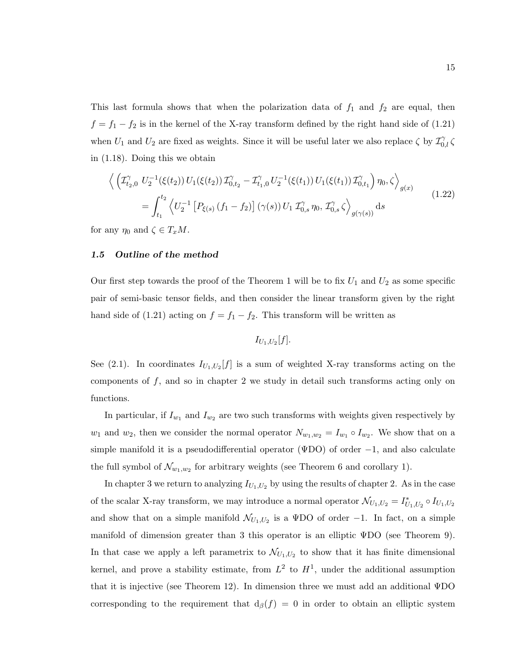This last formula shows that when the polarization data of  $f_1$  and  $f_2$  are equal, then  $f = f_1 - f_2$  is in the kernel of the X-ray transform defined by the right hand side of (1.21) when  $U_1$  and  $U_2$  are fixed as weights. Since it will be useful later we also replace  $\zeta$  by  $\mathcal{I}_{0,l}^{\gamma}$ in (1.18). Doing this we obtain

$$
\left\langle \left( \mathcal{I}_{t_2,0}^{\gamma} U_2^{-1}(\xi(t_2)) U_1(\xi(t_2)) \mathcal{I}_{0,t_2}^{\gamma} - \mathcal{I}_{t_1,0}^{\gamma} U_2^{-1}(\xi(t_1)) U_1(\xi(t_1)) \mathcal{I}_{0,t_1}^{\gamma} \right) \eta_0, \zeta \right\rangle_{g(x)}
$$
\n
$$
= \int_{t_1}^{t_2} \left\langle U_2^{-1} \left[ P_{\xi(s)} \left( f_1 - f_2 \right) \right] \left( \gamma(s) \right) U_1 \mathcal{I}_{0,s}^{\gamma} \eta_0, \mathcal{I}_{0,s}^{\gamma} \zeta \right\rangle_{g(\gamma(s))} ds \tag{1.22}
$$

for any  $\eta_0$  and  $\zeta \in T_xM$ .

### 1.5 Outline of the method

Our first step towards the proof of the Theorem 1 will be to fix  $U_1$  and  $U_2$  as some specific pair of semi-basic tensor fields, and then consider the linear transform given by the right hand side of (1.21) acting on  $f = f_1 - f_2$ . This transform will be written as

$$
I_{U_1,U_2}[f].
$$

See (2.1). In coordinates  $I_{U_1,U_2}[f]$  is a sum of weighted X-ray transforms acting on the components of  $f$ , and so in chapter 2 we study in detail such transforms acting only on functions.

In particular, if  $I_{w_1}$  and  $I_{w_2}$  are two such transforms with weights given respectively by  $w_1$  and  $w_2$ , then we consider the normal operator  $N_{w_1,w_2} = I_{w_1} \circ I_{w_2}$ . We show that on a simple manifold it is a pseudodifferential operator ( $\Psi$ DO) of order  $-1$ , and also calculate the full symbol of  $\mathcal{N}_{w_1,w_2}$  for arbitrary weights (see Theorem 6 and corollary 1).

In chapter 3 we return to analyzing  $I_{U_1,U_2}$  by using the results of chapter 2. As in the case of the scalar X-ray transform, we may introduce a normal operator  $\mathcal{N}_{U_1,U_2} = I_{U_1,U_2}^* \circ I_{U_1,U_2}$ and show that on a simple manifold  $\mathcal{N}_{U_1,U_2}$  is a  $\Psi$ DO of order -1. In fact, on a simple manifold of dimension greater than 3 this operator is an elliptic ΨDO (see Theorem 9). In that case we apply a left parametrix to  $\mathcal{N}_{U_1,U_2}$  to show that it has finite dimensional kernel, and prove a stability estimate, from  $L^2$  to  $H^1$ , under the additional assumption that it is injective (see Theorem 12). In dimension three we must add an additional ΨDO corresponding to the requirement that  $d_{\beta}(f) = 0$  in order to obtain an elliptic system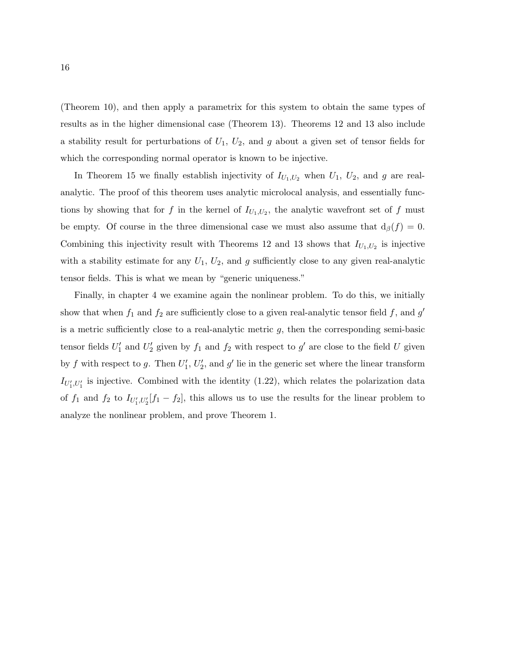(Theorem 10), and then apply a parametrix for this system to obtain the same types of results as in the higher dimensional case (Theorem 13). Theorems 12 and 13 also include a stability result for perturbations of  $U_1$ ,  $U_2$ , and g about a given set of tensor fields for which the corresponding normal operator is known to be injective.

In Theorem 15 we finally establish injectivity of  $I_{U_1,U_2}$  when  $U_1, U_2$ , and g are realanalytic. The proof of this theorem uses analytic microlocal analysis, and essentially functions by showing that for f in the kernel of  $I_{U_1,U_2}$ , the analytic wavefront set of f must be empty. Of course in the three dimensional case we must also assume that  $d_{\beta}(f) = 0$ . Combining this injectivity result with Theorems 12 and 13 shows that  $I_{U_1,U_2}$  is injective with a stability estimate for any  $U_1$ ,  $U_2$ , and g sufficiently close to any given real-analytic tensor fields. This is what we mean by "generic uniqueness."

Finally, in chapter 4 we examine again the nonlinear problem. To do this, we initially show that when  $f_1$  and  $f_2$  are sufficiently close to a given real-analytic tensor field  $f$ , and  $g'$ is a metric sufficiently close to a real-analytic metric  $g$ , then the corresponding semi-basic tensor fields  $U'_1$  and  $U'_2$  given by  $f_1$  and  $f_2$  with respect to  $g'$  are close to the field U given by f with respect to g. Then  $U'_1, U'_2$ , and g' lie in the generic set where the linear transform  $I_{U_1',U_1'}$  is injective. Combined with the identity (1.22), which relates the polarization data of  $f_1$  and  $f_2$  to  $I_{U_1', U_2'}[f_1 - f_2]$ , this allows us to use the results for the linear problem to analyze the nonlinear problem, and prove Theorem 1.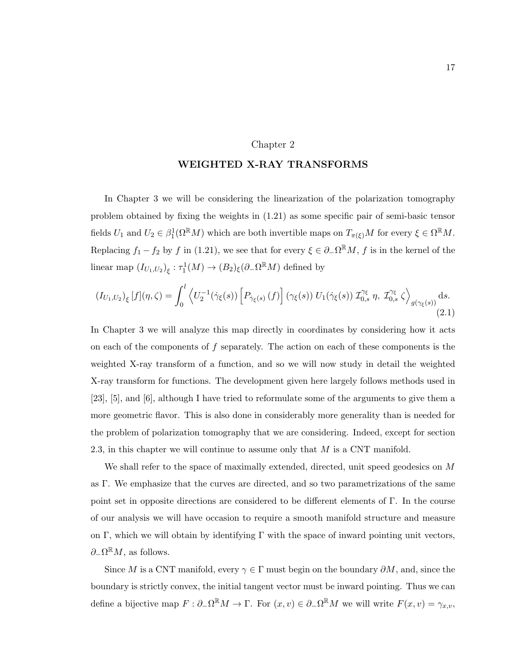#### Chapter 2

### WEIGHTED X-RAY TRANSFORMS

In Chapter 3 we will be considering the linearization of the polarization tomography problem obtained by fixing the weights in (1.21) as some specific pair of semi-basic tensor fields  $U_1$  and  $U_2 \in \beta_1^1(\Omega^{\mathbb{R}}M)$  which are both invertible maps on  $T_{\pi(\xi)}M$  for every  $\xi \in \Omega^{\mathbb{R}}M$ . Replacing  $f_1 - f_2$  by f in (1.21), we see that for every  $\xi \in \partial_-\Omega^{\mathbb{R}}M$ , f is in the kernel of the linear map  $(I_{U_1,U_2})_\xi : \tau_1^1(M) \to (B_2)_\xi (\partial_- \Omega^{\mathbb{R}} M)$  defined by

$$
(I_{U_1,U_2})_{\xi}[f](\eta,\zeta) = \int_0^l \left\langle U_2^{-1}(\dot{\gamma}_{\xi}(s)) \left[ P_{\dot{\gamma}_{\xi}(s)}(f) \right] (\gamma_{\xi}(s)) U_1(\dot{\gamma}_{\xi}(s)) \mathcal{I}_{0,s}^{\gamma_{\xi}} \eta, \mathcal{I}_{0,s}^{\gamma_{\xi}} \zeta \right\rangle_{g(\gamma_{\xi}(s))} ds.
$$
\n(2.1)

In Chapter 3 we will analyze this map directly in coordinates by considering how it acts on each of the components of  $f$  separately. The action on each of these components is the weighted X-ray transform of a function, and so we will now study in detail the weighted X-ray transform for functions. The development given here largely follows methods used in [23], [5], and [6], although I have tried to reformulate some of the arguments to give them a more geometric flavor. This is also done in considerably more generality than is needed for the problem of polarization tomography that we are considering. Indeed, except for section 2.3, in this chapter we will continue to assume only that  $M$  is a CNT manifold.

We shall refer to the space of maximally extended, directed, unit speed geodesics on M as Γ. We emphasize that the curves are directed, and so two parametrizations of the same point set in opposite directions are considered to be different elements of Γ. In the course of our analysis we will have occasion to require a smooth manifold structure and measure on Γ, which we will obtain by identifying Γ with the space of inward pointing unit vectors,  $\partial_-\Omega^{\mathbb{R}}M$ , as follows.

Since M is a CNT manifold, every  $\gamma \in \Gamma$  must begin on the boundary  $\partial M$ , and, since the boundary is strictly convex, the initial tangent vector must be inward pointing. Thus we can define a bijective map  $F: \partial_{-}\Omega^{\mathbb{R}}M \to \Gamma$ . For  $(x, v) \in \partial_{-}\Omega^{\mathbb{R}}M$  we will write  $F(x, v) = \gamma_{x,v}$ ,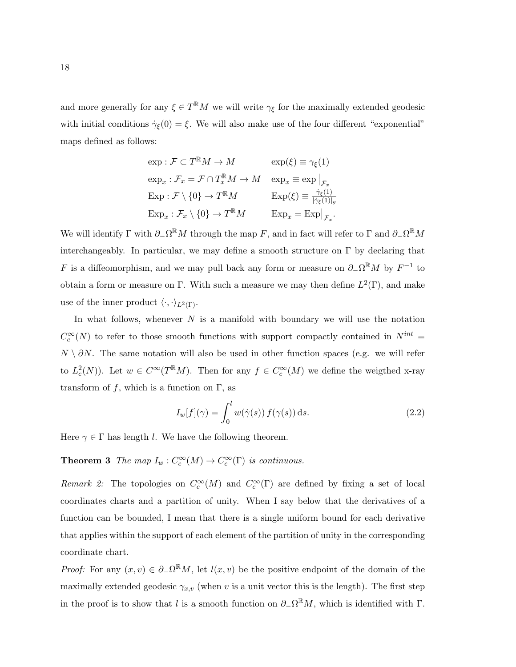and more generally for any  $\xi \in T^{\mathbb{R}}M$  we will write  $\gamma_{\xi}$  for the maximally extended geodesic with initial conditions  $\dot{\gamma}_{\xi}(0) = \xi$ . We will also make use of the four different "exponential" maps defined as follows:

$$
\exp : \mathcal{F} \subset T^{\mathbb{R}}M \to M \qquad \exp(\xi) \equiv \gamma_{\xi}(1)
$$
  
\n
$$
\exp_x : \mathcal{F}_x = \mathcal{F} \cap T_x^{\mathbb{R}}M \to M \qquad \exp_x \equiv \exp \big|_{\mathcal{F}_x}
$$
  
\n
$$
\exp : \mathcal{F} \setminus \{0\} \to T^{\mathbb{R}}M \qquad \qquad \exp(\xi) \equiv \frac{\dot{\gamma}_{\xi}(1)}{|\dot{\gamma}_{\xi}(1)|_g}
$$
  
\n
$$
\exp_x : \mathcal{F}_x \setminus \{0\} \to T^{\mathbb{R}}M \qquad \qquad \exp_x = \exp \big|_{\mathcal{F}_x}.
$$

We will identify  $\Gamma$  with  $\partial_{-}\Omega^{\mathbb{R}}M$  through the map F, and in fact will refer to  $\Gamma$  and  $\partial_{-}\Omega^{\mathbb{R}}M$ interchangeably. In particular, we may define a smooth structure on  $\Gamma$  by declaring that F is a diffeomorphism, and we may pull back any form or measure on  $\partial_{-}\Omega^{\mathbb{R}}M$  by  $F^{-1}$  to obtain a form or measure on Γ. With such a measure we may then define  $L^2(\Gamma)$ , and make use of the inner product  $\langle \cdot, \cdot \rangle_{L^2(\Gamma)}$ .

In what follows, whenever  $N$  is a manifold with boundary we will use the notation  $C_c^{\infty}(N)$  to refer to those smooth functions with support compactly contained in  $N^{int} =$  $N \setminus \partial N$ . The same notation will also be used in other function spaces (e.g. we will refer to  $L_c^2(N)$ ). Let  $w \in C^{\infty}(T^{\mathbb{R}}M)$ . Then for any  $f \in C_c^{\infty}(M)$  we define the weigthed x-ray transform of f, which is a function on  $\Gamma$ , as

$$
I_w[f](\gamma) = \int_0^l w(\dot{\gamma}(s)) f(\gamma(s)) ds.
$$
 (2.2)

Here  $\gamma \in \Gamma$  has length l. We have the following theorem.

**Theorem 3** The map  $I_w : C_c^{\infty}(M) \to C_c^{\infty}(\Gamma)$  is continuous.

Remark 2: The topologies on  $C_c^{\infty}(M)$  and  $C_c^{\infty}(\Gamma)$  are defined by fixing a set of local coordinates charts and a partition of unity. When I say below that the derivatives of a function can be bounded, I mean that there is a single uniform bound for each derivative that applies within the support of each element of the partition of unity in the corresponding coordinate chart.

*Proof:* For any  $(x, v) \in \partial_{-}\Omega^{\mathbb{R}}M$ , let  $l(x, v)$  be the positive endpoint of the domain of the maximally extended geodesic  $\gamma_{x,v}$  (when v is a unit vector this is the length). The first step in the proof is to show that l is a smooth function on  $\partial_-\Omega^{\mathbb{R}}M$ , which is identified with  $\Gamma$ .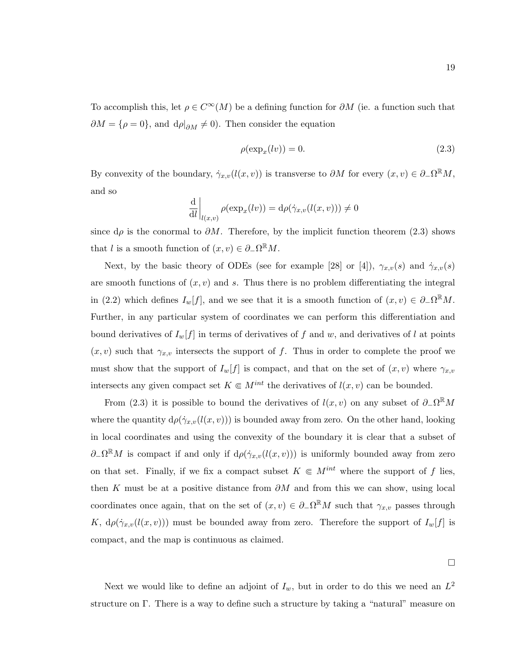To accomplish this, let  $\rho \in C^{\infty}(M)$  be a defining function for  $\partial M$  (ie. a function such that  $\partial M = {\rho = 0}$ , and  $d\rho|_{\partial M} \neq 0$ . Then consider the equation

$$
\rho(\exp_x(lv)) = 0. \tag{2.3}
$$

By convexity of the boundary,  $\dot{\gamma}_{x,v}(l(x,v))$  is transverse to  $\partial M$  for every  $(x,v) \in \partial \Omega^{\mathbb{R}} M$ , and so

$$
\left. \frac{\mathrm{d}}{\mathrm{d}l} \right|_{l(x,v)} \rho(\exp_x(lv)) = \mathrm{d}\rho(\dot{\gamma}_{x,v}(l(x,v))) \neq 0
$$

since  $d\rho$  is the conormal to  $\partial M$ . Therefore, by the implicit function theorem (2.3) shows that l is a smooth function of  $(x, v) \in \partial_-\Omega^{\mathbb{R}}M$ .

Next, by the basic theory of ODEs (see for example [28] or [4]),  $\gamma_{x,v}(s)$  and  $\dot{\gamma}_{x,v}(s)$ are smooth functions of  $(x, v)$  and s. Thus there is no problem differentiating the integral in (2.2) which defines  $I_w[f]$ , and we see that it is a smooth function of  $(x, v) \in \partial_- \Omega^{\mathbb{R}} M$ . Further, in any particular system of coordinates we can perform this differentiation and bound derivatives of  $I_w[f]$  in terms of derivatives of f and w, and derivatives of l at points  $(x, v)$  such that  $\gamma_{x, v}$  intersects the support of f. Thus in order to complete the proof we must show that the support of  $I_w[f]$  is compact, and that on the set of  $(x, v)$  where  $\gamma_{x,v}$ intersects any given compact set  $K \in M^{int}$  the derivatives of  $l(x, v)$  can be bounded.

From (2.3) it is possible to bound the derivatives of  $l(x, v)$  on any subset of  $\partial_-\Omega^{\mathbb{R}}M$ where the quantity  $d\rho(\dot{\gamma}_{x,v}(l(x,v)))$  is bounded away from zero. On the other hand, looking in local coordinates and using the convexity of the boundary it is clear that a subset of  $\partial_{-}\Omega^{\mathbb{R}}M$  is compact if and only if  $d\rho(\dot{\gamma}_{x,v}(l(x,v)))$  is uniformly bounded away from zero on that set. Finally, if we fix a compact subset  $K \in M^{int}$  where the support of f lies, then K must be at a positive distance from  $\partial M$  and from this we can show, using local coordinates once again, that on the set of  $(x, v) \in \partial_{-}\Omega^{\mathbb{R}}M$  such that  $\gamma_{x,v}$  passes through K,  $d\rho(\dot{\gamma}_{x,v}(l(x,v)))$  must be bounded away from zero. Therefore the support of  $I_w[f]$  is compact, and the map is continuous as claimed.

 $\Box$ 

Next we would like to define an adjoint of  $I_w$ , but in order to do this we need an  $L^2$ structure on Γ. There is a way to define such a structure by taking a "natural" measure on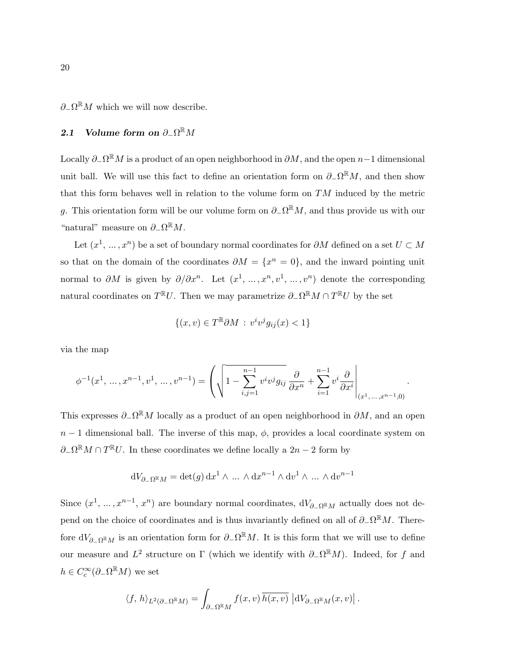$\partial_-\Omega^{\mathbb{R}}M$  which we will now describe.

# 2.1 Volume form on  $\partial_-\Omega^{\R}M$

Locally  $\partial_-\Omega^{\R}M$  is a product of an open neighborhood in  $\partial M,$  and the open  $n-1$  dimensional unit ball. We will use this fact to define an orientation form on  $\partial_-\Omega^{\mathbb{R}}M$ , and then show that this form behaves well in relation to the volume form on TM induced by the metric g. This orientation form will be our volume form on  $\partial_-\Omega^{\mathbb{R}}M$ , and thus provide us with our "natural" measure on  $\partial_-\Omega^{\mathbb{R}}M$ .

Let  $(x^1, ..., x^n)$  be a set of boundary normal coordinates for  $\partial M$  defined on a set  $U \subset M$ so that on the domain of the coordinates  $\partial M = \{x^n = 0\}$ , and the inward pointing unit normal to  $\partial M$  is given by  $\partial/\partial x^n$ . Let  $(x^1, ..., x^n, v^1, ..., v^n)$  denote the corresponding natural coordinates on  $T^{\mathbb{R}}U$ . Then we may parametrize  $\partial_{-}\Omega^{\mathbb{R}}M\cap T^{\mathbb{R}}U$  by the set

$$
\{(x,v)\in T^{\mathbb{R}}\partial M\,:\,v^iv^jg_{ij}(x)<1\}
$$

via the map

$$
\phi^{-1}(x^1, \dots, x^{n-1}, v^1, \dots, v^{n-1}) = \left( \sqrt{1 - \sum_{i,j=1}^{n-1} v^i v^j g_{ij}} \frac{\partial}{\partial x^n} + \sum_{i=1}^{n-1} v^i \frac{\partial}{\partial x^i} \Bigg|_{(x^1, \dots, x^{n-1}, 0)} \right).
$$

This expresses  $\partial_-\Omega^{\mathbb{R}}M$  locally as a product of an open neighborhood in  $\partial M$ , and an open  $n-1$  dimensional ball. The inverse of this map,  $\phi$ , provides a local coordinate system on  $\partial_-\Omega^{\mathbb{R}}M\cap T^{\mathbb{R}}U$ . In these coordinates we define locally a  $2n-2$  form by

$$
dV_{\partial_{-}\Omega^{R}M} = \det(g) dx^{1} \wedge \dots \wedge dx^{n-1} \wedge dv^{1} \wedge \dots \wedge dv^{n-1}
$$

Since  $(x^1, \ldots, x^{n-1}, x^n)$  are boundary normal coordinates,  $dV_{\partial_{-}\Omega^{R}M}$  actually does not depend on the choice of coordinates and is thus invariantly defined on all of  $\partial_-\Omega^{\mathbb{R}}M$ . Therefore  $dV_{\partial-\Omega}$ <sub>RM</sub> is an orientation form for  $\partial-\Omega$ <sup>R</sup>M. It is this form that we will use to define our measure and  $L^2$  structure on  $\Gamma$  (which we identify with  $\partial_{-}\Omega^{\mathbb{R}}M$ ). Indeed, for f and  $h \in C_c^{\infty}(\partial_{-}\Omega^{\mathbb{R}}M)$  we set

$$
\langle f, h \rangle_{L^2(\partial_- \Omega^{\mathbb{R}} M)} = \int_{\partial_- \Omega^{\mathbb{R}} M} f(x, v) \overline{h(x, v)} \, \left| \mathrm{d}V_{\partial_- \Omega^{\mathbb{R}} M}(x, v) \right|.
$$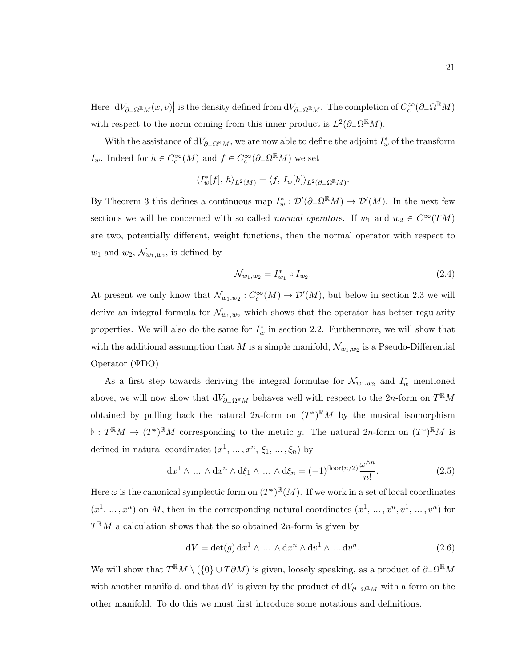Here  $|dV_{\partial-\Omega^{\mathbb{R}}M}(x,v)|$  is the density defined from  $dV_{\partial-\Omega^{\mathbb{R}}M}$ . The completion of  $C_c^{\infty}(\partial-\Omega^{\mathbb{R}}M)$ with respect to the norm coming from this inner product is  $L^2(\partial_-\Omega^{\mathbb{R}}M)$ .

With the assistance of  $dV_{\partial-\Omega}$ <sub>RM</sub>, we are now able to define the adjoint  $I^*_{w}$  of the transform I<sub>w</sub>. Indeed for  $h \in C_c^{\infty}(M)$  and  $f \in C_c^{\infty}(\partial_{-}\Omega^{\mathbb{R}}M)$  we set

$$
\langle I_w^*[f],h\rangle_{L^2(M)} = \langle f, I_w[h]\rangle_{L^2(\partial_-\Omega^{\mathbb{R}}M)}.
$$

By Theorem 3 this defines a continuous map  $I_w^* : \mathcal{D}'(\partial_{-}\Omega^{\mathbb{R}}M) \to \mathcal{D}'(M)$ . In the next few sections we will be concerned with so called *normal operators*. If  $w_1$  and  $w_2 \in C^{\infty}(TM)$ are two, potentially different, weight functions, then the normal operator with respect to  $w_1$  and  $w_2, \mathcal{N}_{w_1,w_2}$ , is defined by

$$
\mathcal{N}_{w_1, w_2} = I_{w_1}^* \circ I_{w_2}.
$$
\n(2.4)

At present we only know that  $\mathcal{N}_{w_1,w_2}: C_c^{\infty}(M) \to \mathcal{D}'(M)$ , but below in section 2.3 we will derive an integral formula for  $\mathcal{N}_{w_1,w_2}$  which shows that the operator has better regularity properties. We will also do the same for  $I_w^*$  in section 2.2. Furthermore, we will show that with the additional assumption that M is a simple manifold,  $\mathcal{N}_{w_1,w_2}$  is a Pseudo-Differential Operator (ΨDO).

As a first step towards deriving the integral formulae for  $\mathcal{N}_{w_1,w_2}$  and  $I^*_w$  mentioned above, we will now show that  $dV_{\partial-\Omega^{\mathbb{R}}M}$  behaves well with respect to the 2n-form on  $T^{\mathbb{R}}M$ obtained by pulling back the natural 2n-form on  $(T^*)^{\mathbb{R}}M$  by the musical isomorphism  $\phi: T^{\mathbb{R}}M \to (T^*)^{\mathbb{R}}M$  corresponding to the metric g. The natural 2n-form on  $(T^*)^{\mathbb{R}}M$  is defined in natural coordinates  $(x^1, ..., x^n, \xi_1, ..., \xi_n)$  by

$$
dx^{1} \wedge \ldots \wedge dx^{n} \wedge d\xi_{1} \wedge \ldots \wedge d\xi_{n} = (-1)^{\text{floor}(n/2)} \frac{\omega^{\wedge n}}{n!}.
$$
 (2.5)

Here  $\omega$  is the canonical symplectic form on  $(T^*)^{\mathbb{R}}(M)$ . If we work in a set of local coordinates  $(x^1, ..., x^n)$  on M, then in the corresponding natural coordinates  $(x^1, ..., x^n, v^1, ..., v^n)$  for  $T^{\mathbb{R}}M$  a calculation shows that the so obtained 2n-form is given by

$$
dV = det(g) dx1 \wedge \dots \wedge dxn \wedge dv1 \wedge \dots dvn.
$$
 (2.6)

We will show that  $T^{\mathbb{R}}M \setminus (\{0\} \cup T\partial M)$  is given, loosely speaking, as a product of  $\partial_{-}\Omega^{\mathbb{R}}M$ with another manifold, and that dV is given by the product of  $dV_{\partial-\Omega}{}^R_M$  with a form on the other manifold. To do this we must first introduce some notations and definitions.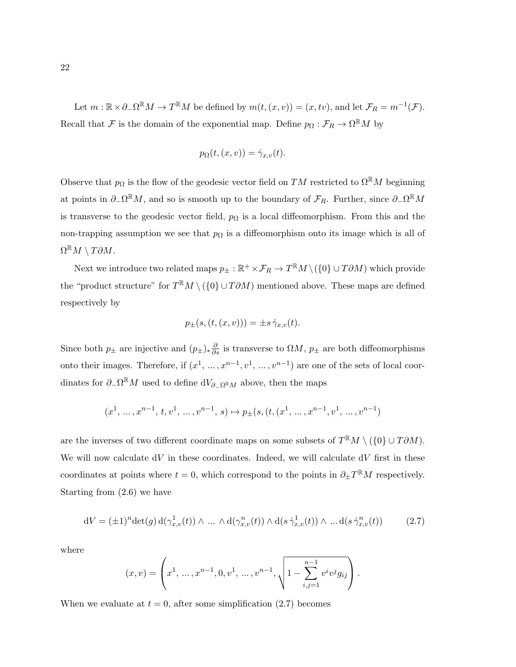Let  $m : \mathbb{R} \times \partial_{-}\Omega^{\mathbb{R}}M \to T^{\mathbb{R}}M$  be defined by  $m(t,(x,v)) = (x,tv)$ , and let  $\mathcal{F}_R = m^{-1}(\mathcal{F})$ . Recall that F is the domain of the exponential map. Define  $p_{\Omega}: \mathcal{F}_R \to \Omega^{\mathbb{R}}M$  by

$$
p_{\Omega}(t,(x,v)) = \dot{\gamma}_{x,v}(t).
$$

Observe that  $p_{\Omega}$  is the flow of the geodesic vector field on TM restricted to  $\Omega^{\mathbb{R}}M$  beginning at points in  $\partial_-\Omega^{\mathbb{R}}M$ , and so is smooth up to the boundary of  $\mathcal{F}_R$ . Further, since  $\partial_-\Omega^{\mathbb{R}}M$ is transverse to the geodesic vector field,  $p_{\Omega}$  is a local diffeomorphism. From this and the non-trapping assumption we see that  $p_{\Omega}$  is a diffeomorphism onto its image which is all of  $\Omega^{\R}M \setminus T\partial M.$ 

Next we introduce two related maps  $p_\pm : \mathbb{R}^+ \times \mathcal{F}_R \to T^\mathbb{R} M \setminus (\{0\} \cup T\partial M)$  which provide the "product structure" for  $T^{\mathbb{R}}M \setminus (\{0\} \cup T\partial M)$  mentioned above. These maps are defined respectively by

$$
p_{\pm}(s,(t,(x,v))) = \pm s \dot{\gamma}_{x,v}(t).
$$

Since both  $p_{\pm}$  are injective and  $(p_{\pm})_*\frac{\partial}{\partial s}$  is transverse to  $\Omega M$ ,  $p_{\pm}$  are both diffeomorphisms onto their images. Therefore, if  $(x^1, ..., x^{n-1}, v^1, ..., v^{n-1})$  are one of the sets of local coordinates for  $\partial_-\Omega^{\mathbb{R}}M$  used to define  $dV_{\partial_-\Omega^{\mathbb{R}}M}$  above, then the maps

$$
(x^1,\,\ldots,x^{n-1},\,t,v^1,\,\ldots,v^{n-1},\,s)\mapsto p_\pm(s,(t,(x^1,\,\ldots,x^{n-1},v^1,\,\ldots,v^{n-1})
$$

are the inverses of two different coordinate maps on some subsets of  $T^{\mathbb{R}}M \setminus (\{0\} \cup T\partial M)$ . We will now calculate  $dV$  in these coordinates. Indeed, we will calculate  $dV$  first in these coordinates at points where  $t = 0$ , which correspond to the points in  $\partial_{\pm} T^{\mathbb{R}} M$  respectively. Starting from (2.6) we have

$$
dV = (\pm 1)^n \det(g) d(\gamma_{x,v}^1(t)) \wedge \dots \wedge d(\gamma_{x,v}^n(t)) \wedge d(s \dot{\gamma}_{x,v}^1(t)) \wedge \dots d(s \dot{\gamma}_{x,v}^n(t))
$$
 (2.7)

where

$$
(x,v) = \left(x^1, \dots, x^{n-1}, 0, v^1, \dots, v^{n-1}, \sqrt{1 - \sum_{i,j=1}^{n-1} v^i v^j g_{ij}}\right).
$$

When we evaluate at  $t = 0$ , after some simplification (2.7) becomes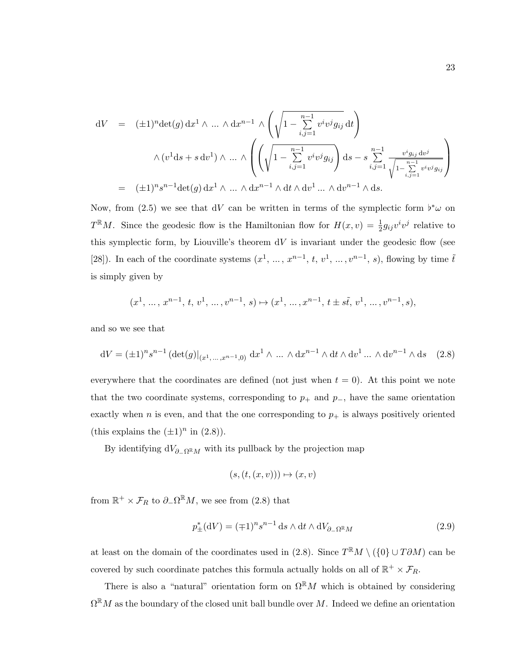$$
dV = (\pm 1)^n \det(g) dx^1 \wedge \dots \wedge dx^{n-1} \wedge \left(\sqrt{1 - \sum_{i,j=1}^{n-1} v^i v^j g_{ij}} dt\right)
$$
  

$$
\wedge (v^1 ds + s dv^1) \wedge \dots \wedge \left(\left(\sqrt{1 - \sum_{i,j=1}^{n-1} v^i v^j g_{ij}}\right) ds - s \sum_{i,j=1}^{n-1} \frac{v^i g_{ij} dv^j}{\sqrt{1 - \sum_{i,j=1}^{n-1} v^i v^j g_{ij}}}\right)
$$
  

$$
= (\pm 1)^n s^{n-1} \det(g) dx^1 \wedge \dots \wedge dx^{n-1} \wedge dt \wedge dv^1 \dots \wedge dv^{n-1} \wedge ds.
$$

Now, from (2.5) we see that dV can be written in terms of the symplectic form  $\flat^* \omega$  on  $T^{\mathbb{R}}M$ . Since the geodesic flow is the Hamiltonian flow for  $H(x,v) = \frac{1}{2}g_{ij}v^iv^j$  relative to this symplectic form, by Liouville's theorem  $dV$  is invariant under the geodesic flow (see [28]). In each of the coordinate systems  $(x^1, \ldots, x^{n-1}, t, v^1, \ldots, v^{n-1}, s)$ , flowing by time  $\tilde{t}$ is simply given by

$$
(x^1, \, \ldots, \, x^{n-1}, \, t, \, v^1, \, \ldots, v^{n-1}, \, s) \mapsto (x^1, \, \ldots, x^{n-1}, \, t \pm s \tilde t, \, v^1, \, \ldots, v^{n-1}, s),
$$

and so we see that

$$
dV = (\pm 1)^n s^{n-1} \left( \det(g) \right|_{(x^1, \dots, x^{n-1}, 0)} dx^1 \wedge \dots \wedge dx^{n-1} \wedge dt \wedge dv^1 \dots \wedge dv^{n-1} \wedge ds \quad (2.8)
$$

everywhere that the coordinates are defined (not just when  $t = 0$ ). At this point we note that the two coordinate systems, corresponding to  $p_+$  and  $p_-,$  have the same orientation exactly when n is even, and that the one corresponding to  $p_+$  is always positively oriented (this explains the  $(\pm 1)^n$  in  $(2.8)$ ).

By identifying  $dV_{\partial-\Omega}$ <sub>RM</sub> with its pullback by the projection map

$$
(s,(t,(x,v))) \mapsto (x,v)
$$

from  $\mathbb{R}^+ \times \mathcal{F}_R$  to  $\partial_-\Omega^{\mathbb{R}}M$ , we see from (2.8) that

$$
p_{\pm}^*(\mathrm{d}V) = (\mp 1)^n s^{n-1} \,\mathrm{d} s \wedge \mathrm{d}t \wedge \mathrm{d}V_{\partial_{\Omega} \mathbb{R}^n} \tag{2.9}
$$

at least on the domain of the coordinates used in (2.8). Since  $T^{\mathbb{R}}M \setminus (\{0\} \cup T\partial M)$  can be covered by such coordinate patches this formula actually holds on all of  $\mathbb{R}^+ \times \mathcal{F}_R$ .

There is also a "natural" orientation form on  $\Omega^{\mathbb{R}}M$  which is obtained by considering  $\Omega^{\mathbb{R}}M$  as the boundary of the closed unit ball bundle over M. Indeed we define an orientation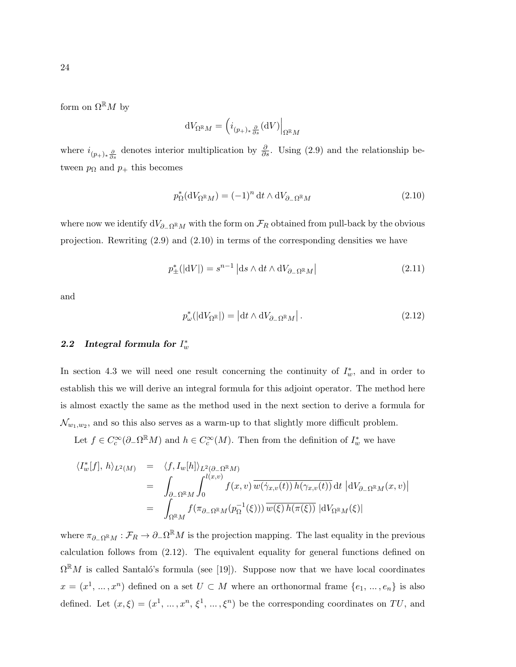$$
dV_{\Omega^{\mathbb{R}}M} = \left( i_{(p_+)_*\frac{\partial}{\partial s}}(\mathrm{d}V) \right|_{\Omega^{\mathbb{R}}M}
$$

where  $i_{(p_+)_*\frac{\partial}{\partial s}}$  denotes interior multiplication by  $\frac{\partial}{\partial s}$ . Using (2.9) and the relationship between  $p_{\Omega}$  and  $p_{+}$  this becomes

$$
p_{\Omega}^*(\mathrm{d}V_{\Omega^{\mathbb{R}}M}) = (-1)^n \, \mathrm{d}t \wedge \mathrm{d}V_{\partial_{-\Omega^{\mathbb{R}}M}} \tag{2.10}
$$

where now we identify  $dV_{\partial-\Omega^{\mathbb{R}}M}$  with the form on  $\mathcal{F}_R$  obtained from pull-back by the obvious projection. Rewriting (2.9) and (2.10) in terms of the corresponding densities we have

$$
p_{\pm}^*(|\mathrm{d}V|) = s^{n-1} |\mathrm{d}s \wedge \mathrm{d}t \wedge \mathrm{d}V_{\partial_{-}\Omega^{\mathbb{R}}M}| \tag{2.11}
$$

and

$$
p_{\omega}^* (|\mathrm{d}V_{\Omega^{\mathbb{R}}}|) = |\mathrm{d}t \wedge \mathrm{d}V_{\partial_{-\Omega^{\mathbb{R}}}M}|.
$$
\n(2.12)

## 2.2 Integral formula for  $I_w^*$

In section 4.3 we will need one result concerning the continuity of  $I^*_{w}$ , and in order to establish this we will derive an integral formula for this adjoint operator. The method here is almost exactly the same as the method used in the next section to derive a formula for  $\mathcal{N}_{w_1,w_2}$ , and so this also serves as a warm-up to that slightly more difficult problem.

Let  $f \in C_c^{\infty}(\partial_{-}\Omega^{\mathbb{R}}M)$  and  $h \in C_c^{\infty}(M)$ . Then from the definition of  $I_w^*$  we have

$$
\langle I_w^*[f], h \rangle_{L^2(M)} = \langle f, I_w[h] \rangle_{L^2(\partial_- \Omega^{\mathbb{R}} M)} \n= \int_{\partial_- \Omega^{\mathbb{R}} M} \int_0^{l(x,v)} f(x,v) \overline{w(\dot{\gamma}_{x,v}(t)) h(\gamma_{x,v}(t))} dt |dV_{\partial_- \Omega^{\mathbb{R}} M}(x,v)| \n= \int_{\Omega^{\mathbb{R}} M} f(\pi_{\partial_- \Omega^{\mathbb{R}} M}(p_{\Omega}^{-1}(\xi))) \overline{w(\xi) h(\pi(\xi))} |dV_{\Omega^{\mathbb{R}} M}(\xi)|
$$

where  $\pi_{\partial_{-}\Omega^{R}M}: \mathcal{F}_R \to \partial_{-}\Omega^{R}M$  is the projection mapping. The last equality in the previous calculation follows from (2.12). The equivalent equality for general functions defined on  $\Omega^{\mathbb{R}}M$  is called Santaló's formula (see [19]). Suppose now that we have local coordinates  $x = (x^1, ..., x^n)$  defined on a set  $U \subset M$  where an orthonormal frame  $\{e_1, ..., e_n\}$  is also defined. Let  $(x,\xi) = (x^1, \ldots, x^n, \xi^1, \ldots, \xi^n)$  be the corresponding coordinates on TU, and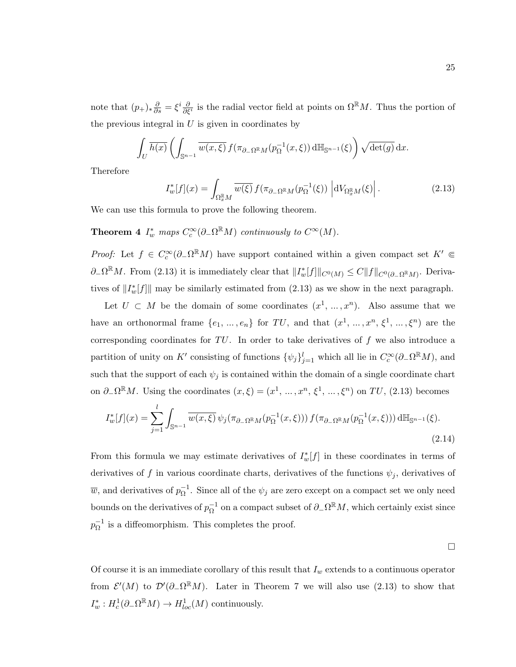note that  $(p_+)_*\frac{\partial}{\partial s} = \xi^i \frac{\partial}{\partial \xi^i}$  is the radial vector field at points on  $\Omega^{\mathbb{R}}M$ . Thus the portion of the previous integral in  $U$  is given in coordinates by

$$
\int_{U} \overline{h(x)} \left( \int_{\mathbb{S}^{n-1}} \overline{w(x,\xi)} f(\pi_{\partial_{-}\Omega^{\mathbb{R}} M}(p_{\Omega}^{-1}(x,\xi)) d\mathbb{H}_{\mathbb{S}^{n-1}}(\xi) \right) \sqrt{\det(g)} dx.
$$

Therefore

$$
I_w^*[f](x) = \int_{\Omega_x^{\mathbb{R}} M} \overline{w(\xi)} f(\pi_{\partial_- \Omega^{\mathbb{R}} M}(p_{\Omega}^{-1}(\xi)) \left| dV_{\Omega_x^{\mathbb{R}} M}(\xi) \right|.
$$
 (2.13)

We can use this formula to prove the following theorem.

# **Theorem 4**  $I_w^*$  maps  $C_c^{\infty}(\partial_{-\Omega} \mathbb{R}M)$  continuously to  $C^{\infty}(M)$ .

*Proof:* Let  $f \in C_c^{\infty}(\partial_{-}\Omega^{\mathbb{R}}M)$  have support contained within a given compact set  $K' \in$  $\partial_-\Omega^{\mathbb{R}}M$ . From (2.13) it is immediately clear that  $||I_w^*[f]||_{C^0(M)} \leq C||f||_{C^0(\partial_-\Omega^{\mathbb{R}}M)}$ . Derivatives of  $||I_w^*[f]||$  may be similarly estimated from (2.13) as we show in the next paragraph.

Let  $U \subset M$  be the domain of some coordinates  $(x^1, ..., x^n)$ . Also assume that we have an orthonormal frame  $\{e_1, \ldots, e_n\}$  for TU, and that  $(x^1, \ldots, x^n, \xi^1, \ldots, \xi^n)$  are the corresponding coordinates for  $TU$ . In order to take derivatives of f we also introduce a partition of unity on K' consisting of functions  $\{\psi_j\}_{j=1}^l$  which all lie in  $C_c^{\infty}(\partial_{-}\Omega^{\mathbb{R}}M)$ , and such that the support of each  $\psi_j$  is contained within the domain of a single coordinate chart on  $\partial_-\Omega^{\mathbb{R}}M$ . Using the coordinates  $(x,\xi)=(x^1,\ldots,x^n,\xi^1,\ldots,\xi^n)$  on  $TU$ , (2.13) becomes

$$
I_w^*[f](x) = \sum_{j=1}^l \int_{\mathbb{S}^{n-1}} \overline{w(x,\xi)} \, \psi_j(\pi_{\partial_- \Omega^{\mathbb{R}} M}(p_{\Omega}^{-1}(x,\xi))) \, f(\pi_{\partial_- \Omega^{\mathbb{R}} M}(p_{\Omega}^{-1}(x,\xi))) \, d\mathbb{H}_{\mathbb{S}^{n-1}}(\xi).
$$
\n(2.14)

From this formula we may estimate derivatives of  $I_w^*[f]$  in these coordinates in terms of derivatives of f in various coordinate charts, derivatives of the functions  $\psi_i$ , derivatives of  $\overline{w}$ , and derivatives of  $p_{\Omega}^{-1}$  $\overline{\Omega}^{-1}$ . Since all of the  $\psi_j$  are zero except on a compact set we only need bounds on the derivatives of  $p_{\Omega}^{-1}$  ${}^{-1}_{Ω}$  on a compact subset of  $∂_Ω<sup>ℝ</sup>M$ , which certainly exist since  $p_{\rm O}^{-1}$  $\overline{\Omega}^{-1}$  is a diffeomorphism. This completes the proof.

 $\Box$ 

Of course it is an immediate corollary of this result that  $I_w$  extends to a continuous operator from  $\mathcal{E}'(M)$  to  $\mathcal{D}'(\partial_{-}\Omega^{\mathbb{R}}M)$ . Later in Theorem 7 we will also use (2.13) to show that  $I_w^*: H_c^1(\partial_-\Omega^{\mathbb{R}}M) \to H_{loc}^1(M)$  continuously.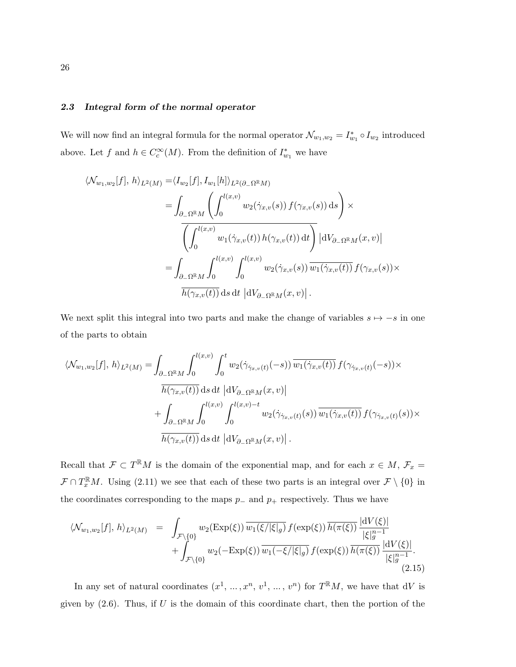### 2.3 Integral form of the normal operator

We will now find an integral formula for the normal operator  $\mathcal{N}_{w_1,w_2} = I_{w_1}^* \circ I_{w_2}$  introduced above. Let f and  $h \in C_c^{\infty}(M)$ . From the definition of  $I_{w_1}^*$  we have

$$
\langle \mathcal{N}_{w_1,w_2}[f], h \rangle_{L^2(M)} = \langle I_{w_2}[f], I_{w_1}[h] \rangle_{L^2(\partial_{-}\Omega^{\mathbb{R}}M)} \n= \int_{\partial_{-}\Omega^{\mathbb{R}}M} \left( \int_0^{l(x,v)} w_2(\dot{\gamma}_{x,v}(s)) f(\gamma_{x,v}(s)) ds \right) \times \n\overline{\left( \int_0^{l(x,v)} w_1(\dot{\gamma}_{x,v}(t)) h(\gamma_{x,v}(t)) dt \right)} |dV_{\partial_{-}\Omega^{\mathbb{R}}M}(x,v)| \n= \int_{\partial_{-}\Omega^{\mathbb{R}}M} \int_0^{l(x,v)} \int_0^{l(x,v)} w_2(\dot{\gamma}_{x,v}(s)) \overline{w_1(\dot{\gamma}_{x,v}(t))} f(\gamma_{x,v}(s)) \times \n\overline{h(\gamma_{x,v}(t))} ds dt |dV_{\partial_{-}\Omega^{\mathbb{R}}M}(x,v)|.
$$

We next split this integral into two parts and make the change of variables  $s \mapsto -s$  in one of the parts to obtain

$$
\langle \mathcal{N}_{w_1,w_2}[f], h \rangle_{L^2(M)} = \int_{\partial_{-\Omega} \mathbb{R}_M} \int_0^{l(x,v)} \int_0^t w_2(\dot{\gamma}_{\dot{\gamma}_{x,v}(t)}(-s)) \overline{w_1(\dot{\gamma}_{x,v}(t))} f(\gamma_{\dot{\gamma}_{x,v}(t)}(-s)) \times \frac{\overline{h(\gamma_{x,v}(t))}}{h(\gamma_{x,v}(t))} ds dt \, |dV_{\partial_{-\Omega} \mathbb{R}_M}(x,v)| + \int_{\partial_{-\Omega} \mathbb{R}_M} \int_0^{l(x,v)} \int_0^{l(x,v)-t} w_2(\dot{\gamma}_{\dot{\gamma}_{x,v}(t)}(s)) \overline{w_1(\dot{\gamma}_{x,v}(t))} f(\gamma_{\dot{\gamma}_{x,v}(t)}(s)) \times \frac{\overline{h(\gamma_{x,v}(t))}}{h(\gamma_{x,v}(t))} ds dt \, |dV_{\partial_{-\Omega} \mathbb{R}_M}(x,v)|.
$$

Recall that  $\mathcal{F} \subset T^{\mathbb{R}}M$  is the domain of the exponential map, and for each  $x \in M$ ,  $\mathcal{F}_x =$  $\mathcal{F} \cap T_x^{\mathbb{R}}M$ . Using (2.11) we see that each of these two parts is an integral over  $\mathcal{F} \setminus \{0\}$  in the coordinates corresponding to the maps  $p_-\$  and  $p_+\$  respectively. Thus we have

$$
\langle \mathcal{N}_{w_1, w_2}[f], h \rangle_{L^2(M)} = \int_{\mathcal{F}\backslash\{0\}} w_2(\text{Exp}(\xi)) \overline{w_1(\xi/|\xi|_g)} f(\exp(\xi)) \overline{h(\pi(\xi))} \frac{|\mathrm{d}V(\xi)|}{|\xi|_g^{n-1}} + \int_{\mathcal{F}\backslash\{0\}} w_2(-\text{Exp}(\xi)) \overline{w_1(-\xi/|\xi|_g)} f(\exp(\xi)) \overline{h(\pi(\xi))} \frac{|\mathrm{d}V(\xi)|}{|\xi|_g^{n-1}}.
$$
\n(2.15)

In any set of natural coordinates  $(x^1, ..., x^n, v^1, ..., v^n)$  for  $T^{\mathbb{R}}M$ , we have that dV is given by  $(2.6)$ . Thus, if U is the domain of this coordinate chart, then the portion of the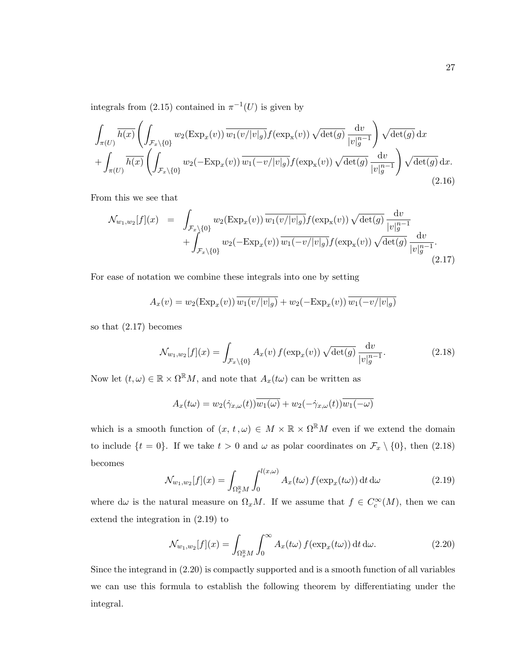integrals from (2.15) contained in  $\pi^{-1}(U)$  is given by

$$
\int_{\pi(U)} \overline{h(x)} \left( \int_{\mathcal{F}_x \backslash \{0\}} w_2(\text{Exp}_x(v)) \overline{w_1(v/|v|_g)} f(\exp_x(v)) \sqrt{\det(g)} \frac{\mathrm{d}v}{|v|_g^{n-1}} \right) \sqrt{\det(g)} \, \mathrm{d}x \n+ \int_{\pi(U)} \overline{h(x)} \left( \int_{\mathcal{F}_x \backslash \{0\}} w_2(-\text{Exp}_x(v)) \overline{w_1(-v/|v|_g)} f(\exp_x(v)) \sqrt{\det(g)} \frac{\mathrm{d}v}{|v|_g^{n-1}} \right) \sqrt{\det(g)} \, \mathrm{d}x.
$$
\n(2.16)

From this we see that

$$
\mathcal{N}_{w_1, w_2}[f](x) = \int_{\mathcal{F}_x \setminus \{0\}} w_2(\text{Exp}_x(v)) \overline{w_1(v/|v|_g)} f(\exp_x(v)) \sqrt{\det(g)} \frac{\mathrm{d}v}{|v|_g^{n-1}} + \int_{\mathcal{F}_x \setminus \{0\}} w_2(-\text{Exp}_x(v)) \overline{w_1(-v/|v|_g)} f(\exp_x(v)) \sqrt{\det(g)} \frac{\mathrm{d}v}{|v|_g^{n-1}}.
$$
\n(2.17)

For ease of notation we combine these integrals into one by setting

$$
A_x(v) = w_2(\text{Exp}_x(v)) \overline{w_1(v/|v|_g)} + w_2(-\text{Exp}_x(v)) \overline{w_1(-v/|v|_g)}
$$

so that (2.17) becomes

$$
\mathcal{N}_{w_1, w_2}[f](x) = \int_{\mathcal{F}_x \setminus \{0\}} A_x(v) f(\exp_x(v)) \sqrt{\det(g)} \frac{\mathrm{d}v}{|v|_g^{n-1}}.
$$
\n(2.18)

Now let  $(t, \omega) \in \mathbb{R} \times \Omega^{\mathbb{R}} M$ , and note that  $A_x(t\omega)$  can be written as

$$
A_x(t\omega) = w_2(\dot{\gamma}_{x,\omega}(t))\overline{w_1(\omega)} + w_2(-\dot{\gamma}_{x,\omega}(t))\overline{w_1(-\omega)}
$$

which is a smooth function of  $(x, t, \omega) \in M \times \mathbb{R} \times \Omega^{\mathbb{R}}M$  even if we extend the domain to include  $\{t = 0\}$ . If we take  $t > 0$  and  $\omega$  as polar coordinates on  $\mathcal{F}_x \setminus \{0\}$ , then (2.18) becomes

$$
\mathcal{N}_{w_1, w_2}[f](x) = \int_{\Omega_x^{\mathbb{R}} M} \int_0^{l(x, \omega)} A_x(t\omega) f(\exp_x(t\omega)) dt d\omega \qquad (2.19)
$$

where d $\omega$  is the natural measure on  $\Omega_x M$ . If we assume that  $f \in C_c^{\infty}(M)$ , then we can extend the integration in (2.19) to

$$
\mathcal{N}_{w_1, w_2}[f](x) = \int_{\Omega_x^{\mathbb{R}} M} \int_0^\infty A_x(t\omega) f(\exp_x(t\omega)) dt d\omega.
$$
 (2.20)

Since the integrand in (2.20) is compactly supported and is a smooth function of all variables we can use this formula to establish the following theorem by differentiating under the integral.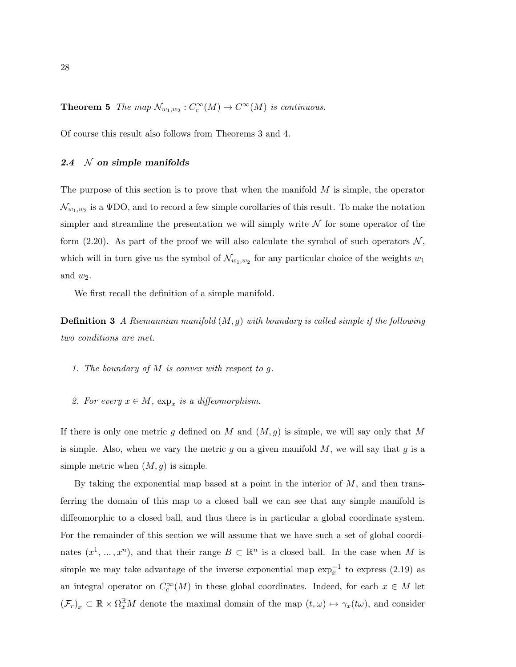**Theorem 5** The map  $\mathcal{N}_{w_1,w_2}: C_c^{\infty}(M) \to C^{\infty}(M)$  is continuous.

Of course this result also follows from Theorems 3 and 4.

### 2.4  $\mathcal N$  on simple manifolds

The purpose of this section is to prove that when the manifold  $M$  is simple, the operator  $\mathcal{N}_{w_1,w_2}$  is a  $\operatorname{\Psi DO}$ , and to record a few simple corollaries of this result. To make the notation simpler and streamline the presentation we will simply write  $N$  for some operator of the form (2.20). As part of the proof we will also calculate the symbol of such operators  $\mathcal{N}$ , which will in turn give us the symbol of  $\mathcal{N}_{w_1,w_2}$  for any particular choice of the weights  $w_1$ and  $w_2$ .

We first recall the definition of a simple manifold.

**Definition 3** A Riemannian manifold  $(M, g)$  with boundary is called simple if the following two conditions are met.

- 1. The boundary of  $M$  is convex with respect to  $q$ .
- 2. For every  $x \in M$ ,  $\exp_x$  is a diffeomorphism.

If there is only one metric g defined on M and  $(M, g)$  is simple, we will say only that M is simple. Also, when we vary the metric  $g$  on a given manifold  $M$ , we will say that  $g$  is a simple metric when  $(M, g)$  is simple.

By taking the exponential map based at a point in the interior of  $M$ , and then transferring the domain of this map to a closed ball we can see that any simple manifold is diffeomorphic to a closed ball, and thus there is in particular a global coordinate system. For the remainder of this section we will assume that we have such a set of global coordinates  $(x^1, ..., x^n)$ , and that their range  $B \subset \mathbb{R}^n$  is a closed ball. In the case when M is simple we may take advantage of the inverse exponential map  $\exp_x^{-1}$  to express (2.19) as an integral operator on  $C_c^{\infty}(M)$  in these global coordinates. Indeed, for each  $x \in M$  let  $(\mathcal{F}_r)_x \subset \mathbb{R} \times \Omega_x^{\mathbb{R}} M$  denote the maximal domain of the map  $(t,\omega) \mapsto \gamma_x(t\omega)$ , and consider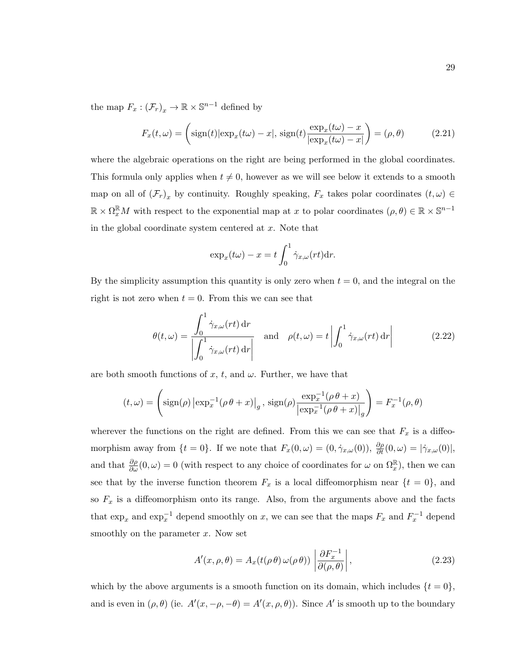the map  $F_x: (\mathcal{F}_r)_x \to \mathbb{R} \times \mathbb{S}^{n-1}$  defined by

$$
F_x(t,\omega) = \left(\text{sign}(t)|\exp_x(t\omega) - x|, \text{ sign}(t)\frac{\exp_x(t\omega) - x}{|\exp_x(t\omega) - x|}\right) = (\rho, \theta)
$$
\n(2.21)

where the algebraic operations on the right are being performed in the global coordinates. This formula only applies when  $t \neq 0$ , however as we will see below it extends to a smooth map on all of  $(\mathcal{F}_r)_x$  by continuity. Roughly speaking,  $F_x$  takes polar coordinates  $(t,\omega) \in$  $\mathbb{R} \times \Omega_x^{\mathbb{R}}M$  with respect to the exponential map at x to polar coordinates  $(\rho, \theta) \in \mathbb{R} \times \mathbb{S}^{n-1}$ in the global coordinate system centered at  $x$ . Note that

$$
\exp_x(t\omega) - x = t \int_0^1 \dot{\gamma}_{x,\omega}(rt) dr.
$$

By the simplicity assumption this quantity is only zero when  $t = 0$ , and the integral on the right is not zero when  $t = 0$ . From this we can see that

$$
\theta(t,\omega) = \frac{\int_0^1 \dot{\gamma}_{x,\omega}(rt) dr}{\left| \int_0^1 \dot{\gamma}_{x,\omega}(rt) dr \right|} \quad \text{and} \quad \rho(t,\omega) = t \left| \int_0^1 \dot{\gamma}_{x,\omega}(rt) dr \right| \tag{2.22}
$$

are both smooth functions of x, t, and  $\omega$ . Further, we have that

$$
(t,\omega) = \left(\operatorname{sign}(\rho) \left| \exp_x^{-1}(\rho \theta + x) \right|_{g}, \operatorname{sign}(\rho) \frac{\exp_x^{-1}(\rho \theta + x)}{\left| \exp_x^{-1}(\rho \theta + x) \right|_{g}}\right) = F_x^{-1}(\rho, \theta)
$$

wherever the functions on the right are defined. From this we can see that  $F_x$  is a diffeomorphism away from  $\{t=0\}$ . If we note that  $F_x(0,\omega) = (0, \dot{\gamma}_{x,\omega}(0)), \frac{\partial \rho}{\partial t}(0,\omega) = |\dot{\gamma}_{x,\omega}(0)|$ , and that  $\frac{\partial \rho}{\partial \omega}(0,\omega) = 0$  (with respect to any choice of coordinates for  $\omega$  on  $\Omega_x^{\mathbb{R}}$ ), then we can see that by the inverse function theorem  $F_x$  is a local diffeomorphism near  $\{t = 0\}$ , and so  $F_x$  is a diffeomorphism onto its range. Also, from the arguments above and the facts that  $\exp_x$  and  $\exp_x^{-1}$  depend smoothly on x, we can see that the maps  $F_x$  and  $F_x^{-1}$  depend smoothly on the parameter  $x$ . Now set

$$
A'(x,\rho,\theta) = A_x(t(\rho\theta)\,\omega(\rho\,\theta))\left|\frac{\partial F_x^{-1}}{\partial(\rho,\theta)}\right|,\tag{2.23}
$$

which by the above arguments is a smooth function on its domain, which includes  $\{t = 0\}$ , and is even in  $(\rho, \theta)$  (ie.  $A'(x, -\rho, -\theta) = A'(x, \rho, \theta)$ ). Since A' is smooth up to the boundary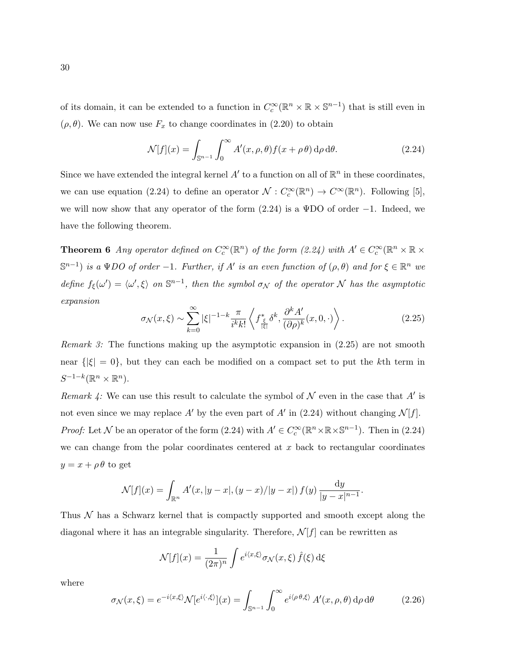of its domain, it can be extended to a function in  $C_c^{\infty}(\mathbb{R}^n \times \mathbb{R} \times \mathbb{S}^{n-1})$  that is still even in  $(\rho, \theta)$ . We can now use  $F_x$  to change coordinates in (2.20) to obtain

$$
\mathcal{N}[f](x) = \int_{\mathbb{S}^{n-1}} \int_0^\infty A'(x,\rho,\theta) f(x+\rho\theta) \,d\rho \,d\theta. \tag{2.24}
$$

Since we have extended the integral kernel  $A'$  to a function on all of  $\mathbb{R}^n$  in these coordinates, we can use equation (2.24) to define an operator  $\mathcal{N}: C_c^{\infty}(\mathbb{R}^n) \to C^{\infty}(\mathbb{R}^n)$ . Following [5], we will now show that any operator of the form  $(2.24)$  is a ΨDO of order  $-1$ . Indeed, we have the following theorem.

**Theorem 6** Any operator defined on  $C_c^{\infty}(\mathbb{R}^n)$  of the form  $(2.24)$  with  $A' \in C_c^{\infty}(\mathbb{R}^n \times \mathbb{R} \times$  $\mathbb{S}^{n-1}$ ) is a  $\Psi DO$  of order -1. Further, if A' is an even function of  $(\rho, \theta)$  and for  $\xi \in \mathbb{R}^n$  we define  $f_{\xi}(\omega') = \langle \omega', \xi \rangle$  on  $\mathbb{S}^{n-1}$ , then the symbol  $\sigma_{\mathcal{N}}$  of the operator N has the asymptotic expansion

$$
\sigma_{\mathcal{N}}(x,\xi) \sim \sum_{k=0}^{\infty} |\xi|^{-1-k} \frac{\pi}{i^k k!} \left\langle f^*_{\frac{\xi}{|\xi|}} \delta^k, \frac{\partial^k A'}{(\partial \rho)^k} (x,0,\cdot) \right\rangle. \tag{2.25}
$$

Remark 3: The functions making up the asymptotic expansion in (2.25) are not smooth near  $\{|\xi|=0\}$ , but they can each be modified on a compact set to put the kth term in  $S^{-1-k}(\mathbb{R}^n\times\mathbb{R}^n).$ 

Remark 4: We can use this result to calculate the symbol of  $\mathcal N$  even in the case that  $A'$  is not even since we may replace A' by the even part of A' in (2.24) without changing  $\mathcal{N}[f]$ . *Proof:* Let N be an operator of the form  $(2.24)$  with  $A' \in C_c^{\infty}(\mathbb{R}^n \times \mathbb{R} \times \mathbb{S}^{n-1})$ . Then in  $(2.24)$ we can change from the polar coordinates centered at  $x$  back to rectangular coordinates  $y = x + \rho \theta$  to get

$$
\mathcal{N}[f](x) = \int_{\mathbb{R}^n} A'(x, |y-x|, (y-x)/|y-x|) f(y) \frac{dy}{|y-x|^{n-1}}.
$$

Thus  $\mathcal N$  has a Schwarz kernel that is compactly supported and smooth except along the diagonal where it has an integrable singularity. Therefore,  $\mathcal{N}[f]$  can be rewritten as

$$
\mathcal{N}[f](x) = \frac{1}{(2\pi)^n} \int e^{i\langle x,\xi\rangle} \sigma_{\mathcal{N}}(x,\xi) \,\hat{f}(\xi) \,\mathrm{d}\xi
$$

where

$$
\sigma_{\mathcal{N}}(x,\xi) = e^{-i\langle x,\xi\rangle} \mathcal{N}[e^{i\langle \cdot,\xi\rangle}](x) = \int_{\mathbb{S}^{n-1}} \int_0^\infty e^{i\langle \rho\theta,\xi\rangle} A'(x,\rho,\theta) \,d\rho \,d\theta \tag{2.26}
$$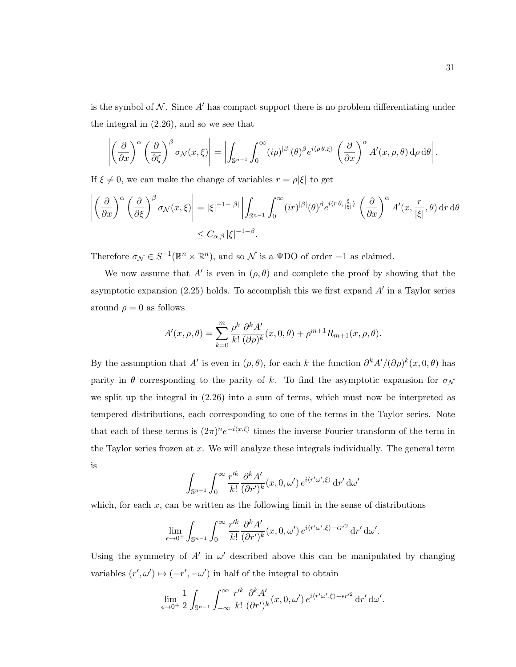is the symbol of  $N$ . Since  $A'$  has compact support there is no problem differentiating under the integral in (2.26), and so we see that

$$
\left| \left( \frac{\partial}{\partial x} \right)^{\alpha} \left( \frac{\partial}{\partial \xi} \right)^{\beta} \sigma_{\mathcal{N}}(x, \xi) \right| = \left| \int_{\mathbb{S}^{n-1}} \int_{0}^{\infty} (i \rho)^{|\beta|} (\theta)^{\beta} e^{i \langle \rho \theta, \xi \rangle} \left( \frac{\partial}{\partial x} \right)^{\alpha} A'(x, \rho, \theta) d\rho d\theta \right|.
$$

If  $\xi \neq 0$ , we can make the change of variables  $r = \rho |\xi|$  to get

$$
\left| \left( \frac{\partial}{\partial x} \right)^{\alpha} \left( \frac{\partial}{\partial \xi} \right)^{\beta} \sigma_{\mathcal{N}}(x, \xi) \right| = |\xi|^{-1 - |\beta|} \left| \int_{\mathbb{S}^{n-1}} \int_{0}^{\infty} (ir)^{|\beta|} (\theta)^{\beta} e^{i \langle r \theta, \frac{\xi}{|\xi|} \rangle} \left( \frac{\partial}{\partial x} \right)^{\alpha} A'(x, \frac{r}{|\xi|}, \theta) dr d\theta \right|
$$
  

$$
\leq C_{\alpha, \beta} |\xi|^{-1 - \beta}.
$$

Therefore  $\sigma_{\mathcal{N}} \in S^{-1}(\mathbb{R}^n \times \mathbb{R}^n)$ , and so  $\mathcal N$  is a  $\Psi$ DO of order -1 as claimed.

We now assume that A' is even in  $(\rho, \theta)$  and complete the proof by showing that the asymptotic expansion  $(2.25)$  holds. To accomplish this we first expand  $A'$  in a Taylor series around  $\rho = 0$  as follows

$$
A'(x, \rho, \theta) = \sum_{k=0}^{m} \frac{\rho^k}{k!} \frac{\partial^k A'}{(\partial \rho)^k} (x, 0, \theta) + \rho^{m+1} R_{m+1}(x, \rho, \theta).
$$

By the assumption that A' is even in  $(\rho, \theta)$ , for each k the function  $\partial^k A'/(\partial \rho)^k(x, 0, \theta)$  has parity in  $\theta$  corresponding to the parity of k. To find the asymptotic expansion for  $\sigma_{\mathcal{N}}$ we split up the integral in (2.26) into a sum of terms, which must now be interpreted as tempered distributions, each corresponding to one of the terms in the Taylor series. Note that each of these terms is  $(2\pi)^n e^{-i\langle x,\xi\rangle}$  times the inverse Fourier transform of the term in the Taylor series frozen at  $x$ . We will analyze these integrals individually. The general term is

$$
\int_{\mathbb{S}^{n-1}} \int_0^\infty \frac{r'^k}{k!} \frac{\partial^k A'}{(\partial r')^k} (x, 0, \omega') e^{i \langle r' \omega', \xi \rangle} \, \mathrm{d}r' \, \mathrm{d}\omega'
$$

which, for each  $x$ , can be written as the following limit in the sense of distributions

$$
\lim_{\epsilon \to 0^+} \int_{\mathbb{S}^{n-1}} \int_0^\infty \frac{r'^k}{k!} \frac{\partial^k A'}{(\partial r')^k} (x, 0, \omega') e^{i \langle r' \omega', \xi \rangle - \epsilon r'^2} \, \mathrm{d} r' \, \mathrm{d} \omega'.
$$

Using the symmetry of  $A'$  in  $\omega'$  described above this can be manipulated by changing variables  $(r', \omega') \mapsto (-r', -\omega')$  in half of the integral to obtain

$$
\lim_{\epsilon \to 0^+} \frac{1}{2} \int_{\mathbb{S}^{n-1}} \int_{-\infty}^{\infty} \frac{r'^k}{k!} \frac{\partial^k A'}{(\partial r')^k} (x, 0, \omega') e^{i \langle r' \omega', \xi \rangle - \epsilon r'^2} \, \mathrm{d}r' \, \mathrm{d}\omega'.
$$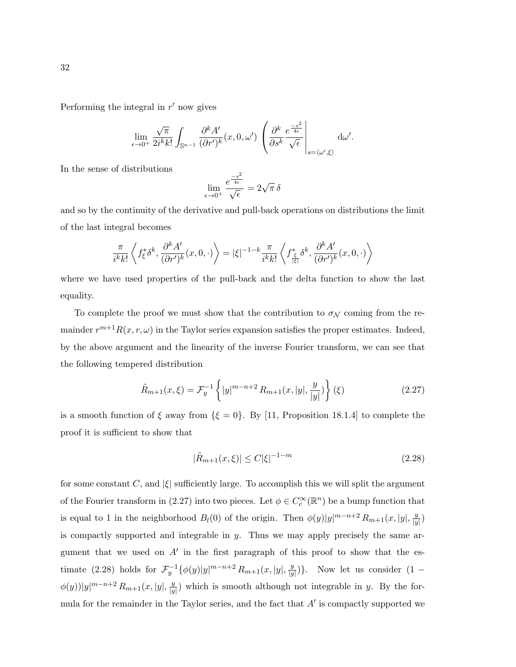Performing the integral in  $r'$  now gives

$$
\lim_{\epsilon \to 0^+} \frac{\sqrt{\pi}}{2i^k k!} \int_{\mathbb{S}^{n-1}} \frac{\partial^k A'}{(\partial r')^k} (x, 0, \omega') \left( \frac{\partial^k}{\partial s^k} \frac{e^{\frac{-s^2}{4\epsilon}}}{\sqrt{\epsilon}} \right)_{s = \langle \omega', \xi \rangle} d\omega'.
$$

In the sense of distributions

$$
\lim_{\epsilon \to 0^+} \frac{e^{\frac{-s^2}{4\epsilon}}}{\sqrt{\epsilon}} = 2\sqrt{\pi} \,\delta
$$

and so by the continuity of the derivative and pull-back operations on distributions the limit of the last integral becomes

$$
\frac{\pi}{i^k k!} \left\langle f_{\xi}^* \delta^k, \frac{\partial^k A'}{(\partial r')^k} (x, 0, \cdot) \right\rangle = |\xi|^{-1-k} \frac{\pi}{i^k k!} \left\langle f_{\frac{\xi}{|\xi|}}^* \delta^k, \frac{\partial^k A'}{(\partial r')^k} (x, 0, \cdot) \right\rangle
$$

where we have used properties of the pull-back and the delta function to show the last equality.

To complete the proof we must show that the contribution to  $\sigma_{\mathcal{N}}$  coming from the remainder  $r^{m+1}R(x, r, \omega)$  in the Taylor series expansion satisfies the proper estimates. Indeed, by the above argument and the linearity of the inverse Fourier transform, we can see that the following tempered distribution

$$
\tilde{R}_{m+1}(x,\xi) = \mathcal{F}_y^{-1} \left\{ |y|^{m-n+2} R_{m+1}(x,|y|,\frac{y}{|y|}) \right\}(\xi)
$$
\n(2.27)

is a smooth function of  $\xi$  away from  $\{\xi = 0\}$ . By [11, Proposition 18.1.4] to complete the proof it is sufficient to show that

$$
|\tilde{R}_{m+1}(x,\xi)| \le C|\xi|^{-1-m} \tag{2.28}
$$

for some constant C, and  $|\xi|$  sufficiently large. To accomplish this we will split the argument of the Fourier transform in (2.27) into two pieces. Let  $\phi \in C_c^{\infty}(\mathbb{R}^n)$  be a bump function that is equal to 1 in the neighborhood  $B_l(0)$  of the origin. Then  $\phi(y)|y|^{m-n+2} R_{m+1}(x, |y|, \frac{y}{|y|})$  $\frac{y}{|y|})$ is compactly supported and integrable in  $y$ . Thus we may apply precisely the same argument that we used on  $A'$  in the first paragraph of this proof to show that the estimate (2.28) holds for  $\mathcal{F}_y^{-1}\{\phi(y)|y|^{m-n+2} R_{m+1}(x,|y|,\frac{y}{|y|})\}$  $\frac{y}{|y|}$ ). Now let us consider  $(1 \phi(y))|y|^{m-n+2} R_{m+1}(x,|y|,\frac{y}{|y|})$  $\frac{y}{|y|}$ ) which is smooth although not integrable in y. By the formula for the remainder in the Taylor series, and the fact that  $A'$  is compactly supported we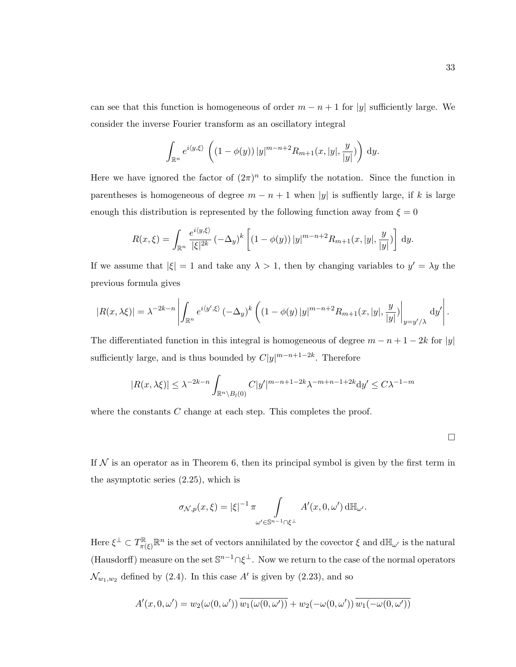can see that this function is homogeneous of order  $m - n + 1$  for |y| sufficiently large. We consider the inverse Fourier transform as an oscillatory integral

$$
\int_{\mathbb{R}^n} e^{i\langle y,\xi \rangle} \left( (1 - \phi(y)) |y|^{m-n+2} R_{m+1}(x,|y|,\frac{y}{|y|}) \right) dy.
$$

Here we have ignored the factor of  $(2\pi)^n$  to simplify the notation. Since the function in parentheses is homogeneous of degree  $m - n + 1$  when |y| is suffiently large, if k is large enough this distribution is represented by the following function away from  $\xi = 0$ 

$$
R(x,\xi) = \int_{\mathbb{R}^n} \frac{e^{i\langle y,\xi\rangle}}{|\xi|^{2k}} \left( -\Delta_y \right)^k \left[ (1-\phi(y)) |y|^{m-n+2} R_{m+1}(x,|y|,\frac{y}{|y|}) \right] dy.
$$

If we assume that  $|\xi| = 1$  and take any  $\lambda > 1$ , then by changing variables to  $y' = \lambda y$  the previous formula gives

$$
|R(x,\lambda\xi)| = \lambda^{-2k-n} \left| \int_{\mathbb{R}^n} e^{i\langle y',\xi \rangle} \left( -\Delta_y \right)^k \left( \left( 1 - \phi(y) \, |y|^{m-n+2} R_{m+1}(x,|y|,\frac{y}{|y|}) \right|_{y=y'/\lambda} \, dy' \right|.
$$

The differentiated function in this integral is homogeneous of degree  $m - n + 1 - 2k$  for |y| sufficiently large, and is thus bounded by  $C|y|^{m-n+1-2k}$ . Therefore

$$
|R(x,\lambda\xi)| \le \lambda^{-2k-n} \int_{\mathbb{R}^n \setminus B_l(0)} C|y'|^{m-n+1-2k} \lambda^{-m+n-1+2k} dy' \le C\lambda^{-1-m}
$$

where the constants  $C$  change at each step. This completes the proof.

 $\Box$ 

If  $N$  is an operator as in Theorem 6, then its principal symbol is given by the first term in the asymptotic series (2.25), which is

$$
\sigma_{\mathcal{N},p}(x,\xi) = |\xi|^{-1} \pi \int_{\omega' \in \mathbb{S}^{n-1} \cap \xi^{\perp}} A'(x,0,\omega') \, d\mathbb{H}_{\omega'}.
$$

Here  $\xi^{\perp} \subset T^{\mathbb{R}}_{\pi(\xi)} \mathbb{R}^n$  is the set of vectors annihilated by the covector  $\xi$  and  $d\mathbb{H}_{\omega'}$  is the natural (Hausdorff) measure on the set  $\mathbb{S}^{n-1}\cap \xi^{\perp}$ . Now we return to the case of the normal operators  $\mathcal{N}_{w_1,w_2}$  defined by (2.4). In this case A' is given by (2.23), and so

$$
A'(x,0,\omega') = w_2(\omega(0,\omega'))\overline{w_1(\omega(0,\omega'))} + w_2(-\omega(0,\omega'))\overline{w_1(-\omega(0,\omega'))}
$$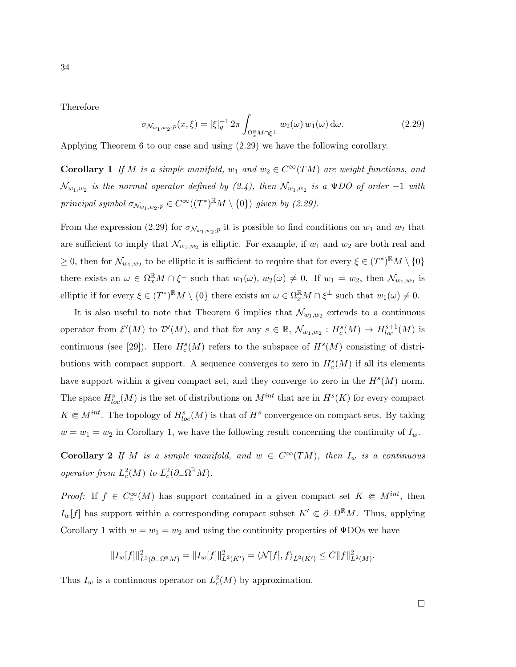Therefore

$$
\sigma_{\mathcal{N}_{w_1,w_2},p}(x,\xi) = |\xi|_g^{-1} 2\pi \int_{\Omega_x^{\mathbb{R}} M \cap \xi^{\perp}} w_2(\omega) \overline{w_1(\omega)} \, d\omega.
$$
\n(2.29)

Applying Theorem 6 to our case and using (2.29) we have the following corollary.

**Corollary 1** If M is a simple manifold,  $w_1$  and  $w_2 \in C^\infty(TM)$  are weight functions, and  $\mathcal{N}_{w_1,w_2}$  is the normal operator defined by (2.4), then  $\mathcal{N}_{w_1,w_2}$  is a  $\operatorname{\Psi DO}$  of order  $-1$  with principal symbol  $\sigma_{\mathcal{N}_{w_1,w_2},p} \in C^{\infty}((T^*)^{\mathbb{R}}M \setminus \{0\})$  given by (2.29).

From the expression (2.29) for  $\sigma_{\mathcal{N}_{w_1,w_2},p}$  it is possible to find conditions on  $w_1$  and  $w_2$  that are sufficient to imply that  $\mathcal{N}_{w_1,w_2}$  is elliptic. For example, if  $w_1$  and  $w_2$  are both real and  $\geq 0$ , then for  $\mathcal{N}_{w_1,w_2}$  to be elliptic it is sufficient to require that for every  $\xi \in (T^*)^{\mathbb{R}}M \setminus \{0\}$ there exists an  $\omega \in \Omega_x^{\mathbb{R}} M \cap \xi^{\perp}$  such that  $w_1(\omega), w_2(\omega) \neq 0$ . If  $w_1 = w_2$ , then  $\mathcal{N}_{w_1,w_2}$  is elliptic if for every  $\xi \in (T^*)^{\mathbb{R}}M \setminus \{0\}$  there exists an  $\omega \in \Omega_x^{\mathbb{R}}M \cap \xi^{\perp}$  such that  $w_1(\omega) \neq 0$ .

It is also useful to note that Theorem 6 implies that  $\mathcal{N}_{w_1,w_2}$  extends to a continuous operator from  $\mathcal{E}'(M)$  to  $\mathcal{D}'(M)$ , and that for any  $s \in \mathbb{R}$ ,  $\mathcal{N}_{w_1,w_2}: H_c^s(M) \to H_{loc}^{s+1}(M)$  is continuous (see [29]). Here  $H_c^s(M)$  refers to the subspace of  $H^s(M)$  consisting of distributions with compact support. A sequence converges to zero in  $H_c^s(M)$  if all its elements have support within a given compact set, and they converge to zero in the  $H<sup>s</sup>(M)$  norm. The space  $H^{s}_{loc}(M)$  is the set of distributions on  $M^{int}$  that are in  $H^{s}(K)$  for every compact  $K \in M^{int}$ . The topology of  $H^{s}_{loc}(M)$  is that of  $H^{s}$  convergence on compact sets. By taking  $w = w_1 = w_2$  in Corollary 1, we have the following result concerning the continuity of  $I_w$ .

Corollary 2 If M is a simple manifold, and  $w \in C^{\infty}(TM)$ , then  $I_w$  is a continuous operator from  $L_c^2(M)$  to  $L_c^2(\partial_-\Omega^{\mathbb{R}}M)$ .

*Proof:* If  $f \in C_c^{\infty}(M)$  has support contained in a given compact set  $K \subseteq M^{int}$ , then  $I_w[f]$  has support within a corresponding compact subset  $K' \in \partial_{-}\Omega^{\mathbb{R}}M$ . Thus, applying Corollary 1 with  $w = w_1 = w_2$  and using the continuity properties of  $\Psi$ DOs we have

$$
||I_w[f]||_{L^2(\partial_{-}\Omega^{\mathbb{R}}M)}^2 = ||I_w[f]||_{L^2(K')}^2 = \langle \mathcal{N}[f], f \rangle_{L^2(K')} \leq C||f||_{L^2(M)}^2.
$$

Thus  $I_w$  is a continuous operator on  $L_c^2(M)$  by approximation.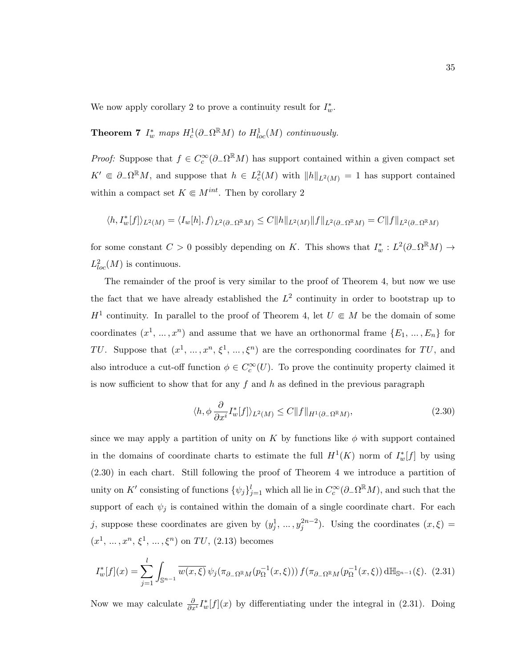We now apply corollary 2 to prove a continuity result for  $I^*_{w}$ .

**Theorem 7**  $I_w^*$  maps  $H_c^1(\partial_\Omega \Omega^{\mathbb{R}} M)$  to  $H_{loc}^1(M)$  continuously.

*Proof:* Suppose that  $f \in C_c^{\infty}(\partial_{-}\Omega^{\mathbb{R}}M)$  has support contained within a given compact set  $K' \in \partial_{-}\Omega^{\mathbb{R}}M$ , and suppose that  $h \in L_c^2(M)$  with  $||h||_{L^2(M)} = 1$  has support contained within a compact set  $K \in M^{int}$ . Then by corollary 2

$$
\langle h, I_w^*[f]\rangle_{L^2(M)}=\langle I_w[h], f\rangle_{L^2(\partial_-\Omega^\mathbb{R} M)}\leq C\|h\|_{L^2(M)}\|f\|_{L^2(\partial_-\Omega^\mathbb{R} M)}=C\|f\|_{L^2(\partial_-\Omega^\mathbb{R} M)}
$$

for some constant  $C > 0$  possibly depending on K. This shows that  $I_w^* : L^2(\partial_{-}\Omega^{\mathbb{R}}M) \to$  $L^2_{loc}(M)$  is continuous.

The remainder of the proof is very similar to the proof of Theorem 4, but now we use the fact that we have already established the  $L^2$  continuity in order to bootstrap up to  $H^1$  continuity. In parallel to the proof of Theorem 4, let  $U \in M$  be the domain of some coordinates  $(x^1, ..., x^n)$  and assume that we have an orthonormal frame  $\{E_1, ..., E_n\}$  for TU. Suppose that  $(x^1, ..., x^n, \xi^1, ..., \xi^n)$  are the corresponding coordinates for TU, and also introduce a cut-off function  $\phi \in C_c^{\infty}(U)$ . To prove the continuity property claimed it is now sufficient to show that for any f and h as defined in the previous paragraph

$$
\langle h, \phi \frac{\partial}{\partial x^i} I_w^*[f] \rangle_{L^2(M)} \le C \|f\|_{H^1(\partial_- \Omega^{\mathbb{R}} M)},\tag{2.30}
$$

since we may apply a partition of unity on K by functions like  $\phi$  with support contained in the domains of coordinate charts to estimate the full  $H^1(K)$  norm of  $I_w^*[f]$  by using (2.30) in each chart. Still following the proof of Theorem 4 we introduce a partition of unity on K' consisting of functions  $\{\psi_j\}_{j=1}^l$  which all lie in  $C_c^{\infty}(\partial_{-}\Omega^{\mathbb{R}}M)$ , and such that the support of each  $\psi_j$  is contained within the domain of a single coordinate chart. For each j, suppose these coordinates are given by  $(y_j^1, \ldots, y_j^{2n-2})$ . Using the coordinates  $(x, \xi)$  =  $(x^1, ..., x^n, \xi^1, ..., \xi^n)$  on TU, (2.13) becomes

$$
I_w^*[f](x) = \sum_{j=1}^l \int_{\mathbb{S}^{n-1}} \overline{w(x,\xi)} \, \psi_j(\pi_{\partial_- \Omega^{\mathbb{R}} M}(p_{\Omega}^{-1}(x,\xi))) \, f(\pi_{\partial_- \Omega^{\mathbb{R}} M}(p_{\Omega}^{-1}(x,\xi)) \, d\mathbb{H}_{\mathbb{S}^{n-1}}(\xi). \tag{2.31}
$$

Now we may calculate  $\frac{\partial}{\partial x^i} I_w^*[f](x)$  by differentiating under the integral in (2.31). Doing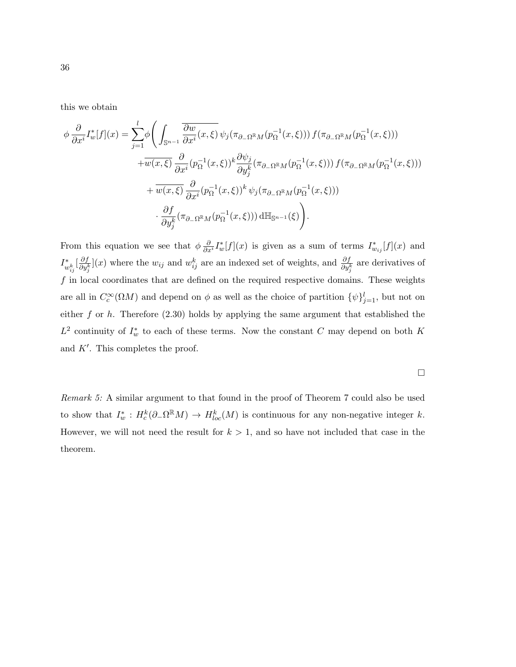this we obtain

$$
\phi \frac{\partial}{\partial x^{i}} I_{w}^{*}[f](x) = \sum_{j=1}^{l} \phi \Biggl( \int_{\mathbb{S}^{n-1}} \frac{\overline{\partial w}}{\partial x^{i}}(x,\xi) \psi_{j}(\pi_{\partial_{-\Omega}^{\mathbb{R}}M}(p_{\Omega}^{-1}(x,\xi))) f(\pi_{\partial_{-\Omega}^{\mathbb{R}}M}(p_{\Omega}^{-1}(x,\xi))) \n+ \overline{w(x,\xi)} \frac{\partial}{\partial x^{i}} (p_{\Omega}^{-1}(x,\xi))^{k} \frac{\partial \psi_{j}}{\partial y_{j}^{k}}(\pi_{\partial_{-\Omega}^{\mathbb{R}}M}(p_{\Omega}^{-1}(x,\xi))) f(\pi_{\partial_{-\Omega}^{\mathbb{R}}M}(p_{\Omega}^{-1}(x,\xi))) \n+ \overline{w(x,\xi)} \frac{\partial}{\partial x^{i}} (p_{\Omega}^{-1}(x,\xi))^{k} \psi_{j}(\pi_{\partial_{-\Omega}^{\mathbb{R}}M}(p_{\Omega}^{-1}(x,\xi))) \n\cdot \frac{\partial f}{\partial y_{j}^{k}} (\pi_{\partial_{-\Omega}^{\mathbb{R}}M}(p_{\Omega}^{-1}(x,\xi))) \, d\mathbb{H}_{\mathbb{S}^{n-1}}(\xi) \Biggr).
$$

From this equation we see that  $\phi \frac{\partial}{\partial x^i} I_w^*[f](x)$  is given as a sum of terms  $I_{w_{ij}}^*[f](x)$  and  $I^*_{w_{ij}^k}[\frac{\partial f}{\partial y_j^k}$  $\frac{\partial f}{\partial y_j^k}$  are the  $w_{ij}$  and  $w_{ij}^k$  are an indexed set of weights, and  $\frac{\partial f}{\partial y_j^k}$  are derivatives of  $f$  in local coordinates that are defined on the required respective domains. These weights are all in  $C_c^{\infty}(\Omega M)$  and depend on  $\phi$  as well as the choice of partition  $\{\psi\}_{j=1}^l$ , but not on either  $f$  or  $h$ . Therefore (2.30) holds by applying the same argument that established the  $L^2$  continuity of  $I_w^*$  to each of these terms. Now the constant C may depend on both K and  $K'$ . This completes the proof.

 $\Box$ 

Remark 5: A similar argument to that found in the proof of Theorem 7 could also be used to show that  $I_w^*: H_c^k(\partial_\Omega \Omega^{\mathbb{R}} M) \to H_{loc}^k(M)$  is continuous for any non-negative integer k. However, we will not need the result for  $k > 1$ , and so have not included that case in the theorem.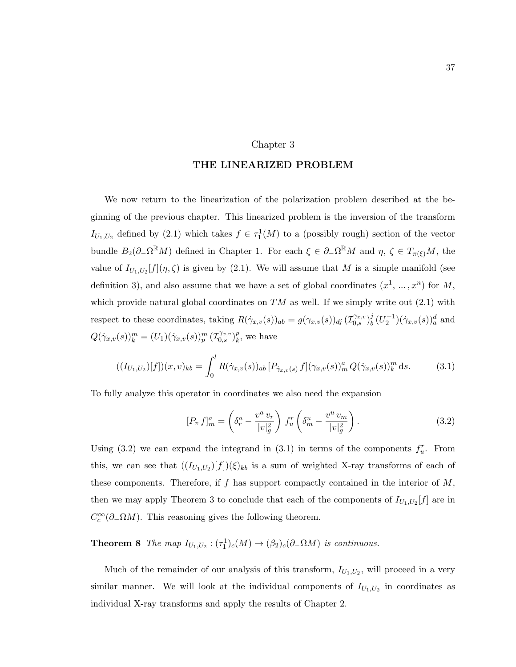#### Chapter 3

#### THE LINEARIZED PROBLEM

We now return to the linearization of the polarization problem described at the beginning of the previous chapter. This linearized problem is the inversion of the transform  $I_{U_1,U_2}$  defined by (2.1) which takes  $f \in \tau_1^1(M)$  to a (possibly rough) section of the vector bundle  $B_2(\partial_-\Omega^{\mathbb{R}}M)$  defined in Chapter 1. For each  $\xi \in \partial_-\Omega^{\mathbb{R}}M$  and  $\eta, \zeta \in T_{\pi(\xi)}M$ , the value of  $I_{U_1,U_2}[f](\eta,\zeta)$  is given by (2.1). We will assume that M is a simple manifold (see definition 3), and also assume that we have a set of global coordinates  $(x^1, ..., x^n)$  for M, which provide natural global coordinates on  $TM$  as well. If we simply write out  $(2.1)$  with respect to these coordinates, taking  $R(\dot{\gamma}_{x,v}(s))_{ab} = g(\gamma_{x,v}(s))_{dy} (\mathcal{I}_{0,s}^{\gamma_{x,v}})_b^j$  $_{b}^{j}\,(U_{2}^{-1})(\dot{\gamma}_{x,v}(s))_{a}^{d}$  and  $Q(\dot{\gamma}_{x,v}(s))_{k}^{m} = (U_1)(\dot{\gamma}_{x,v}(s))_{p}^{m} (\mathcal{I}_{0,s}^{\gamma_{x,v}})_{k}^{p}$  $_k^p$ , we have

$$
((I_{U_1,U_2})[f])(x,v)_{kb} = \int_0^l R(\dot{\gamma}_{x,v}(s))_{ab} [P_{\dot{\gamma}_{x,v}(s)} f](\gamma_{x,v}(s))_m^a Q(\dot{\gamma}_{x,v}(s))_k^m ds.
$$
 (3.1)

To fully analyze this operator in coordinates we also need the expansion

$$
[P_v f]_m^a = \left(\delta_r^a - \frac{v^a v_r}{|v|_g^2}\right) f_u^r \left(\delta_m^u - \frac{v^u v_m}{|v|_g^2}\right).
$$
 (3.2)

Using (3.2) we can expand the integrand in (3.1) in terms of the components  $f_u^r$ . From this, we can see that  $((I_{U_1,U_2})[f])(\xi)_{kb}$  is a sum of weighted X-ray transforms of each of these components. Therefore, if f has support compactly contained in the interior of  $M$ , then we may apply Theorem 3 to conclude that each of the components of  $I_{U_1,U_2}[f]$  are in  $C_c^{\infty}(\partial_- \Omega M)$ . This reasoning gives the following theorem.

**Theorem 8** The map  $I_{U_1,U_2}: (\tau_1^1)_c(M) \to (\beta_2)_c(\partial_\mathcal{-\Omega} M)$  is continuous.

Much of the remainder of our analysis of this transform,  $I_{U_1,U_2}$ , will proceed in a very similar manner. We will look at the individual components of  $I_{U_1,U_2}$  in coordinates as individual X-ray transforms and apply the results of Chapter 2.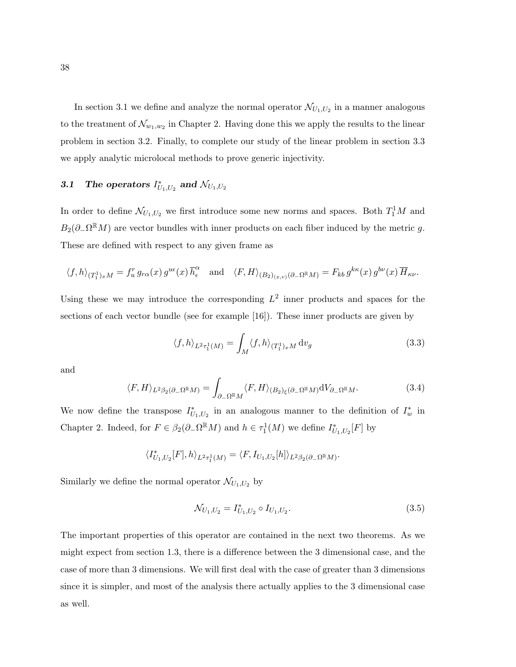In section 3.1 we define and analyze the normal operator  $\mathcal{N}_{U_1,U_2}$  in a manner analogous to the treatment of  $\mathcal{N}_{w_1,w_2}$  in Chapter 2. Having done this we apply the results to the linear problem in section 3.2. Finally, to complete our study of the linear problem in section 3.3 we apply analytic microlocal methods to prove generic injectivity.

## 3.1 The operators  $I_{U_1,U_2}^*$  and  $\mathcal{N}_{U_1,U_2}$

In order to define  $\mathcal{N}_{U_1,U_2}$  we first introduce some new norms and spaces. Both  $T_1^1M$  and  $B_2(\partial_-\Omega^{\mathbb{R}}M)$  are vector bundles with inner products on each fiber induced by the metric g. These are defined with respect to any given frame as

$$
\langle f, h \rangle_{(T_1^1)xM} = f_u^r g_{r\alpha}(x) g^{u\epsilon}(x) \overline{h}_{\epsilon}^{\alpha} \quad \text{and} \quad \langle F, H \rangle_{(B_2)_{(x,v)}(\partial - \Omega^{\mathbb{R}}M)} = F_{kb} g^{k\kappa}(x) g^{b\nu}(x) \overline{H}_{\kappa\nu}.
$$

Using these we may introduce the corresponding  $L^2$  inner products and spaces for the sections of each vector bundle (see for example [16]). These inner products are given by

$$
\langle f, h \rangle_{L^2 \tau_1^1(M)} = \int_M \langle f, h \rangle_{(T_1^1)_x M} \, dv_g \tag{3.3}
$$

and

$$
\langle F, H \rangle_{L^2 \beta_2(\partial_- \Omega^{\mathbb{R}} M)} = \int_{\partial_- \Omega^{\mathbb{R}} M} \langle F, H \rangle_{(B_2)_{\xi}(\partial_- \Omega^{\mathbb{R}} M)} \mathrm{d}V_{\partial_- \Omega^{\mathbb{R}} M}.
$$
\n(3.4)

We now define the transpose  $I_{U_1,U_2}^*$  in an analogous manner to the definition of  $I_w^*$  in Chapter 2. Indeed, for  $F \in \beta_2(\partial_- \Omega^{\mathbb{R}} M)$  and  $h \in \tau_1^1(M)$  we define  $I_{U_1,U_2}^*[F]$  by

$$
\langle I^*_{U_1,U_2}[F],h\rangle_{L^2\tau^1_1(M)}=\langle F,I_{U_1,U_2}[h]\rangle_{L^2\beta_2(\partial_-\Omega^{\mathbb{R}} M)}.
$$

Similarly we define the normal operator  $\mathcal{N}_{U_1,U_2}$  by

$$
\mathcal{N}_{U_1,U_2} = I_{U_1,U_2}^* \circ I_{U_1,U_2}.\tag{3.5}
$$

The important properties of this operator are contained in the next two theorems. As we might expect from section 1.3, there is a difference between the 3 dimensional case, and the case of more than 3 dimensions. We will first deal with the case of greater than 3 dimensions since it is simpler, and most of the analysis there actually applies to the 3 dimensional case as well.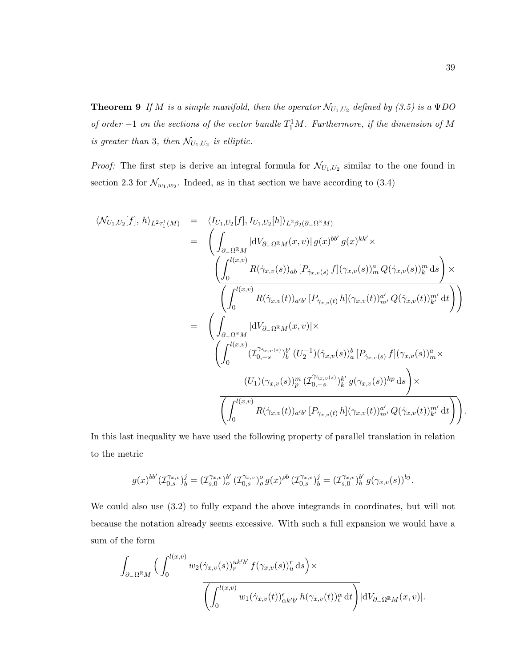**Theorem 9** If M is a simple manifold, then the operator  $\mathcal{N}_{U_1,U_2}$  defined by (3.5) is a  $\Psi DO$ of order  $-1$  on the sections of the vector bundle  $T_1^1M$ . Furthermore, if the dimension of M is greater than 3, then  $\mathcal{N}_{U_1,U_2}$  is elliptic.

*Proof:* The first step is derive an integral formula for  $\mathcal{N}_{U_1,U_2}$  similar to the one found in section 2.3 for  $\mathcal{N}_{w_1,w_2}$ . Indeed, as in that section we have according to (3.4)

$$
\langle \mathcal{N}_{U_{1},U_{2}}[f], h \rangle_{L^{2}\tau_{1}^{1}(M)} = \langle I_{U_{1},U_{2}}[f], I_{U_{1},U_{2}}[h] \rangle_{L^{2}\beta_{2}(\partial_{-}\Omega^{\mathbb{R}}M)} \n= \left( \int_{\partial_{-}\Omega^{\mathbb{R}}M} |dV_{\partial_{-}\Omega^{\mathbb{R}}M}(x,v)| g(x)^{bb'} g(x)^{kk'} \times \n\left( \int_{0}^{l(x,v)} R(\dot{\gamma}_{x,v}(s))_{ab} [P_{\dot{\gamma}_{x,v}(s)} f](\gamma_{x,v}(s))_{m}^{a} Q(\dot{\gamma}_{x,v}(s))_{k}^{m} ds \right) \times \n\left( \int_{0}^{l(x,v)} R(\dot{\gamma}_{x,v}(t))_{a'b'} [P_{\dot{\gamma}_{x,v}(t)} h](\gamma_{x,v}(t))_{m'}^{a'} Q(\dot{\gamma}_{x,v}(t))_{k'}^{m'} dt \right) \right) \n= \left( \int_{\partial_{-}\Omega^{\mathbb{R}}M} |dV_{\partial_{-}\Omega^{\mathbb{R}}M}(x,v)| \times \n\left( \int_{0}^{l(x,v)} (T_{0,-s}^{\dot{\gamma}_{x,v}(s)})_{b}^{b'} (U_{2}^{-1})(\dot{\gamma}_{x,v}(s))_{a}^{b} [P_{\dot{\gamma}_{x,v}(s)} f](\gamma_{x,v}(s))_{m}^{a} \times \n\left( U_{1})(\gamma_{x,v}(s))_{p}^{m} (T_{0,-s}^{\dot{\gamma}_{x,v}(s)})_{k}^{k'} g(\gamma_{x,v}(s))_{m'}^{kp} ds \right) \times \n\left( \int_{0}^{l(x,v)} R(\dot{\gamma}_{x,v}(t))_{a'b'} [P_{\dot{\gamma}_{x,v}(t)} h](\gamma_{x,v}(t))_{m'}^{a'} Q(\dot{\gamma}_{x,v}(t))_{k'}^{m'} dt \right) \right).
$$

In this last inequality we have used the following property of parallel translation in relation to the metric

$$
g(x)^{bb'}(\mathcal{I}_{0,s}^{\gamma_{x,v}})^j_b = (\mathcal{I}_{s,0}^{\gamma_{x,v}})^{b'}_o(\mathcal{I}_{0,s}^{\gamma_{x,v}})^o_{\rho} g(x)^{\rho b} (\mathcal{I}_{0,s}^{\gamma_{x,v}})^j_b = (\mathcal{I}_{s,0}^{\gamma_{x,v}})^{b'}_b g(\gamma_{x,v}(s))^{bj}.
$$

We could also use (3.2) to fully expand the above integrands in coordinates, but will not because the notation already seems excessive. With such a full expansion we would have a sum of the form

$$
\int_{\partial_{-\Omega} \mathbb{R}M} \Big( \int_0^{l(x,v)} w_2(\dot{\gamma}_{x,v}(s))_r^{uk'b'} f(\gamma_{x,v}(s))_u^r ds \Big) \times \overline{\left( \int_0^{l(x,v)} w_1(\dot{\gamma}_{x,v}(t))_{\alpha k'b'}^{\epsilon} h(\gamma_{x,v}(t))_e^{\alpha} dt \right)} |dV_{\partial_{-\Omega} \mathbb{R}M}(x,v)|.
$$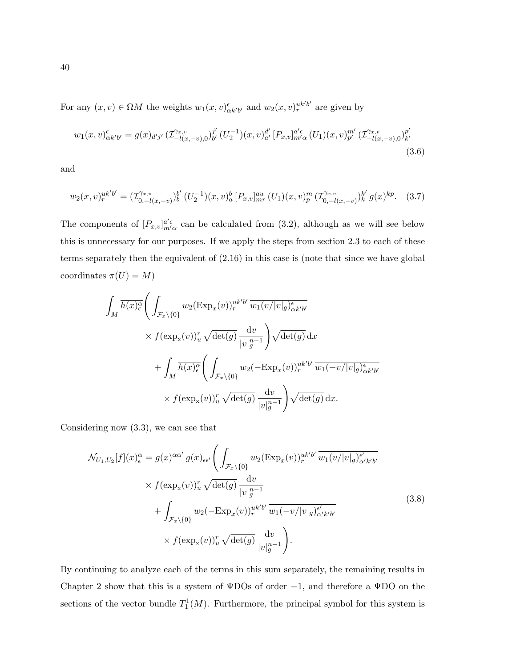For any  $(x, v) \in \Omega M$  the weights  $w_1(x, v)_{\alpha k'b'}^{\epsilon}$  and  $w_2(x, v)_{r}^{uk'b'}$  are given by

$$
w_1(x,v)_{\alpha k'b'}^{\epsilon} = g(x)_{d'j'} \left( \mathcal{I}_{-l(x,-v),0}^{\gamma_x,v} \right)_{b'}^{j'} \left( U_2^{-1} \right) (x,v)_{a'}^{d'} \left[ P_{x,v} \right]_{m'\alpha}^{a'\epsilon} \left( U_1 \right) (x,v)_{p'}^{m'} \left( \mathcal{I}_{-l(x,-v),0}^{\gamma_x,v} \right)_{k'}^{p'} \tag{3.6}
$$

and

$$
w_2(x,v)_r^{uk'b'} = (\mathcal{I}_{0,-l(x,-v)}^{\gamma_{x,v}})_b^{b'} (U_2^{-1})(x,v)_a^b [P_{x,v}]_{mr}^{au} (U_1)(x,v)_p^m (\mathcal{I}_{0,-l(x,-v)}^{\gamma_{x,v}})_k^{k'} g(x)^{kp}.
$$
 (3.7)

The components of  $[P_{x,v}]_{m'\alpha}^{\alpha'\epsilon}$  can be calculated from (3.2), although as we will see below this is unnecessary for our purposes. If we apply the steps from section 2.3 to each of these terms separately then the equivalent of (2.16) in this case is (note that since we have global coordinates  $\pi(U) = M$ )

$$
\int_{M} \overline{h(x)_{\epsilon}^{\alpha}} \left( \int_{\mathcal{F}_{x} \setminus \{0\}} w_{2}(\text{Exp}_{x}(v))_{r}^{uk'b'} \overline{w_{1}(v/|v|_{g})_{\alpha k'b'}^{\epsilon}} \times f(\text{exp}_{x}(v))_{u}^{r} \sqrt{\det(g)} \frac{\mathrm{d}v}{|v|_{g}^{n-1}} \right) \sqrt{\det(g)} \, \mathrm{d}x
$$
\n
$$
+ \int_{M} \overline{h(x)_{\epsilon}^{\alpha}} \left( \int_{\mathcal{F}_{x} \setminus \{0\}} w_{2}(-\text{Exp}_{x}(v))_{r}^{uk'b'} \overline{w_{1}(-v/|v|_{g})_{\alpha k'b'}^{\epsilon}} \times f(\text{exp}_{x}(v))_{u}^{r} \sqrt{\det(g)} \frac{\mathrm{d}v}{|v|_{g}^{n-1}} \right) \sqrt{\det(g)} \, \mathrm{d}x.
$$

Considering now (3.3), we can see that

$$
\mathcal{N}_{U_1, U_2}[f](x)_{\epsilon}^{\alpha} = g(x)^{\alpha \alpha'} g(x)_{\epsilon \epsilon'} \left( \int_{\mathcal{F}_x \backslash \{0\}} w_2(\text{Exp}_x(v))_r^{uk'b'} \overline{w_1(v/|v|_g)_{\alpha'k'b'}^{\epsilon'}} \right. \\
\times f(\exp_x(v))_u^r \sqrt{\det(g)} \frac{\text{d}v}{|v|_g^{n-1}} \\
+ \int_{\mathcal{F}_x \backslash \{0\}} w_2(-\text{Exp}_x(v))_r^{uk'b'} \overline{w_1(-v/|v|_g)_{\alpha'k'b'}^{\epsilon'}} \left. (3.8)\right. \\
\times f(\exp_x(v))_u^r \sqrt{\det(g)} \frac{\text{d}v}{|v|_g^{n-1}} \right).
$$

By continuing to analyze each of the terms in this sum separately, the remaining results in Chapter 2 show that this is a system of  $\Psi$ DOs of order -1, and therefore a  $\Psi$ DO on the sections of the vector bundle  $T_1^1(M)$ . Furthermore, the principal symbol for this system is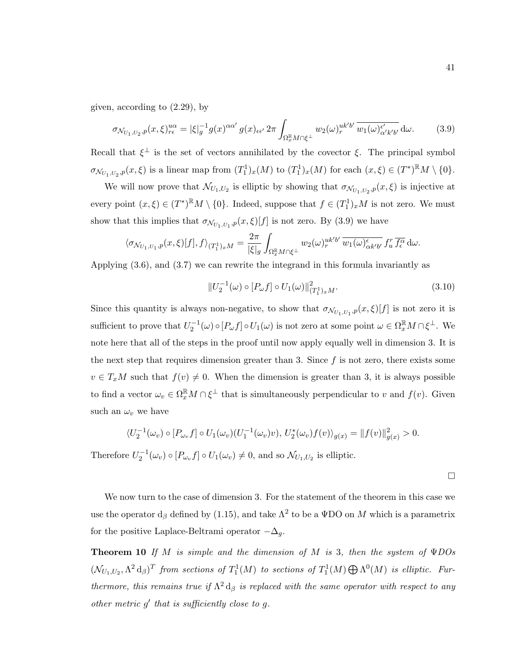given, according to (2.29), by

$$
\sigma_{\mathcal{N}_{U_1,U_2},p}(x,\xi)_{r\epsilon}^{u\alpha} = |\xi|_g^{-1} g(x)^{\alpha\alpha'} g(x)_{\epsilon\epsilon'} 2\pi \int_{\Omega_x^{\mathbb{R}} M \cap \xi^{\perp}} w_2(\omega)_r^{uk'b'} \overline{w_1(\omega)_{\alpha' k'b'}^{\epsilon'}} d\omega.
$$
 (3.9)

Recall that  $\xi^{\perp}$  is the set of vectors annihilated by the covector  $\xi$ . The principal symbol  $\sigma_{\mathcal{N}_{U_1,U_2},p}(x,\xi)$  is a linear map from  $(T_1^1)_x(M)$  to  $(T_1^1)_x(M)$  for each  $(x,\xi) \in (T^*)^{\mathbb{R}}M \setminus \{0\}.$ 

We will now prove that  $\mathcal{N}_{U_1,U_2}$  is elliptic by showing that  $\sigma_{\mathcal{N}_{U_1,U_2},p}(x,\xi)$  is injective at every point  $(x,\xi) \in (T^*)^{\mathbb{R}}M \setminus \{0\}$ . Indeed, suppose that  $f \in (T_1^1)_x M$  is not zero. We must show that this implies that  $\sigma_{\mathcal{N}_{U_1,U_1},p}(x,\xi)[f]$  is not zero. By (3.9) we have

$$
\langle \sigma_{\mathcal{N}_{U_1,U_1},p}(x,\xi)[f],f \rangle_{(T_1^1)_xM} = \frac{2\pi}{|\xi|_g} \int_{\Omega_x^{\mathbb{R}} M \cap \xi^{\perp}} w_2(\omega)_r^{uk'b'} \overline{w_1(\omega)_{\alpha k'b'}^{\epsilon}} f_u^r \overline{f_{\epsilon}^{\alpha}} d\omega.
$$

Applying (3.6), and (3.7) we can rewrite the integrand in this formula invariantly as

$$
||U_2^{-1}(\omega) \circ [P_{\omega} f] \circ U_1(\omega)||^2_{(T_1^1)_x M}.
$$
\n(3.10)

Since this quantity is always non-negative, to show that  $\sigma_{\mathcal{N}_{U_1,U_1},p}(x,\xi)[f]$  is not zero it is sufficient to prove that  $U_2^{-1}(\omega) \circ [P_\omega f] \circ U_1(\omega)$  is not zero at some point  $\omega \in \Omega_x^{\mathbb{R}} M \cap \xi^{\perp}$ . We note here that all of the steps in the proof until now apply equally well in dimension 3. It is the next step that requires dimension greater than 3. Since  $f$  is not zero, there exists some  $v \in T_xM$  such that  $f(v) \neq 0$ . When the dimension is greater than 3, it is always possible to find a vector  $\omega_v \in \Omega_x^{\mathbb{R}} M \cap \xi^{\perp}$  that is simultaneously perpendicular to v and  $f(v)$ . Given such an  $\omega_v$  we have

$$
\langle U_2^{-1}(\omega_v) \circ [P_{\omega_v} f] \circ U_1(\omega_v) (U_1^{-1}(\omega_v)v), U_2^*(\omega_v) f(v) \rangle_{g(x)} = ||f(v)||_{g(x)}^2 > 0.
$$

Therefore  $U_2^{-1}(\omega_v) \circ [P_{\omega_v} f] \circ U_1(\omega_v) \neq 0$ , and so  $\mathcal{N}_{U_1, U_2}$  is elliptic.

 $\Box$ 

We now turn to the case of dimension 3. For the statement of the theorem in this case we use the operator  $d_{\beta}$  defined by (1.15), and take  $\Lambda^2$  to be a  $\Psi$ DO on M which is a parametrix for the positive Laplace-Beltrami operator  $-\Delta_g$ .

**Theorem 10** If M is simple and the dimension of M is 3, then the system of  $\Psi$ DOs  $(\mathcal{N}_{U_1,U_2}, \Lambda^2 d_\beta)^T$  from sections of  $T_1^1(M)$  to sections of  $T_1^1(M) \bigoplus \Lambda^0(M)$  is elliptic. Furthermore, this remains true if  $\Lambda^2 d_\beta$  is replaced with the same operator with respect to any other metric  $g'$  that is sufficiently close to  $g$ .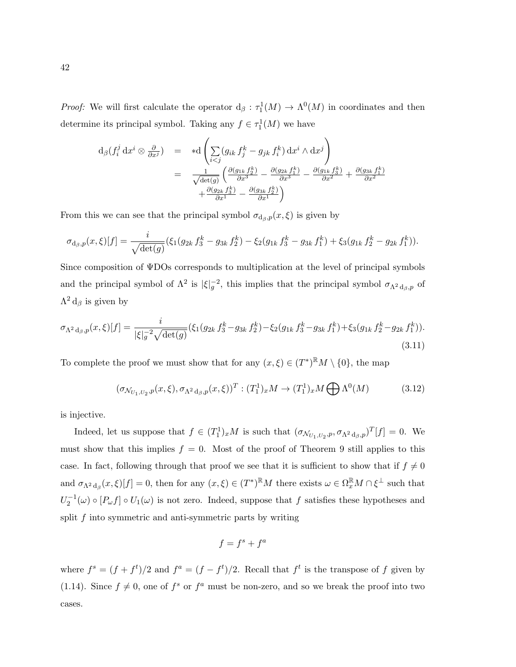*Proof:* We will first calculate the operator  $d_{\beta}: \tau_1^1(M) \to \Lambda^0(M)$  in coordinates and then determine its principal symbol. Taking any  $f \in \tau_1^1(M)$  we have

$$
d_{\beta}(f_i^j dx^i \otimes \frac{\partial}{\partial x^j}) = *d \left( \sum_{i < j} (g_{ik} f_j^k - g_{jk} f_i^k) dx^i \wedge dx^j \right)
$$
  

$$
= \frac{1}{\sqrt{\det(g)}} \left( \frac{\partial (g_{1k} f_2^k)}{\partial x^3} - \frac{\partial (g_{2k} f_1^k)}{\partial x^3} - \frac{\partial (g_{1k} f_2^k)}{\partial x^2} + \frac{\partial (g_{3k} f_1^k)}{\partial x^2} + \frac{\partial (g_{2k} f_3^k)}{\partial x^1} - \frac{\partial (g_{3k} f_2^k)}{\partial x^1} \right)
$$

From this we can see that the principal symbol  $\sigma_{d_{\beta},p}(x,\xi)$  is given by

$$
\sigma_{\mathrm{d}_{\beta},p}(x,\xi)[f] = \frac{i}{\sqrt{\det(g)}}(\xi_1(g_{2k}f_3^k - g_{3k}f_2^k) - \xi_2(g_{1k}f_3^k - g_{3k}f_1^k) + \xi_3(g_{1k}f_2^k - g_{2k}f_1^k)).
$$

Since composition of ΨDOs corresponds to multiplication at the level of principal symbols and the principal symbol of  $\Lambda^2$  is  $|\xi|_g^{-2}$ , this implies that the principal symbol  $\sigma_{\Lambda^2 d_{\beta},p}$  of  $\Lambda^2 d_\beta$  is given by

$$
\sigma_{\Lambda^2 d_{\beta},p}(x,\xi)[f] = \frac{i}{|\xi|_g^{-2} \sqrt{\det(g)}} (\xi_1(g_{2k} f_3^k - g_{3k} f_2^k) - \xi_2(g_{1k} f_3^k - g_{3k} f_1^k) + \xi_3(g_{1k} f_2^k - g_{2k} f_1^k)).
$$
\n(3.11)

To complete the proof we must show that for any  $(x,\xi) \in (T^*)^{\mathbb{R}}M \setminus \{0\}$ , the map

$$
(\sigma_{\mathcal{N}_{U_1,U_2},p}(x,\xi),\sigma_{\Lambda^2 d_\beta,p}(x,\xi))^T : (T_1^1)_x M \to (T_1^1)_x M \bigoplus \Lambda^0(M) \tag{3.12}
$$

is injective.

Indeed, let us suppose that  $f \in (T_1^1)_x M$  is such that  $(\sigma_{\mathcal{N}_{U_1,U_2},p}, \sigma_{\Lambda^2 d_{\beta},p})^T[f] = 0$ . We must show that this implies  $f = 0$ . Most of the proof of Theorem 9 still applies to this case. In fact, following through that proof we see that it is sufficient to show that if  $f \neq 0$ and  $\sigma_{\Lambda^2 d_\beta}(x,\xi)[f] = 0$ , then for any  $(x,\xi) \in (T^*)^{\mathbb{R}}M$  there exists  $\omega \in \Omega_x^{\mathbb{R}}M \cap \xi^{\perp}$  such that  $U_2^{-1}(\omega) \circ [P_{\omega}f] \circ U_1(\omega)$  is not zero. Indeed, suppose that f satisfies these hypotheses and split  $f$  into symmetric and anti-symmetric parts by writing

$$
f = f^s + f^a
$$

where  $f^s = (f + f^t)/2$  and  $f^a = (f - f^t)/2$ . Recall that  $f^t$  is the transpose of f given by (1.14). Since  $f \neq 0$ , one of  $f^s$  or  $f^a$  must be non-zero, and so we break the proof into two cases.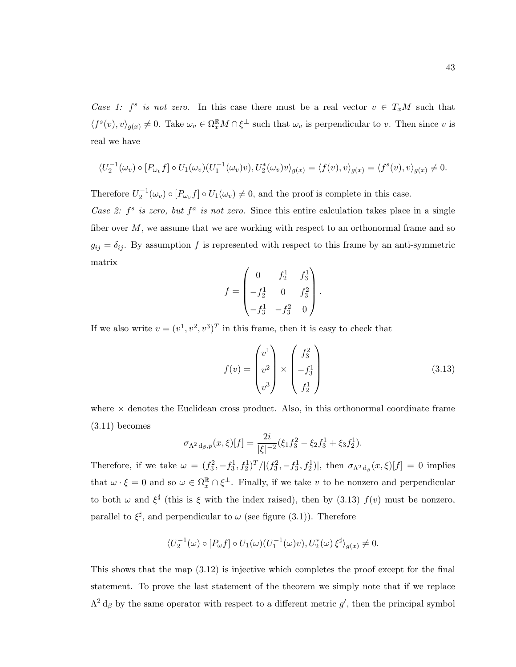Case 1:  $f^s$  is not zero. In this case there must be a real vector  $v \in T_xM$  such that  $\langle f^s(v), v \rangle_{g(x)} \neq 0$ . Take  $\omega_v \in \Omega_x^{\mathbb{R}} M \cap \xi^{\perp}$  such that  $\omega_v$  is perpendicular to v. Then since v is real we have

$$
\langle U_2^{-1}(\omega_v) \circ [P_{\omega_v} f] \circ U_1(\omega_v) (U_1^{-1}(\omega_v)v), U_2^*(\omega_v)v \rangle_{g(x)} = \langle f(v), v \rangle_{g(x)} = \langle f^s(v), v \rangle_{g(x)} \neq 0.
$$

Therefore  $U_2^{-1}(\omega_v) \circ [P_{\omega_v} f] \circ U_1(\omega_v) \neq 0$ , and the proof is complete in this case. Case 2:  $f^s$  is zero, but  $f^a$  is not zero. Since this entire calculation takes place in a single

fiber over  $M$ , we assume that we are working with respect to an orthonormal frame and so  $g_{ij} = \delta_{ij}$ . By assumption f is represented with respect to this frame by an anti-symmetric matrix

$$
f = \begin{pmatrix} 0 & f_2^1 & f_3^1 \\ -f_2^1 & 0 & f_3^2 \\ -f_3^1 & -f_3^2 & 0 \end{pmatrix}.
$$

If we also write  $v = (v^1, v^2, v^3)^T$  in this frame, then it is easy to check that

$$
f(v) = \begin{pmatrix} v^1 \\ v^2 \\ v^3 \end{pmatrix} \times \begin{pmatrix} f_3^2 \\ -f_3^1 \\ f_2^1 \end{pmatrix}
$$
 (3.13)

where  $\times$  denotes the Euclidean cross product. Also, in this orthonormal coordinate frame  $(3.11)$  becomes

$$
\sigma_{\Lambda^2 d_{\beta},p}(x,\xi)[f] = \frac{2i}{|\xi|^{-2}}(\xi_1 f_3^2 - \xi_2 f_3^1 + \xi_3 f_2^1).
$$

Therefore, if we take  $\omega = (f_3^2, -f_3^1, f_2^1)^T/|(f_3^2, -f_3^1, f_2^1)|$ , then  $\sigma_{\Lambda^2 d_\beta}(x, \xi)[f] = 0$  implies that  $\omega \cdot \xi = 0$  and so  $\omega \in \Omega_x^{\mathbb{R}} \cap \xi^{\perp}$ . Finally, if we take v to be nonzero and perpendicular to both  $\omega$  and  $\xi^{\sharp}$  (this is  $\xi$  with the index raised), then by (3.13)  $f(v)$  must be nonzero, parallel to  $\xi^{\sharp}$ , and perpendicular to  $\omega$  (see figure (3.1)). Therefore

$$
\langle U_2^{-1}(\omega) \circ [P_{\omega}f] \circ U_1(\omega) (U_1^{-1}(\omega)v), U_2^*(\omega) \xi^{\sharp} \rangle_{g(x)} \neq 0.
$$

This shows that the map (3.12) is injective which completes the proof except for the final statement. To prove the last statement of the theorem we simply note that if we replace  $\Lambda^2 d_\beta$  by the same operator with respect to a different metric g', then the principal symbol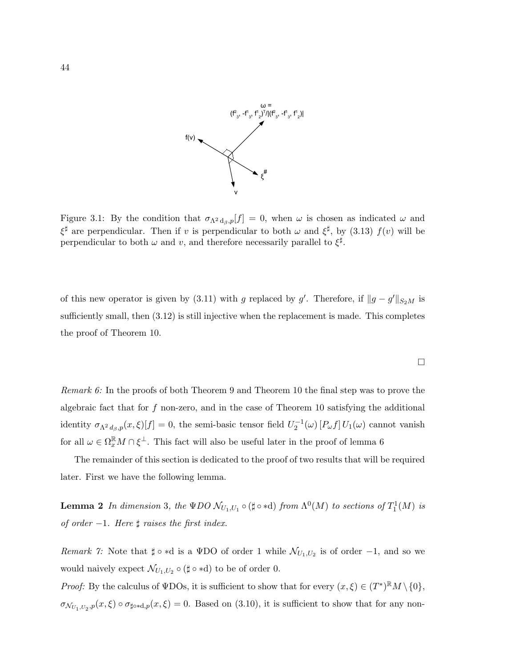

Figure 3.1: By the condition that  $\sigma_{\Lambda^2 d_\beta,p}[f] = 0$ , when  $\omega$  is chosen as indicated  $\omega$  and  $\xi^{\sharp}$  are perpendicular. Then if v is perpendicular to both  $\omega$  and  $\xi^{\sharp}$ , by (3.13)  $f(v)$  will be perpendicular to both  $\omega$  and v, and therefore necessarily parallel to  $\xi^{\sharp}$ .

of this new operator is given by (3.11) with g replaced by g'. Therefore, if  $||g - g'||_{S_2M}$  is sufficiently small, then (3.12) is still injective when the replacement is made. This completes the proof of Theorem 10.

Remark 6: In the proofs of both Theorem 9 and Theorem 10 the final step was to prove the algebraic fact that for  $f$  non-zero, and in the case of Theorem 10 satisfying the additional identity  $\sigma_{\Lambda^2 d_{\beta},p}(x,\xi)[f] = 0$ , the semi-basic tensor field  $U_2^{-1}(\omega)$  [ $P_{\omega}f$ ]  $U_1(\omega)$  cannot vanish for all  $\omega \in \Omega_x^{\mathbb{R}} M \cap \xi^{\perp}$ . This fact will also be useful later in the proof of lemma 6

The remainder of this section is dedicated to the proof of two results that will be required later. First we have the following lemma.

**Lemma 2** In dimension 3, the  $\Psi DO$   $\mathcal{N}_{U_1,U_1} \circ (\sharp \circ \ast d)$  from  $\Lambda^0(M)$  to sections of  $T^1_1(M)$  is of order  $-1$ . Here  $\sharp$  raises the first index.

*Remark 7*: Note that  $\sharp \circ *d$  is a  $\Psi DO$  of order 1 while  $\mathcal{N}_{U_1,U_2}$  is of order  $-1$ , and so we would naively expect  $\mathcal{N}_{U_1,U_2} \circ (\sharp \circ \ast d)$  to be of order 0.

*Proof:* By the calculus of  $\Psi$ DOs, it is sufficient to show that for every  $(x,\xi) \in (T^*)^{\mathbb{R}}M \setminus \{0\},\$  $\sigma_{\mathcal{N}_{U_1,U_2},p}(x,\xi) \circ \sigma_{\sharp \circ \ast d,p}(x,\xi) = 0.$  Based on (3.10), it is sufficient to show that for any non-

 $\Box$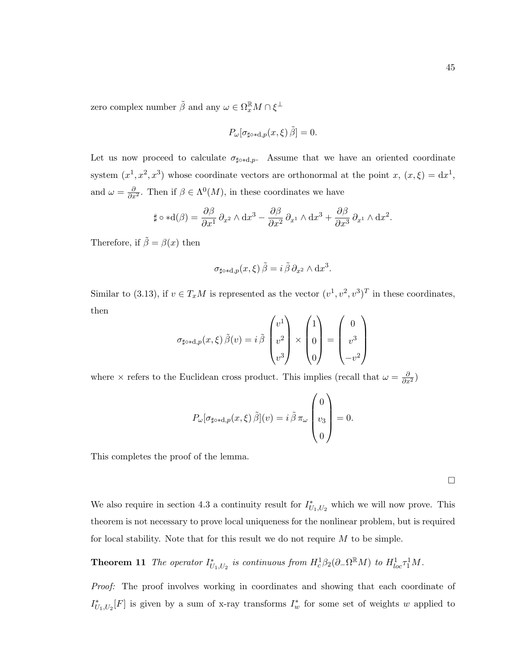zero complex number  $\tilde{\beta}$  and any  $\omega \in \Omega_x^{\mathbb{R}} M \cap \xi^{\perp}$ 

$$
P_{\omega}[\sigma_{\sharp \circ *d,p}(x,\xi)\tilde{\beta}] = 0.
$$

Let us now proceed to calculate  $\sigma_{\sharp \circ *d,p}$ . Assume that we have an oriented coordinate system  $(x^1, x^2, x^3)$  whose coordinate vectors are orthonormal at the point x,  $(x, \xi) = dx^1$ , and  $\omega = \frac{\partial}{\partial x^2}$ . Then if  $\beta \in \Lambda^0(M)$ , in these coordinates we have

$$
\sharp \circ *d(\beta) = \frac{\partial \beta}{\partial x^1} \partial_{x^2} \wedge dx^3 - \frac{\partial \beta}{\partial x^2} \partial_{x^1} \wedge dx^3 + \frac{\partial \beta}{\partial x^3} \partial_{x^1} \wedge dx^2.
$$

Therefore, if  $\tilde{\beta} = \beta(x)$  then

$$
\sigma_{\sharp \circ \ast d, p}(x, \xi) \tilde{\beta} = i \tilde{\beta} \partial_{x^2} \wedge dx^3.
$$

Similar to (3.13), if  $v \in T_xM$  is represented as the vector  $(v^1, v^2, v^3)^T$  in these coordinates, then

$$
\sigma_{\sharp \circ \ast d, p}(x, \xi) \tilde{\beta}(v) = i \tilde{\beta} \begin{pmatrix} v^1 \\ v^2 \\ v^3 \end{pmatrix} \times \begin{pmatrix} 1 \\ 0 \\ 0 \end{pmatrix} = \begin{pmatrix} 0 \\ v^3 \\ -v^2 \end{pmatrix}
$$

where  $\times$  refers to the Euclidean cross product. This implies (recall that  $\omega = \frac{\partial}{\partial x^2}$ )

$$
P_{\omega}[\sigma_{\sharp \circ \ast d, p}(x, \xi) \tilde{\beta}](v) = i \tilde{\beta} \pi_{\omega} \begin{pmatrix} 0 \\ v_3 \\ 0 \end{pmatrix} = 0.
$$

This completes the proof of the lemma.

 $\Box$ 

We also require in section 4.3 a continuity result for  $I_{U_1,U_2}^*$  which we will now prove. This theorem is not necessary to prove local uniqueness for the nonlinear problem, but is required for local stability. Note that for this result we do not require  $M$  to be simple.

**Theorem 11** The operator  $I_{U_1,U_2}^*$  is continuous from  $H_c^1\beta_2(\partial_-\Omega^{\mathbb{R}}M)$  to  $H_{loc}^1\tau_1^1M$ .

Proof: The proof involves working in coordinates and showing that each coordinate of  $I_{U_1,U_2}^*[F]$  is given by a sum of x-ray transforms  $I_w^*$  for some set of weights w applied to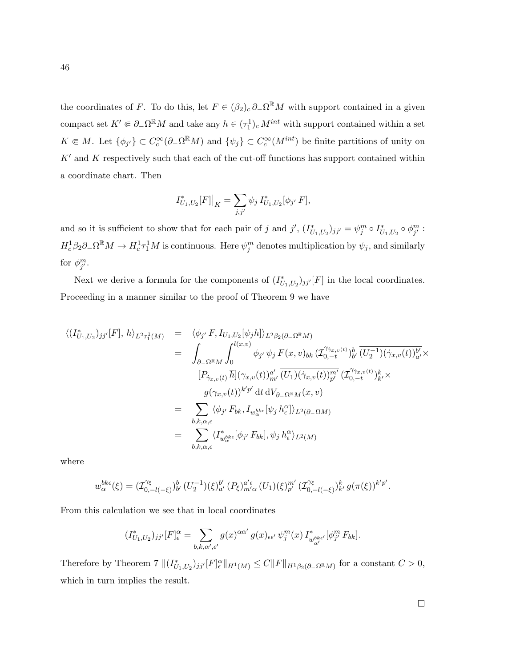the coordinates of F. To do this, let  $F \in (\beta_2)_c \partial_{-} \Omega^{\mathbb{R}} M$  with support contained in a given compact set  $K' \in \partial_{-}\Omega^{\mathbb{R}}M$  and take any  $h \in (\tau_1^1)_c M^{int}$  with support contained within a set  $K \in M$ . Let  $\{\phi_{j'}\} \subset C_c^{\infty}(\partial_{-}\Omega^{\mathbb{R}}M)$  and  $\{\psi_j\} \subset C_c^{\infty}(M^{int})$  be finite partitions of unity on  $K'$  and K respectively such that each of the cut-off functions has support contained within a coordinate chart. Then

$$
I_{U_1,U_2}^*[F]\big|_K = \sum_{j,j'} \psi_j I_{U_1,U_2}^*[\phi_{j'} F],
$$

and so it is sufficient to show that for each pair of j and j',  $(I_{U_1,U_2}^*)_{jj'} = \psi_j^m \circ I_{U_1,U_2}^* \circ \phi_{j'}^m$ :  $H_c^1 \beta_2 \partial_- \Omega^{\mathbb{R}} M \to H_c^1 \tau_1^1 M$  is continuous. Here  $\psi_j^m$  denotes multiplication by  $\psi_j$ , and similarly for  $\phi_{j'}^m$ .

Next we derive a formula for the components of  $(I_{U_1,U_2})_{jj'}[F]$  in the local coordinates. Proceeding in a manner similar to the proof of Theorem 9 we have

$$
\langle (I_{U_1,U_2}^* )_{jj'}[F], h \rangle_{L^2 \tau_1^1(M)} = \langle \phi_{j'} F, I_{U_1,U_2}[\psi_j h] \rangle_{L^2 \beta_2(\partial_- \Omega^{\mathbb{R}} M)} \n= \int_{\partial_- \Omega^{\mathbb{R}} M} \int_0^{l(x,v)} \phi_{j'} \psi_j F(x,v)_{bk} (\mathcal{I}_{0,-t}^{\gamma_{\gamma_{x,v}(t)}})_{b'}^b (\overline{U_2^{-1}}) (\dot{\gamma}_{x,v}(t))_{a'}^{b'} \times \n[P_{\dot{\gamma}_{x,v}(t)} \bar{h}] (\gamma_{x,v}(t))_{m'}^{a'} (\overline{U_1}) (\dot{\gamma}_{x,v}(t))_{p'}^{m'} (\mathcal{I}_{0,-t}^{\gamma_{\gamma_{x,v}(t)}})_{k'}^k \times \ng(\gamma_{x,v}(t))^{k'p'} \mathrm{d}t \mathrm{d}V_{\partial_- \Omega^{\mathbb{R}} M}(x,v) \n= \sum_{b,k,\alpha,\epsilon} \langle \phi_{j'} F_{bk}, I_{w_{\alpha}^{bke}}[\psi_j h_{\epsilon}^{\alpha}] \rangle_{L^2(\partial_- \Omega M)} \n= \sum_{b,k,\alpha,\epsilon} \langle I_{w_{\alpha}^{bke}}^* [\phi_{j'} F_{bk}], \psi_j h_{\epsilon}^{\alpha} \rangle_{L^2(M)}
$$

where

$$
w_{\alpha}^{b k \epsilon}(\xi) = (\mathcal{I}_{0,-l(-\xi)}^{\gamma_{\xi}})^{b}_{b'} (U_2^{-1})(\xi)_{a'}^{b'} (P_{\xi})_{m' \alpha}^{a' \epsilon} (U_1)(\xi)_{p'}^{m'} (\mathcal{I}_{0,-l(-\xi)}^{\gamma_{\xi}})^{k}_{k'} g(\pi(\xi))^{k' p'}.
$$

From this calculation we see that in local coordinates

$$
(I_{U_1,U_2}^*)_{jj'}[F]_\epsilon^\alpha = \sum_{b,k,\alpha',\epsilon'} g(x)^{\alpha\alpha'} g(x)_{\epsilon\epsilon'} \psi_j^m(x) I_{w_{\alpha'}^{bk\epsilon'}}^*[\phi_{j'}^m F_{bk}].
$$

Therefore by Theorem  $7 || (I_{U_1,U_2}^*)_{jj'}[F]_{\epsilon}^{\alpha}||_{H^1(M)} \leq C ||F||_{H^1\beta_2(\partial_{-\Omega} \mathbb{R}_M)}$  for a constant  $C > 0$ , which in turn implies the result.

 $\Box$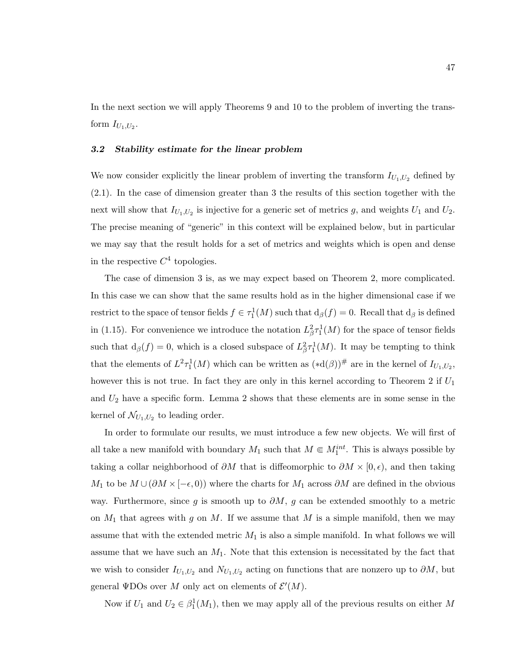In the next section we will apply Theorems 9 and 10 to the problem of inverting the transform  $I_{U_1,U_2}$ .

#### 3.2 Stability estimate for the linear problem

We now consider explicitly the linear problem of inverting the transform  $I_{U_1,U_2}$  defined by (2.1). In the case of dimension greater than 3 the results of this section together with the next will show that  $I_{U_1,U_2}$  is injective for a generic set of metrics g, and weights  $U_1$  and  $U_2$ . The precise meaning of "generic" in this context will be explained below, but in particular we may say that the result holds for a set of metrics and weights which is open and dense in the respective  $C^4$  topologies.

The case of dimension 3 is, as we may expect based on Theorem 2, more complicated. In this case we can show that the same results hold as in the higher dimensional case if we restrict to the space of tensor fields  $f \in \tau_1^1(M)$  such that  $d_\beta(f) = 0$ . Recall that  $d_\beta$  is defined in (1.15). For convenience we introduce the notation  $L^2_{\beta} \tau_1^1(M)$  for the space of tensor fields such that  $d_{\beta}(f) = 0$ , which is a closed subspace of  $L_{\beta}^2 \tau_1^1(M)$ . It may be tempting to think that the elements of  $L^2 \tau_1^1(M)$  which can be written as  $(*d(\beta))^{\#}$  are in the kernel of  $I_{U_1,U_2}$ , however this is not true. In fact they are only in this kernel according to Theorem 2 if  $U_1$ and  $U_2$  have a specific form. Lemma 2 shows that these elements are in some sense in the kernel of  $\mathcal{N}_{U_1,U_2}$  to leading order.

In order to formulate our results, we must introduce a few new objects. We will first of all take a new manifold with boundary  $M_1$  such that  $M \in M_1^{int}$ . This is always possible by taking a collar neighborhood of  $\partial M$  that is diffeomorphic to  $\partial M \times [0, \epsilon)$ , and then taking  $M_1$  to be  $M \cup (\partial M \times [-\epsilon, 0))$  where the charts for  $M_1$  across  $\partial M$  are defined in the obvious way. Furthermore, since g is smooth up to  $\partial M$ , g can be extended smoothly to a metric on  $M_1$  that agrees with g on M. If we assume that M is a simple manifold, then we may assume that with the extended metric  $M_1$  is also a simple manifold. In what follows we will assume that we have such an  $M_1$ . Note that this extension is necessitated by the fact that we wish to consider  $I_{U_1,U_2}$  and  $N_{U_1,U_2}$  acting on functions that are nonzero up to  $\partial M$ , but general  $\text{\Psi DOs}$  over M only act on elements of  $\mathcal{E}'(M)$ .

Now if  $U_1$  and  $U_2 \in \beta_1^1(M_1)$ , then we may apply all of the previous results on either M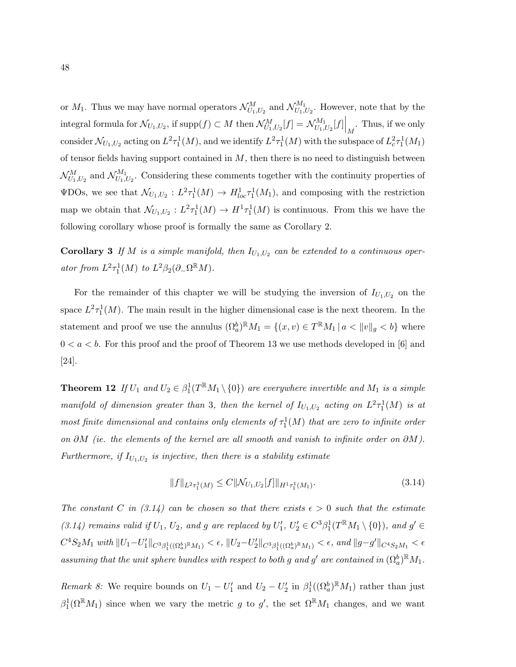or  $M_1$ . Thus we may have normal operators  $\mathcal{N}^M_{U_1,U_2}$  and  $\mathcal{N}^{M_1}_{U_1,U_2}$  $U_{1,U_2}^{M_1}$ . However, note that by the integral formula for  $\mathcal{N}_{U_1,U_2}$ , if  $\text{supp}(f) \subset M$  then  $\mathcal{N}_{U_1,U_2}^M[f] = \mathcal{N}_{U_1,\cup}^{M_1}$  $\left.\frac{d^2 M_1}{U_1, U_2}[f]\right|_M$ . Thus, if we only consider  $\mathcal{N}_{U_1,U_2}$  acting on  $L^2 \tau_1^1(M)$ , and we identify  $L^2 \tau_1^1(M)$  with the subspace of  $L^2_c \tau_1^1(M_1)$ of tensor fields having support contained in  $M$ , then there is no need to distinguish between  $\mathcal{N}_{U_1,U_2}^{M}$  and  $\mathcal{N}_{U_1,\mathcal{N}}^{M_1}$  $U_{U_1,U_2}$ . Considering these comments together with the continuity properties of  $\Psi$ DOs, we see that  $\mathcal{N}_{U_1,U_2}: L^2\tau_1^1(M) \to H^1_{loc}\tau_1^1(M_1)$ , and composing with the restriction map we obtain that  $\mathcal{N}_{U_1,U_2}: L^2 \tau_1^1(M) \to H^1 \tau_1^1(M)$  is continuous. From this we have the following corollary whose proof is formally the same as Corollary 2.

**Corollary 3** If M is a simple manifold, then  $I_{U_1,U_2}$  can be extended to a continuous operator from  $L^2 \tau_1^1(M)$  to  $L^2 \beta_2(\partial_- \Omega^{\mathbb{R}} M)$ .

For the remainder of this chapter we will be studying the inversion of  $I_{U_1,U_2}$  on the space  $L^2 \tau_1^1(M)$ . The main result in the higher dimensional case is the next theorem. In the statement and proof we use the annulus  $(\Omega_a^b)^{\mathbb{R}}M_1 = \{(x, v) \in T^{\mathbb{R}}M_1 | a < ||v||_g < b\}$  where  $0 < a < b$ . For this proof and the proof of Theorem 13 we use methods developed in [6] and [24].

**Theorem 12** If  $U_1$  and  $U_2 \in \beta_1^1(T^{\mathbb{R}}M_1 \setminus \{0\})$  are everywhere invertible and  $M_1$  is a simple manifold of dimension greater than 3, then the kernel of  $I_{U_1,U_2}$  acting on  $L^2\tau_1^1(M)$  is at most finite dimensional and contains only elements of  $\tau_1^1(M)$  that are zero to infinite order on ∂M (ie. the elements of the kernel are all smooth and vanish to infinite order on  $\partial M$ ). Furthermore, if  $I_{U_1,U_2}$  is injective, then there is a stability estimate

$$
||f||_{L^{2}\tau_{1}^{1}(M)} \leq C||\mathcal{N}_{U_{1},U_{2}}[f]||_{H^{1}\tau_{1}^{1}(M_{1})}.
$$
\n(3.14)

The constant C in (3.14) can be chosen so that there exists  $\epsilon > 0$  such that the estimate (3.14) remains valid if  $U_1$ ,  $U_2$ , and g are replaced by  $U'_1$ ,  $U'_2 \in C^3 \beta_1^1(T^{\mathbb{R}} M_1 \setminus \{0\})$ , and  $g' \in C^3$  $C^4S_2M_1$  with  $||U_1-U_1'||_{C^3\beta_1^1((\Omega_a^b)\mathbb{R}M_1)} < \epsilon$ ,  $||U_2-U_2'||_{C^3\beta_1^1((\Omega_a^b)\mathbb{R}M_1)} < \epsilon$ , and  $||g-g'||_{C^4S_2M_1} < \epsilon$ assuming that the unit sphere bundles with respect to both g and g' are contained in  $(\Omega_a^b)^{\mathbb{R}}M_1$ .

Remark 8: We require bounds on  $U_1 - U_1'$  and  $U_2 - U_2'$  in  $\beta_1^1((\Omega_a^b)^{\mathbb{R}}M_1)$  rather than just  $\beta_1^1(\Omega^{\mathbb{R}}M_1)$  since when we vary the metric g to g', the set  $\Omega^{\mathbb{R}}M_1$  changes, and we want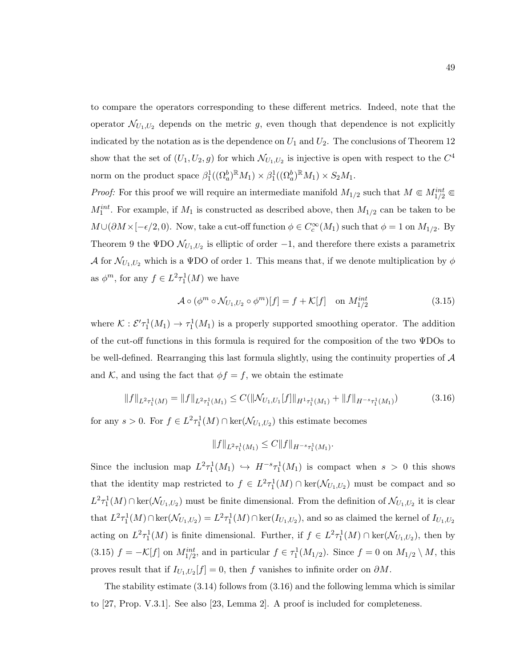to compare the operators corresponding to these different metrics. Indeed, note that the operator  $\mathcal{N}_{U_1,U_2}$  depends on the metric g, even though that dependence is not explicitly indicated by the notation as is the dependence on  $U_1$  and  $U_2$ . The conclusions of Theorem 12 show that the set of  $(U_1, U_2, g)$  for which  $\mathcal{N}_{U_1, U_2}$  is injective is open with respect to the  $C^4$ norm on the product space  $\beta_1^1((\Omega_a^b)^{\mathbb{R}}M_1) \times \beta_1^1((\Omega_a^b)^{\mathbb{R}}M_1) \times S_2M_1$ .

*Proof:* For this proof we will require an intermediate manifold  $M_{1/2}$  such that  $M \in M_{1/2}^{int} \in$  $M_1^{int}$ . For example, if  $M_1$  is constructed as described above, then  $M_{1/2}$  can be taken to be  $M\cup(\partial M\times[-\epsilon/2,0])$ . Now, take a cut-off function  $\phi\in C_c^\infty(M_1)$  such that  $\phi=1$  on  $M_{1/2}$ . By Theorem 9 the  $\Psi$ DO  $\mathcal{N}_{U_1,U_2}$  is elliptic of order  $-1$ , and therefore there exists a parametrix A for  $\mathcal{N}_{U_1,U_2}$  which is a VDO of order 1. This means that, if we denote multiplication by  $\phi$ as  $\phi^m$ , for any  $f \in L^2 \tau_1^1(M)$  we have

$$
\mathcal{A} \circ (\phi^m \circ \mathcal{N}_{U_1, U_2} \circ \phi^m)[f] = f + \mathcal{K}[f] \quad \text{on } M_{1/2}^{int} \tag{3.15}
$$

where  $\mathcal{K}: \mathcal{E}' \tau_1^1(M_1) \to \tau_1^1(M_1)$  is a properly supported smoothing operator. The addition of the cut-off functions in this formula is required for the composition of the two ΨDOs to be well-defined. Rearranging this last formula slightly, using the continuity properties of A and K, and using the fact that  $\phi f = f$ , we obtain the estimate

$$
||f||_{L^{2}\tau_{1}^{1}(M)} = ||f||_{L^{2}\tau_{1}^{1}(M_{1})} \leq C(||\mathcal{N}_{U_{1},U_{1}}[f]||_{H^{1}\tau_{1}^{1}(M_{1})} + ||f||_{H^{-s}\tau_{1}^{1}(M_{1})})
$$
(3.16)

for any  $s > 0$ . For  $f \in L^2 \tau_1^1(M) \cap \text{ker}(\mathcal{N}_{U_1, U_2})$  this estimate becomes

$$
||f||_{L^2\tau_1^1(M_1)} \leq C||f||_{H^{-s}\tau_1^1(M_1)}.
$$

Since the inclusion map  $L^2 \tau_1^1(M_1) \hookrightarrow H^{-s} \tau_1^1(M_1)$  is compact when  $s > 0$  this shows that the identity map restricted to  $f \in L^2 \tau_1^1(M) \cap \text{ker}(\mathcal{N}_{U_1,U_2})$  must be compact and so  $L^2 \tau_1^1(M) \cap \text{ker}(\mathcal{N}_{U_1,U_2})$  must be finite dimensional. From the definition of  $\mathcal{N}_{U_1,U_2}$  it is clear that  $L^2 \tau_1^1(M) \cap \text{ker}(\mathcal{N}_{U_1,U_2}) = L^2 \tau_1^1(M) \cap \text{ker}(I_{U_1,U_2})$ , and so as claimed the kernel of  $I_{U_1,U_2}$ acting on  $L^2 \tau_1^1(M)$  is finite dimensional. Further, if  $f \in L^2 \tau_1^1(M) \cap \text{ker}(\mathcal{N}_{U_1,U_2})$ , then by (3.15)  $f = -\mathcal{K}[f]$  on  $M_{1/2}^{int}$ , and in particular  $f \in \tau_1^1(M_{1/2})$ . Since  $f = 0$  on  $M_{1/2} \setminus M$ , this proves result that if  $I_{U_1,U_2}[f] = 0$ , then f vanishes to infinite order on  $\partial M$ .

The stability estimate (3.14) follows from (3.16) and the following lemma which is similar to [27, Prop. V.3.1]. See also [23, Lemma 2]. A proof is included for completeness.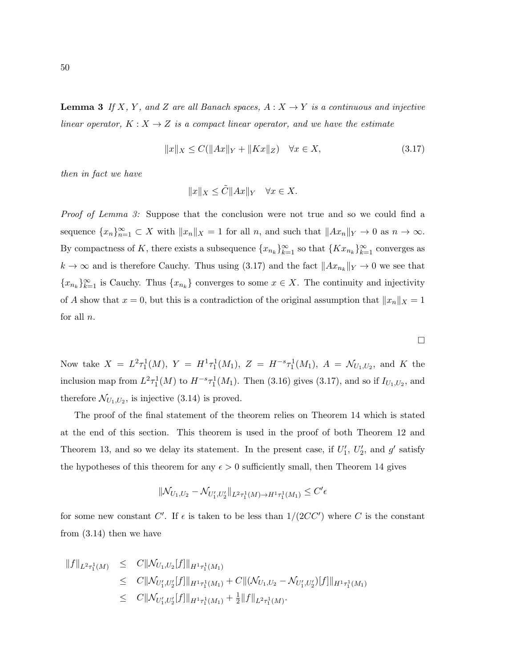**Lemma 3** If X, Y, and Z are all Banach spaces,  $A: X \rightarrow Y$  is a continuous and injective linear operator,  $K: X \to Z$  is a compact linear operator, and we have the estimate

$$
||x||_X \le C(||Ax||_Y + ||Kx||_Z) \quad \forall x \in X,
$$
\n(3.17)

then in fact we have

$$
||x||_X \le \tilde{C}||Ax||_Y \quad \forall x \in X.
$$

Proof of Lemma 3: Suppose that the conclusion were not true and so we could find a sequence  ${x_n}_{n=1}^{\infty} \subset X$  with  $||x_n||_X = 1$  for all n, and such that  $||Ax_n||_Y \to 0$  as  $n \to \infty$ . By compactness of K, there exists a subsequence  $\{x_{n_k}\}_{k=1}^{\infty}$  so that  $\{Kx_{n_k}\}_{k=1}^{\infty}$  converges as  $k \to \infty$  and is therefore Cauchy. Thus using (3.17) and the fact  $||Ax_{n_k}||_Y \to 0$  we see that  ${x_{n_k}}_{k=1}^{\infty}$  is Cauchy. Thus  ${x_{n_k}}$  converges to some  $x \in X$ . The continuity and injectivity of A show that  $x = 0$ , but this is a contradiction of the original assumption that  $||x_n||_X = 1$ for all  $n$ .

 $\Box$ 

Now take  $X = L^2 \tau_1^1(M)$ ,  $Y = H^1 \tau_1^1(M_1)$ ,  $Z = H^{-s} \tau_1^1(M_1)$ ,  $A = \mathcal{N}_{U_1,U_2}$ , and K the inclusion map from  $L^2 \tau_1^1(M)$  to  $H^{-s} \tau_1^1(M_1)$ . Then (3.16) gives (3.17), and so if  $I_{U_1,U_2}$ , and therefore  $\mathcal{N}_{U_1,U_2}$ , is injective (3.14) is proved.

The proof of the final statement of the theorem relies on Theorem 14 which is stated at the end of this section. This theorem is used in the proof of both Theorem 12 and Theorem 13, and so we delay its statement. In the present case, if  $U'_1$ ,  $U'_2$ , and  $g'$  satisfy the hypotheses of this theorem for any  $\epsilon > 0$  sufficiently small, then Theorem 14 gives

$$
\|\mathcal{N}_{U_1,U_2} - \mathcal{N}_{U'_1,U'_2}\|_{L^2\tau_1^1(M)\to H^1\tau_1^1(M_1)} \leq C'\epsilon
$$

for some new constant C'. If  $\epsilon$  is taken to be less than  $1/(2CC')$  where C is the constant from (3.14) then we have

$$
\begin{array}{rcl}\n\|f\|_{L^2\tau_1^1(M)} & \leq & C\|\mathcal{N}_{U_1,U_2}[f]\|_{H^1\tau_1^1(M_1)} \\
& \leq & C\|\mathcal{N}_{U_1',U_2'}[f]\|_{H^1\tau_1^1(M_1)} + C\|(\mathcal{N}_{U_1,U_2} - \mathcal{N}_{U_1',U_2'})[f]\|_{H^1\tau_1^1(M_1)} \\
& \leq & C\|\mathcal{N}_{U_1',U_2'}[f]\|_{H^1\tau_1^1(M_1)} + \frac{1}{2}\|f\|_{L^2\tau_1^1(M)}.\n\end{array}
$$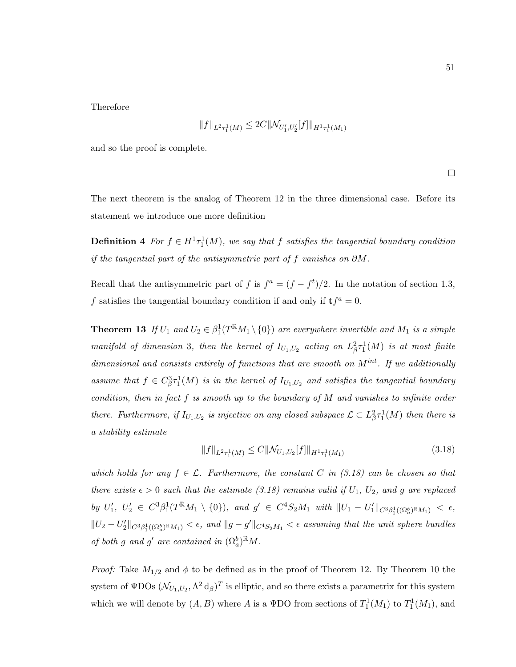Therefore

$$
||f||_{L^2\tau_1^1(M)} \leq 2C||\mathcal{N}_{U_1',U_2'}[f]||_{H^1\tau_1^1(M_1)}
$$

and so the proof is complete.

 $\Box$ 

The next theorem is the analog of Theorem 12 in the three dimensional case. Before its statement we introduce one more definition

**Definition 4** For  $f \in H^1 \tau_1^1(M)$ , we say that f satisfies the tangential boundary condition if the tangential part of the antisymmetric part of f vanishes on  $\partial M$ .

Recall that the antisymmetric part of f is  $f^a = (f - f^t)/2$ . In the notation of section 1.3, f satisfies the tangential boundary condition if and only if  $\mathbf{t} f^a = 0$ .

**Theorem 13** If  $U_1$  and  $U_2 \in \beta_1^1(T^{\mathbb{R}}M_1 \setminus \{0\})$  are everywhere invertible and  $M_1$  is a simple manifold of dimension 3, then the kernel of  $I_{U_1,U_2}$  acting on  $L^2_{\beta} \tau_1^1(M)$  is at most finite dimensional and consists entirely of functions that are smooth on  $M^{int}$ . If we additionally assume that  $f \in C^3_{\beta} \tau^1_1(M)$  is in the kernel of  $I_{U_1,U_2}$  and satisfies the tangential boundary condition, then in fact f is smooth up to the boundary of M and vanishes to infinite order there. Furthermore, if  $I_{U_1,U_2}$  is injective on any closed subspace  $\mathcal{L} \subset L^2_{\beta} \tau_1^1(M)$  then there is a stability estimate

$$
||f||_{L^{2}\tau_{1}^{1}(M)} \leq C||\mathcal{N}_{U_{1},U_{2}}[f]||_{H^{1}\tau_{1}^{1}(M_{1})}
$$
\n(3.18)

which holds for any  $f \in \mathcal{L}$ . Furthermore, the constant C in (3.18) can be chosen so that there exists  $\epsilon > 0$  such that the estimate (3.18) remains valid if  $U_1$ ,  $U_2$ , and g are replaced by  $U'_1, U'_2 \in C^3 \beta_1^1(T^{\mathbb{R}} M_1 \setminus \{0\}), \text{ and } g' \in C^4 S_2 M_1 \text{ with } ||U_1 - U'_1||_{C^3 \beta_1^1((\Omega_a^b)^{\mathbb{R}} M_1)} < \epsilon,$  $||U_2-U_2'||_{C^3\beta_1^1((\Omega_a^b)\mathbb{R}_{M_1})}<\epsilon$ , and  $||g-g'||_{C^4S_2M_1}<\epsilon$  assuming that the unit sphere bundles of both g and g' are contained in  $(\Omega_a^b)^{\mathbb{R}}M$ .

*Proof:* Take  $M_{1/2}$  and  $\phi$  to be defined as in the proof of Theorem 12. By Theorem 10 the system of  $\text{\tt WDOs}$   $(\mathcal{N}_{U_1,U_2}, \Lambda^2 \, \text{d}_{\beta})^T$  is elliptic, and so there exists a parametrix for this system which we will denote by  $(A, B)$  where A is a  $\Psi$ DO from sections of  $T_1^1(M_1)$  to  $T_1^1(M_1)$ , and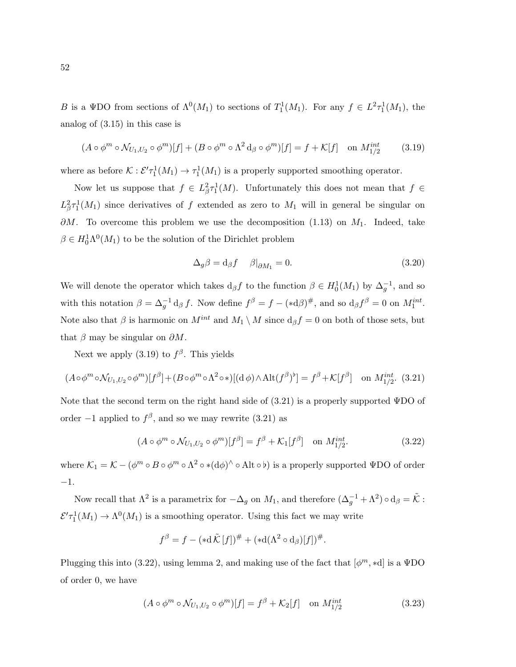B is a VDO from sections of  $\Lambda^0(M_1)$  to sections of  $T_1^1(M_1)$ . For any  $f \in L^2 \tau_1^1(M_1)$ , the analog of (3.15) in this case is

$$
(A \circ \phi^m \circ \mathcal{N}_{U_1, U_2} \circ \phi^m)[f] + (B \circ \phi^m \circ \Lambda^2 d_\beta \circ \phi^m)[f] = f + \mathcal{K}[f] \quad \text{on } M_{1/2}^{int} \tag{3.19}
$$

where as before  $K : \mathcal{E}' \tau_1^1(M_1) \to \tau_1^1(M_1)$  is a properly supported smoothing operator.

Now let us suppose that  $f \in L^2_{\beta} \tau_1^1(M)$ . Unfortunately this does not mean that  $f \in$  $L^2_{\beta} \tau_1^1(M_1)$  since derivatives of f extended as zero to  $M_1$  will in general be singular on  $\partial M$ . To overcome this problem we use the decomposition (1.13) on  $M_1$ . Indeed, take  $\beta \in H_0^1 \Lambda^0(M_1)$  to be the solution of the Dirichlet problem

$$
\Delta_g \beta = d_\beta f \quad \beta|_{\partial M_1} = 0. \tag{3.20}
$$

We will denote the operator which takes  $d_{\beta}f$  to the function  $\beta \in H_0^1(M_1)$  by  $\Delta_g^{-1}$ , and so with this notation  $\beta = \Delta_g^{-1} d_\beta f$ . Now define  $f^\beta = f - (*d\beta)^\#$ , and so  $d_\beta f^\beta = 0$  on  $M_1^{int}$ . Note also that  $\beta$  is harmonic on  $M^{int}$  and  $M_1 \setminus M$  since  $d_{\beta} f = 0$  on both of those sets, but that  $\beta$  may be singular on  $\partial M$ .

Next we apply  $(3.19)$  to  $f^{\beta}$ . This yields

$$
(A \circ \phi^m \circ \mathcal{N}_{U_1, U_2} \circ \phi^m)[f^\beta] + (B \circ \phi^m \circ \Lambda^2 \circ *)[(d\phi) \wedge Alt(f^\beta)^\flat] = f^\beta + \mathcal{K}[f^\beta] \text{ on } M_{1/2}^{int}. (3.21)
$$

Note that the second term on the right hand side of  $(3.21)$  is a properly supported  $\Psi$ DO of order  $-1$  applied to  $f^{\beta}$ , and so we may rewrite (3.21) as

$$
(A \circ \phi^m \circ \mathcal{N}_{U_1, U_2} \circ \phi^m)[f^\beta] = f^\beta + \mathcal{K}_1[f^\beta] \quad \text{on } M_{1/2}^{int}.\tag{3.22}
$$

where  $\mathcal{K}_1=\mathcal{K}-(\phi^m\circ B\circ\phi^m\circ\Lambda^2\circ\ast(\mathrm{d}\phi)^\wedge\circ\mathrm{Alt}\circ\flat)$  is a properly supported  $\Psi\mathrm{DO}$  of order −1.

Now recall that  $\Lambda^2$  is a parametrix for  $-\Delta_g$  on  $M_1$ , and therefore  $(\Delta_g^{-1} + \Lambda^2) \circ d_\beta = \tilde{\mathcal{K}}$ :  $\mathcal{E}'\tau_1^1(M_1) \to \Lambda^0(M_1)$  is a smoothing operator. Using this fact we may write

$$
f^{\beta} = f - (*d\tilde{\mathcal{K}}[f])^{\#} + (*d(\Lambda^{2} \circ d_{\beta})[f])^{\#}.
$$

Plugging this into (3.22), using lemma 2, and making use of the fact that  $[\phi^m, *d]$  is a  $\Psi$ DO of order 0, we have

$$
(A \circ \phi^m \circ \mathcal{N}_{U_1, U_2} \circ \phi^m)[f] = f^\beta + \mathcal{K}_2[f] \quad \text{on } M_{1/2}^{int} \tag{3.23}
$$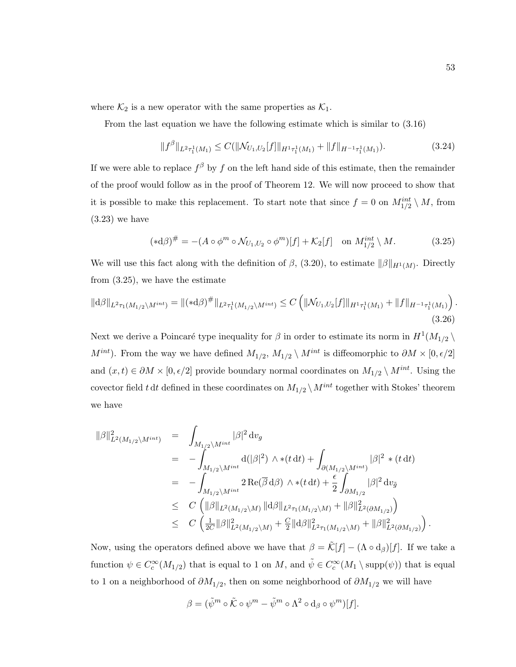where  $\mathcal{K}_2$  is a new operator with the same properties as  $\mathcal{K}_1$ .

From the last equation we have the following estimate which is similar to (3.16)

$$
||f^{\beta}||_{L^{2}\tau_{1}^{1}(M_{1})} \leq C(||\mathcal{N}_{U_{1},U_{2}}[f]||_{H^{1}\tau_{1}^{1}(M_{1})} + ||f||_{H^{-1}\tau_{1}^{1}(M_{1})}). \tag{3.24}
$$

If we were able to replace  $f^{\beta}$  by f on the left hand side of this estimate, then the remainder of the proof would follow as in the proof of Theorem 12. We will now proceed to show that it is possible to make this replacement. To start note that since  $f = 0$  on  $M_{1/2}^{int} \setminus M$ , from (3.23) we have

$$
(*\mathrm{d}\beta)^\# = -(A \circ \phi^m \circ \mathcal{N}_{U_1, U_2} \circ \phi^m)[f] + \mathcal{K}_2[f] \quad \text{on } M_{1/2}^{int} \setminus M. \tag{3.25}
$$

We will use this fact along with the definition of  $\beta$ , (3.20), to estimate  $\|\beta\|_{H^1(M)}$ . Directly from (3.25), we have the estimate

$$
\|\mathrm{d}\beta\|_{L^{2}\tau_{1}(M_{1/2}\backslash M^{int})} = \|(*\mathrm{d}\beta)^{\#}\|_{L^{2}\tau_{1}^{1}(M_{1/2}\backslash M^{int})} \leq C \left( \|\mathcal{N}_{U_{1},U_{2}}[f]\|_{H^{1}\tau_{1}^{1}(M_{1})} + \|f\|_{H^{-1}\tau_{1}^{1}(M_{1})} \right). \tag{3.26}
$$

Next we derive a Poincaré type inequality for  $\beta$  in order to estimate its norm in  $H^1(M_{1/2} \setminus$  $M^{int}$ ). From the way we have defined  $M_{1/2}$ ,  $M_{1/2} \setminus M^{int}$  is diffeomorphic to  $\partial M \times [0, \epsilon/2]$ and  $(x, t) \in \partial M \times [0, \epsilon/2]$  provide boundary normal coordinates on  $M_{1/2} \setminus M^{int}$ . Using the covector field t dt defined in these coordinates on  $M_{1/2} \, \backslash \, M^{int}$  together with Stokes' theorem we have

$$
\begin{array}{rcl}\|\beta\|_{L^{2}(M_{1/2}\backslash M^{int})}^{2} & = & \displaystyle \int_{M_{1/2}\backslash M^{int}}|\beta|^{2}\,\mathrm{d}v_{g} \\ \\ & = & \displaystyle -\int_{M_{1/2}\backslash M^{int}}\mathrm{d}(|\beta|^{2})\,\wedge*(t\,\mathrm{d}t) + \int_{\partial(M_{1/2}\backslash M^{int})}|\beta|^{2}*(t\,\mathrm{d}t) \\ \\ & = & \displaystyle -\int_{M_{1/2}\backslash M^{int}}2\,\mathrm{Re}(\overline{\beta}\,\mathrm{d}\beta)\,\wedge*(t\,\mathrm{d}t) + \frac{\epsilon}{2}\int_{\partial M_{1/2}}|\beta|^{2}\,\mathrm{d}v_{\tilde{g}} \\ \\ & \leq & C\,\left(\|\beta\|_{L^{2}(M_{1/2}\backslash M)}\,\|\mathrm{d}\beta\|_{L^{2}\tau_{1}(M_{1/2}\backslash M)} + \|\beta\|_{L^{2}( \partial M_{1/2})}^{2}\right) \\ \\ & \leq & C\,\left(\frac{1}{2C}\|\beta\|_{L^{2}(M_{1/2}\backslash M)}^{2} + \frac{C}{2}\|\mathrm{d}\beta\|_{L^{2}\tau_{1}(M_{1/2}\backslash M)}^{2} + \|\beta\|_{L^{2}( \partial M_{1/2})}^{2}\right).\end{array}
$$

Now, using the operators defined above we have that  $\beta = \tilde{\mathcal{K}}[f] - (\Lambda \circ d_{\beta})[f]$ . If we take a function  $\psi \in C_c^{\infty}(M_{1/2})$  that is equal to 1 on M, and  $\tilde{\psi} \in C_c^{\infty}(M_1 \setminus \text{supp}(\psi))$  that is equal to 1 on a neighborhood of  $\partial M_{1/2}$ , then on some neighborhood of  $\partial M_{1/2}$  we will have

$$
\beta = (\tilde{\psi}^m \circ \tilde{\mathcal{K}} \circ \psi^m - \tilde{\psi}^m \circ \Lambda^2 \circ d_{\beta} \circ \psi^m)[f].
$$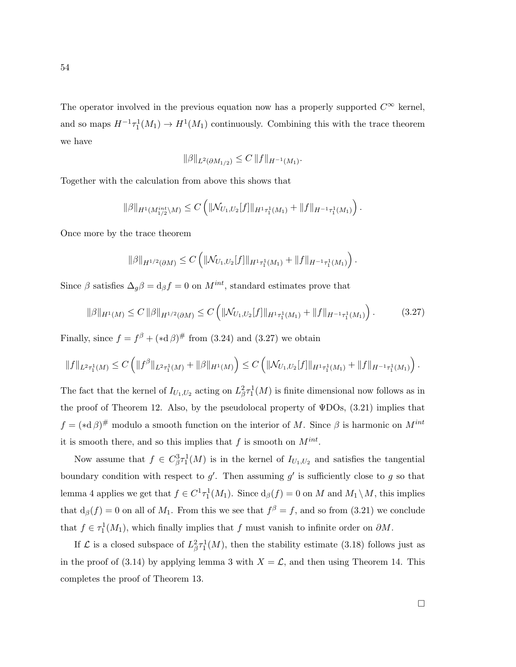The operator involved in the previous equation now has a properly supported  $C^{\infty}$  kernel, and so maps  $H^{-1} \tau_1^1(M_1) \to H^1(M_1)$  continuously. Combining this with the trace theorem we have

$$
\|\beta\|_{L^2(\partial M_{1/2})} \leq C \|f\|_{H^{-1}(M_1)}.
$$

Together with the calculation from above this shows that

$$
\|\beta\|_{H^1(M_{1/2}^{int}\backslash M)} \leq C \left( \|\mathcal{N}_{U_1,U_2}[f]\|_{H^1\tau_1^1(M_1)} + \|f\|_{H^{-1}\tau_1^1(M_1)} \right).
$$

Once more by the trace theorem

$$
\|\beta\|_{H^{1/2}(\partial M)} \leq C \left( \|\mathcal{N}_{U_1,U_2}[f]\|_{H^1\tau_1^1(M_1)} + \|f\|_{H^{-1}\tau_1^1(M_1)} \right).
$$

Since  $\beta$  satisfies  $\Delta_g \beta = d_\beta f = 0$  on  $M^{int}$ , standard estimates prove that

$$
\|\beta\|_{H^1(M)} \le C \|\beta\|_{H^{1/2}(\partial M)} \le C \left( \|\mathcal{N}_{U_1,U_2}[f]\|_{H^1\tau_1^1(M_1)} + \|f\|_{H^{-1}\tau_1^1(M_1)} \right). \tag{3.27}
$$

Finally, since  $f = f^{\beta} + (*d \beta)^{\#}$  from (3.24) and (3.27) we obtain

$$
||f||_{L^2\tau_1^1(M)} \leq C \left( ||f^\beta||_{L^2\tau_1^1(M)} + ||\beta||_{H^1(M)} \right) \leq C \left( ||\mathcal{N}_{U_1,U_2}[f]||_{H^1\tau_1^1(M_1)} + ||f||_{H^{-1}\tau_1^1(M_1)} \right).
$$

The fact that the kernel of  $I_{U_1,U_2}$  acting on  $L^2_{\beta} \tau_1^1(M)$  is finite dimensional now follows as in the proof of Theorem 12. Also, by the pseudolocal property of  $\Psi$ DOs, (3.21) implies that  $f = (*d\beta)^{\#}$  modulo a smooth function on the interior of M. Since  $\beta$  is harmonic on  $M^{int}$ it is smooth there, and so this implies that  $f$  is smooth on  $M^{int}$ .

Now assume that  $f \in C_{\beta}^{3} \tau_1^1(M)$  is in the kernel of  $I_{U_1,U_2}$  and satisfies the tangential boundary condition with respect to  $g'$ . Then assuming  $g'$  is sufficiently close to g so that lemma 4 applies we get that  $f \in C^1 \tau_1^1(M_1)$ . Since  $d_\beta(f) = 0$  on M and  $M_1 \setminus M$ , this implies that  $d_{\beta}(f) = 0$  on all of  $M_1$ . From this we see that  $f^{\beta} = f$ , and so from (3.21) we conclude that  $f \in \tau_1^1(M_1)$ , which finally implies that f must vanish to infinite order on  $\partial M$ .

If  $\mathcal L$  is a closed subspace of  $L^2_{\beta} \tau_1^1(M)$ , then the stability estimate (3.18) follows just as in the proof of (3.14) by applying lemma 3 with  $X = \mathcal{L}$ , and then using Theorem 14. This completes the proof of Theorem 13.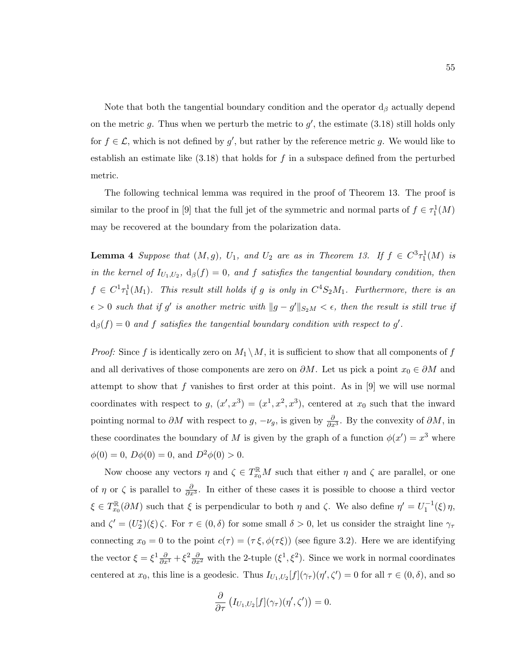Note that both the tangential boundary condition and the operator  $d_{\beta}$  actually depend on the metric g. Thus when we perturb the metric to  $g'$ , the estimate (3.18) still holds only for  $f \in \mathcal{L}$ , which is not defined by g', but rather by the reference metric g. We would like to establish an estimate like  $(3.18)$  that holds for f in a subspace defined from the perturbed metric.

The following technical lemma was required in the proof of Theorem 13. The proof is similar to the proof in [9] that the full jet of the symmetric and normal parts of  $f \in \tau_1^1(M)$ may be recovered at the boundary from the polarization data.

**Lemma 4** Suppose that  $(M, g)$ ,  $U_1$ , and  $U_2$  are as in Theorem 13. If  $f \in C^3 \tau_1^1(M)$  is in the kernel of  $I_{U_1,U_2}$ ,  $d_{\beta}(f) = 0$ , and f satisfies the tangential boundary condition, then  $f \in C^1 \tau_1^1(M_1)$ . This result still holds if g is only in  $C^4 S_2M_1$ . Furthermore, there is an  $\epsilon > 0$  such that if g' is another metric with  $||g - g'||_{S_2M} < \epsilon$ , then the result is still true if  $d_{\beta}(f) = 0$  and f satisfies the tangential boundary condition with respect to g'.

*Proof:* Since f is identically zero on  $M_1 \setminus M$ , it is sufficient to show that all components of f and all derivatives of those components are zero on  $\partial M$ . Let us pick a point  $x_0 \in \partial M$  and attempt to show that  $f$  vanishes to first order at this point. As in [9] we will use normal coordinates with respect to  $g, (x', x^3) = (x^1, x^2, x^3)$ , centered at  $x_0$  such that the inward pointing normal to  $\partial M$  with respect to  $g, -\nu_g$ , is given by  $\frac{\partial}{\partial x^3}$ . By the convexity of  $\partial M$ , in these coordinates the boundary of M is given by the graph of a function  $\phi(x') = x^3$  where  $\phi(0) = 0$ ,  $D\phi(0) = 0$ , and  $D^2\phi(0) > 0$ .

Now choose any vectors  $\eta$  and  $\zeta \in T_{x_0}^{\mathbb{R}}M$  such that either  $\eta$  and  $\zeta$  are parallel, or one of  $\eta$  or  $\zeta$  is parallel to  $\frac{\partial}{\partial x^3}$ . In either of these cases it is possible to choose a third vector  $\xi \in T_{x_0}^{\mathbb{R}}$  $\int_{x_0}^{\mathbb{R}} (\partial M)$  such that  $\xi$  is perpendicular to both  $\eta$  and  $\zeta$ . We also define  $\eta' = U_1^{-1}(\xi) \eta$ , and  $\zeta' = (U_2^*)(\xi)\zeta$ . For  $\tau \in (0,\delta)$  for some small  $\delta > 0$ , let us consider the straight line  $\gamma_{\tau}$ connecting  $x_0 = 0$  to the point  $c(\tau) = (\tau \xi, \phi(\tau \xi))$  (see figure 3.2). Here we are identifying the vector  $\xi = \xi^1 \frac{\partial}{\partial x^1} + \xi^2 \frac{\partial}{\partial x^2}$  with the 2-tuple  $(\xi^1, \xi^2)$ . Since we work in normal coordinates centered at  $x_0$ , this line is a geodesic. Thus  $I_{U_1,U_2}[f](\gamma_\tau)(\eta',\zeta')=0$  for all  $\tau\in(0,\delta)$ , and so

$$
\frac{\partial}{\partial \tau} \left( I_{U_1,U_2}[f](\gamma_\tau)(\eta',\zeta') \right) = 0.
$$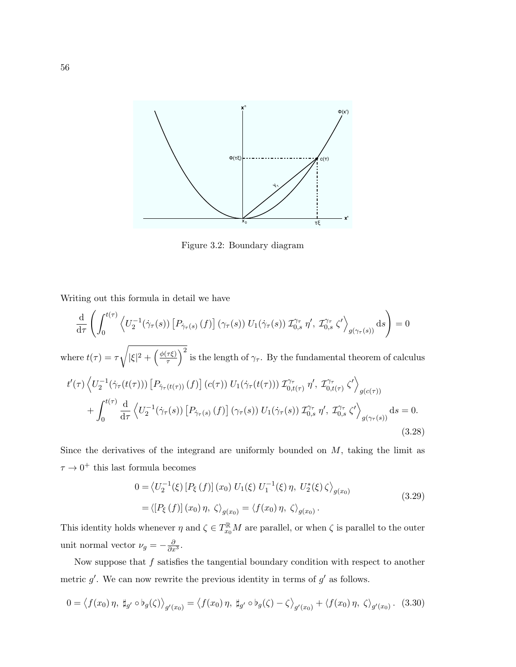

Figure 3.2: Boundary diagram

Writing out this formula in detail we have

$$
\frac{\mathrm{d}}{\mathrm{d}\tau} \left( \int_0^{t(\tau)} \left\langle U_2^{-1}(\dot{\gamma}_\tau(s)) \left[ P_{\dot{\gamma}_\tau(s)} \left( f \right) \right] (\gamma_\tau(s)) U_1(\dot{\gamma}_\tau(s)) \mathcal{I}_{0,s}^{\gamma_\tau} \eta', \mathcal{I}_{0,s}^{\gamma_\tau} \zeta' \right\rangle_{g(\gamma_\tau(s))} \mathrm{d}s \right) = 0
$$
\nwhere  $t(\tau) = \tau \sqrt{|\xi|^2 + \left(\frac{\phi(\tau\xi)}{\tau}\right)^2}$  is the length of  $\gamma_\tau$ . By the fundamental theorem of calculus\n
$$
t'(\tau) \left\langle U_2^{-1}(\dot{\gamma}_\tau(t(\tau))) \left[ P_{\dot{\gamma}_\tau(t(\tau))} \left( f \right) \right] (c(\tau)) U_1(\dot{\gamma}_\tau(t(\tau))) \mathcal{I}_{0,t(\tau)}^{\gamma_\tau} \eta', \mathcal{I}_{0,t(\tau)}^{\gamma_\tau} \zeta' \right\rangle_{g(c(\tau))}
$$
\n
$$
+ \int_0^{t(\tau)} \frac{\mathrm{d}}{\mathrm{d}\tau} \left\langle U_2^{-1}(\dot{\gamma}_\tau(s)) \left[ P_{\dot{\gamma}_\tau(s)} \left( f \right) \right] (\gamma_\tau(s)) U_1(\dot{\gamma}_\tau(s)) \mathcal{I}_{0,s}^{\gamma_\tau} \eta', \mathcal{I}_{0,s}^{\gamma_\tau} \zeta' \right\rangle_{g(\gamma_\tau(s))} \mathrm{d}s = 0.
$$
\n(3.28)

Since the derivatives of the integrand are uniformly bounded on  $M$ , taking the limit as  $\tau \to 0^+$  this last formula becomes

$$
0 = \langle U_2^{-1}(\xi) [P_{\xi}(f)] (x_0) U_1(\xi) U_1^{-1}(\xi) \eta, U_2^*(\xi) \zeta \rangle_{g(x_0)}
$$
  
=  $\langle [P_{\xi}(f)] (x_0) \eta, \zeta \rangle_{g(x_0)} = \langle f(x_0) \eta, \zeta \rangle_{g(x_0)}.$  (3.29)

This identity holds whenever  $\eta$  and  $\zeta \in T_{x_0}^{\mathbb{R}}M$  are parallel, or when  $\zeta$  is parallel to the outer unit normal vector  $\nu_g = -\frac{\partial}{\partial x^3}$ .

Now suppose that  $f$  satisfies the tangential boundary condition with respect to another metric  $g'$ . We can now rewrite the previous identity in terms of  $g'$  as follows.

$$
0 = \langle f(x_0) \eta, \, \sharp_{g'} \circ \flat_g(\zeta) \rangle_{g'(x_0)} = \langle f(x_0) \eta, \, \sharp_{g'} \circ \flat_g(\zeta) - \zeta \rangle_{g'(x_0)} + \langle f(x_0) \eta, \, \zeta \rangle_{g'(x_0)}.
$$
 (3.30)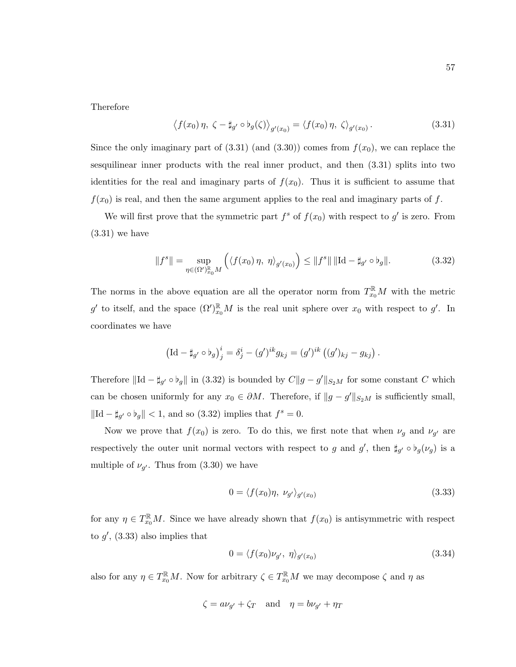Therefore

$$
\langle f(x_0)\eta, \zeta - \sharp_{g'} \circ \flat_g(\zeta) \rangle_{g'(x_0)} = \langle f(x_0)\eta, \zeta \rangle_{g'(x_0)}.
$$
\n(3.31)

Since the only imaginary part of  $(3.31)$  (and  $(3.30)$ ) comes from  $f(x_0)$ , we can replace the sesquilinear inner products with the real inner product, and then (3.31) splits into two identities for the real and imaginary parts of  $f(x_0)$ . Thus it is sufficient to assume that  $f(x_0)$  is real, and then the same argument applies to the real and imaginary parts of f.

We will first prove that the symmetric part  $f^s$  of  $f(x_0)$  with respect to  $g'$  is zero. From  $(3.31)$  we have

$$
||f^{s}|| = \sup_{\eta \in (\Omega')_{x_0}^{\mathbb{R}}} \left( \langle f(x_0) \eta, \eta \rangle_{g'(x_0)} \right) \le ||f^{s}|| \, ||\mathrm{Id} - \sharp_{g'} \circ \flat_g||. \tag{3.32}
$$

The norms in the above equation are all the operator norm from  $T_{x_0}^{\mathbb{R}}M$  with the metric g' to itself, and the space  $(\Omega')_{x_0}^{\mathbb{R}}M$  is the real unit sphere over  $x_0$  with respect to g'. In coordinates we have

$$
\left(\mathrm{Id} - \sharp_{g'} \circ \flat_g\right)^i_j = \delta^i_j - (g')^{ik} g_{kj} = (g')^{ik} \left( (g')_{kj} - g_{kj} \right).
$$

Therefore  $\|\mathrm{Id} - \sharp_{g'} \circ \flat_g\|$  in (3.32) is bounded by  $C\|g - g'\|_{S_2M}$  for some constant C which can be chosen uniformly for any  $x_0 \in \partial M$ . Therefore, if  $||g - g'||_{S_2M}$  is sufficiently small,  $\|\mathrm{Id} - \sharp_{g'} \circ \flat_g\| < 1$ , and so (3.32) implies that  $f^s = 0$ .

Now we prove that  $f(x_0)$  is zero. To do this, we first note that when  $\nu_g$  and  $\nu_{g'}$  are respectively the outer unit normal vectors with respect to g and  $g'$ , then  $\sharp_{g'} \circ \flat_g(\nu_g)$  is a multiple of  $\nu_{g'}$ . Thus from (3.30) we have

$$
0 = \langle f(x_0)\eta, \nu_{g'}\rangle_{g'(x_0)}\tag{3.33}
$$

for any  $\eta \in T_{x_0}^{\mathbb{R}}M$ . Since we have already shown that  $f(x_0)$  is antisymmetric with respect to  $g'$ , (3.33) also implies that

$$
0 = \langle f(x_0)\nu_{g'}, \eta \rangle_{g'(x_0)} \tag{3.34}
$$

also for any  $\eta \in T_{x_0}^{\mathbb{R}}M$ . Now for arbitrary  $\zeta \in T_{x_0}^{\mathbb{R}}M$  we may decompose  $\zeta$  and  $\eta$  as

$$
\zeta = a\nu_{g'} + \zeta_T \quad \text{and} \quad \eta = b\nu_{g'} + \eta_T
$$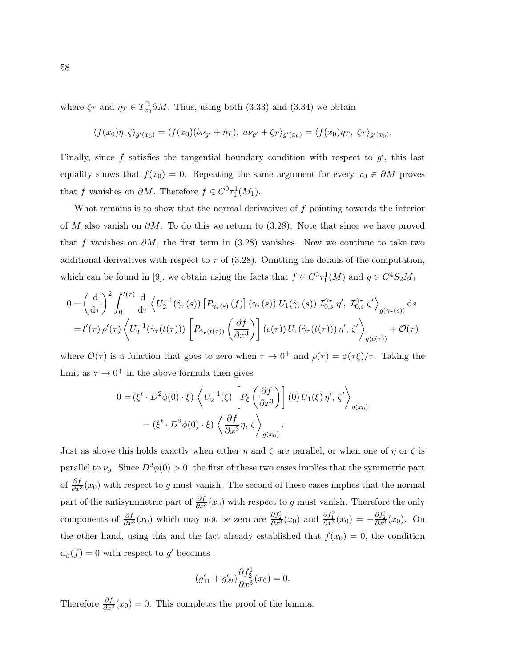where  $\zeta_T$  and  $\eta_T \in T_{x_0}^{\mathbb{R}}$  $\int_{x_0}^{\mathbb{R}} \partial M$ . Thus, using both (3.33) and (3.34) we obtain

$$
\langle f(x_0)\eta, \zeta \rangle_{g'(x_0)} = \langle f(x_0)(b\nu_{g'} + \eta_T), a\nu_{g'} + \zeta_T \rangle_{g'(x_0)} = \langle f(x_0)\eta_T, \zeta_T \rangle_{g'(x_0)}.
$$

Finally, since  $f$  satisfies the tangential boundary condition with respect to  $g'$ , this last equality shows that  $f(x_0) = 0$ . Repeating the same argument for every  $x_0 \in \partial M$  proves that f vanishes on  $\partial M$ . Therefore  $f \in C^0\tau_1^1(M_1)$ .

What remains is to show that the normal derivatives of  $f$  pointing towards the interior of M also vanish on  $\partial M$ . To do this we return to (3.28). Note that since we have proved that f vanishes on  $\partial M$ , the first term in (3.28) vanishes. Now we continue to take two additional derivatives with respect to  $\tau$  of (3.28). Omitting the details of the computation, which can be found in [9], we obtain using the facts that  $f \in C^3 \tau_1^1(M)$  and  $g \in C^4 S_2M_1$ 

$$
0 = \left(\frac{\mathrm{d}}{\mathrm{d}\tau}\right)^2 \int_0^{t(\tau)} \frac{\mathrm{d}}{\mathrm{d}\tau} \left\langle U_2^{-1}(\dot{\gamma}_\tau(s)) \left[ P_{\dot{\gamma}_\tau(s)}(f) \right] (\gamma_\tau(s)) U_1(\dot{\gamma}_\tau(s)) \mathcal{I}_{0,s}^{\gamma_\tau} \eta', \mathcal{I}_{0,s}^{\gamma_\tau} \zeta' \right\rangle_{g(\gamma_\tau(s))} \mathrm{d}s
$$
  

$$
= t'(\tau) \rho'(\tau) \left\langle U_2^{-1}(\dot{\gamma}_\tau(t(\tau))) \left[ P_{\dot{\gamma}_\tau(t(\tau))} \left( \frac{\partial f}{\partial x^3} \right) \right] (c(\tau)) U_1(\dot{\gamma}_\tau(t(\tau))) \eta', \zeta' \right\rangle_{g(c(\tau))} + \mathcal{O}(\tau)
$$

where  $\mathcal{O}(\tau)$  is a function that goes to zero when  $\tau \to 0^+$  and  $\rho(\tau) = \phi(\tau \xi)/\tau$ . Taking the limit as  $\tau \to 0^+$  in the above formula then gives

$$
0 = (\xi^t \cdot D^2 \phi(0) \cdot \xi) \left\langle U_2^{-1}(\xi) \left[ P_{\xi} \left( \frac{\partial f}{\partial x^3} \right) \right] (0) U_1(\xi) \eta', \zeta' \right\rangle_{g(x_0)}
$$
  
=  $(\xi^t \cdot D^2 \phi(0) \cdot \xi) \left\langle \frac{\partial f}{\partial x^3} \eta, \zeta \right\rangle_{g(x_0)}$ .

Just as above this holds exactly when either  $\eta$  and  $\zeta$  are parallel, or when one of  $\eta$  or  $\zeta$  is parallel to  $\nu_g$ . Since  $D^2\phi(0) > 0$ , the first of these two cases implies that the symmetric part of  $\frac{\partial f}{\partial x^3}(x_0)$  with respect to g must vanish. The second of these cases implies that the normal part of the antisymmetric part of  $\frac{\partial f}{\partial x^3}(x_0)$  with respect to g must vanish. Therefore the only components of  $\frac{\partial f}{\partial x^3}(x_0)$  which may not be zero are  $\frac{\partial f_2^1}{\partial x^3}(x_0)$  and  $\frac{\partial f_1^2}{\partial x^3}(x_0) = -\frac{\partial f_2^1}{\partial x^3}(x_0)$ . On the other hand, using this and the fact already established that  $f(x_0) = 0$ , the condition  $d_{\beta}(f) = 0$  with respect to g' becomes

$$
(g'_{11} + g'_{22})\frac{\partial f_2^1}{\partial x^3}(x_0) = 0.
$$

Therefore  $\frac{\partial f}{\partial x^3}(x_0) = 0$ . This completes the proof of the lemma.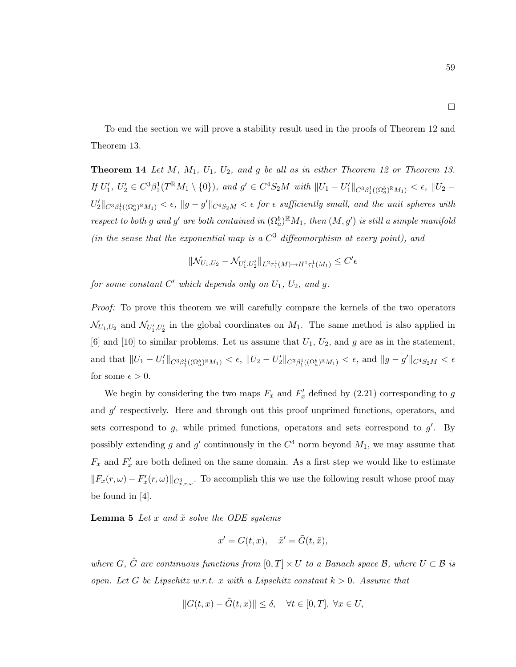To end the section we will prove a stability result used in the proofs of Theorem 12 and Theorem 13.

**Theorem 14** Let M,  $M_1$ ,  $U_1$ ,  $U_2$ , and g be all as in either Theorem 12 or Theorem 13. If  $U'_1, U'_2 \in C^3 \beta_1^1(T^{\mathbb{R}} M_1 \setminus \{0\}),$  and  $g' \in C^4 S_2 M$  with  $||U_1 - U'_1||_{C^3 \beta_1^1((\Omega_a^b)^{\mathbb{R}} M_1)} < \epsilon, ||U_2 - U'_1||_{C^4}$  $U_2'||_{C^3\beta_1^1((\Omega_a^b)\mathbb{R}_{M_1})}<\epsilon, ||g-g'||_{C^4S_2M}<\epsilon$  for  $\epsilon$  sufficiently small, and the unit spheres with respect to both g and g' are both contained in  $(\Omega_a^b)^{\mathbb{R}}M_1$ , then  $(M, g')$  is still a simple manifold (in the sense that the exponential map is a  $C^3$  diffeomorphism at every point), and

$$
\|\mathcal{N}_{U_1,U_2} - \mathcal{N}_{U'_1,U'_2}\|_{L^2\tau_1^1(M)\to H^1\tau_1^1(M_1)} \leq C'\epsilon
$$

for some constant  $C'$  which depends only on  $U_1$ ,  $U_2$ , and g.

*Proof:* To prove this theorem we will carefully compare the kernels of the two operators  $\mathcal{N}_{U_1,U_2}$  and  $\mathcal{N}_{U'_1,U'_2}$  in the global coordinates on  $M_1$ . The same method is also applied in [6] and [10] to similar problems. Let us assume that  $U_1, U_2$ , and g are as in the statement, and that  $||U_1 - U'_1||_{C^3\beta_1^1((\Omega_a^b)^{\mathbb{R}}M_1)} < \epsilon$ ,  $||U_2 - U'_2||_{C^3\beta_1^1((\Omega_a^b)^{\mathbb{R}}M_1)} < \epsilon$ , and  $||g - g'||_{C^4S_2M} < \epsilon$ for some  $\epsilon > 0$ .

We begin by considering the two maps  $F_x$  and  $F'_x$  defined by (2.21) corresponding to g and  $g'$  respectively. Here and through out this proof unprimed functions, operators, and sets correspond to  $g$ , while primed functions, operators and sets correspond to  $g'$ . By possibly extending g and g' continuously in the  $C<sup>4</sup>$  norm beyond  $M<sub>1</sub>$ , we may assume that  $F_x$  and  $F'_x$  are both defined on the same domain. As a first step we would like to estimate  $||F_x(r,\omega) - F'_x(r,\omega)||_{C^3_{x,r,\omega}}$ . To accomplish this we use the following result whose proof may be found in [4].

**Lemma 5** Let  $x$  and  $\tilde{x}$  solve the ODE systems

$$
x' = G(t, x), \quad \tilde{x}' = \tilde{G}(t, \tilde{x}),
$$

where G,  $\tilde{G}$  are continuous functions from  $[0, T] \times U$  to a Banach space B, where  $U \subset \mathcal{B}$  is open. Let G be Lipschitz w.r.t. x with a Lipschitz constant  $k > 0$ . Assume that

$$
||G(t, x) - \tilde{G}(t, x)|| \le \delta, \quad \forall t \in [0, T], \ \forall x \in U,
$$

 $\Box$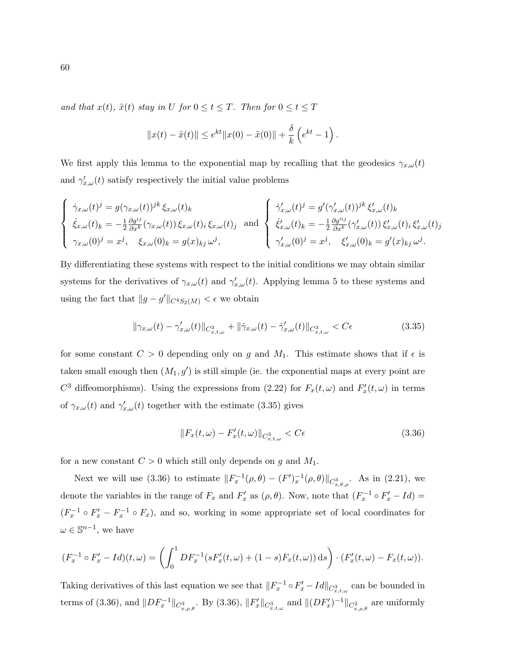and that  $x(t)$ ,  $\tilde{x}(t)$  stay in U for  $0 \le t \le T$ . Then for  $0 \le t \le T$ 

$$
||x(t) - \tilde{x}(t)|| \le e^{kt} ||x(0) - \tilde{x}(0)|| + \frac{\delta}{k} (e^{kt} - 1).
$$

We first apply this lemma to the exponential map by recalling that the geodesics  $\gamma_{x,\omega}(t)$ and  $\gamma_{x,\omega}'(t)$  satisfy respectively the initial value problems

$$
\begin{cases}\n\dot{\gamma}_{x,\omega}(t)^{j} = g(\gamma_{x,\omega}(t))^{jk} \xi_{x,\omega}(t)_{k} \\
\dot{\xi}_{x,\omega}(t)_{k} = -\frac{1}{2} \frac{\partial g^{ij}}{\partial x^{k}} (\gamma_{x,\omega}(t)) \xi_{x,\omega}(t)_{i} \xi_{x,\omega}(t)_{j} \text{ and } \begin{cases}\n\dot{\gamma}'_{x,\omega}(t)^{j} = g'(\gamma'_{x,\omega}(t))^{jk} \xi'_{x,\omega}(t)_{k} \\
\dot{\xi}'_{x,\omega}(t)_{k} = -\frac{1}{2} \frac{\partial g'^{ij}}{\partial x^{k}} (\gamma'_{x,\omega}(t)) \xi'_{x,\omega}(t)_{i} \xi'_{x,\omega}(t)_{j} \\
\gamma_{x,\omega}(0)^{j} = x^{j}, \xi_{x,\omega}(0)_{k} = g(x)_{kj} \omega^{j},\n\end{cases}
$$

By differentiating these systems with respect to the initial conditions we may obtain similar systems for the derivatives of  $\gamma_{x,\omega}(t)$  and  $\gamma'_{x,\omega}(t)$ . Applying lemma 5 to these systems and using the fact that  $||g - g'||_{C^4S_2(M)} < \epsilon$  we obtain

$$
\|\gamma_{x,\omega}(t) - \gamma'_{x,\omega}(t)\|_{C^3_{x,t,\omega}} + \|\dot{\gamma}_{x,\omega}(t) - \dot{\gamma}'_{x,\omega}(t)\|_{C^3_{x,t,\omega}} < C\epsilon \tag{3.35}
$$

for some constant  $C > 0$  depending only on g and  $M_1$ . This estimate shows that if  $\epsilon$  is taken small enough then  $(M_1, g')$  is still simple (ie. the exponential maps at every point are  $C^3$  diffeomorphisms). Using the expressions from (2.22) for  $F_x(t,\omega)$  and  $F'_x(t,\omega)$  in terms of  $\gamma_{x,\omega}(t)$  and  $\gamma'_{x,\omega}(t)$  together with the estimate (3.35) gives

$$
||F_x(t,\omega) - F'_x(t,\omega)||_{C^3_{x,t,\omega}} < C\epsilon
$$
\n(3.36)

for a new constant  $C > 0$  which still only depends on g and  $M_1$ .

Next we will use (3.36) to estimate  $||F_x^{-1}(\rho, \theta) - (F')_x^{-1}(\rho, \theta)||_{C^3_{x, \theta, \rho}}$ . As in (2.21), we denote the variables in the range of  $F_x$  and  $F'_x$  as  $(\rho, \theta)$ . Now, note that  $(F_x^{-1} \circ F'_x - Id) =$  $(F_x^{-1} \circ F_x' - F_x^{-1} \circ F_x)$ , and so, working in some appropriate set of local coordinates for  $\omega \in \mathbb{S}^{n-1}$ , we have

$$
(F_x^{-1} \circ F_x' - Id)(t, \omega) = \left( \int_0^1 DF_x^{-1}(sF_x'(t, \omega) + (1 - s)F_x(t, \omega)) ds \right) \cdot (F_x'(t, \omega) - F_x(t, \omega)).
$$

Taking derivatives of this last equation we see that  $||F_x^{-1} \circ F'_x - Id||_{C^3_{x,t,\omega}}$  can be bounded in terms of (3.36), and  $||DF_x^{-1}||_{C^3_{x,\rho,\theta}}$ . By (3.36),  $||F'_x||_{C^3_{x,t,\omega}}$  and  $||(DF'_x)^{-1}||_{C^2_{x,\rho,\theta}}$  are uniformly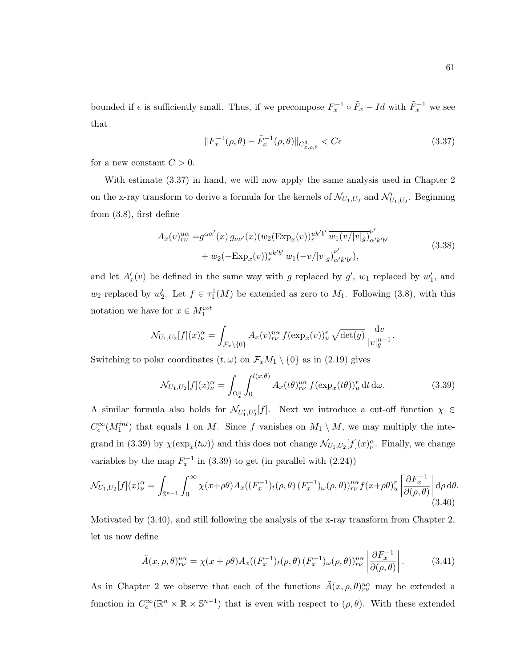bounded if  $\epsilon$  is sufficiently small. Thus, if we precompose  $F_x^{-1} \circ \tilde{F}_x - Id$  with  $\tilde{F}_x^{-1}$  we see that

$$
||F_x^{-1}(\rho,\theta) - \tilde{F}_x^{-1}(\rho,\theta)||_{C^3_{x,\rho,\theta}} < C\epsilon
$$
\n(3.37)

for a new constant  $C > 0$ .

With estimate (3.37) in hand, we will now apply the same analysis used in Chapter 2 on the x-ray transform to derive a formula for the kernels of  $\mathcal{N}_{U_1,U_2}$  and  $\mathcal{N}'_{U_1,U_2}$ . Beginning from (3.8), first define

$$
A_x(v)_{\nu\nu}^{u\alpha} = g^{\alpha\alpha'}(x) g_{\nu\nu'}(x) (w_2(\text{Exp}_x(v))_{r}^{u k'b'} \overline{w_1(v/|v|_g)}_{\alpha' k'b'}^{\nu'} + w_2(-\text{Exp}_x(v))_{r}^{u k'b'} \overline{w_1(-v/|v|_g)}_{\alpha' k'b'}^{\nu'},
$$
\n(3.38)

and let  $A'_x(v)$  be defined in the same way with g replaced by  $g'$ ,  $w_1$  replaced by  $w'_1$ , and  $w_2$  replaced by  $w_2'$ . Let  $f \in \tau_1^1(M)$  be extended as zero to  $M_1$ . Following (3.8), with this notation we have for  $x \in M_1^{int}$ 

$$
\mathcal{N}_{U_1,U_2}[f](x)^\alpha_\nu = \int_{\mathcal{F}_x \backslash \{0\}} A_x(v)^{u\alpha}_{r\nu} f(\exp_x(v))^r_u \sqrt{\det(g)} \frac{\mathrm{d}v}{|v|_g^{n-1}}.
$$

Switching to polar coordinates  $(t, \omega)$  on  $\mathcal{F}_x M_1 \setminus \{0\}$  as in (2.19) gives

$$
\mathcal{N}_{U_1,U_2}[f](x)^\alpha_\nu = \int_{\Omega_x^\mathbb{R}} \int_0^{l(x,\theta)} A_x(t\theta)^\nu_{r\nu} f(\exp_x(t\theta))^\nu_u \, \mathrm{d}t \, \mathrm{d}\omega. \tag{3.39}
$$

A similar formula also holds for  $\mathcal{N}_{U'_1,U'_2}[f]$ . Next we introduce a cut-off function  $\chi \in$  $C_c^{\infty}(M_1^{int})$  that equals 1 on M. Since f vanishes on  $M_1 \setminus M$ , we may multiply the integrand in (3.39) by  $\chi(\exp_x(t\omega))$  and this does not change  $\mathcal{N}_{U_1,U_2}[f](x)_{\nu}^{\alpha}$ . Finally, we change variables by the map  $F_x^{-1}$  in (3.39) to get (in parallel with (2.24))

$$
\mathcal{N}_{U_1,U_2}[f](x)^\alpha_\nu = \int_{\mathbb{S}^{n-1}} \int_0^\infty \chi(x+\rho\theta) A_x((F_x^{-1})_t(\rho,\theta) (F_x^{-1})_\omega(\rho,\theta))^{u\alpha}_{r\nu} f(x+\rho\theta)^r_u \left| \frac{\partial F_x^{-1}}{\partial(\rho,\theta)} \right| d\rho d\theta. \tag{3.40}
$$

Motivated by (3.40), and still following the analysis of the x-ray transform from Chapter 2, let us now define

$$
\tilde{A}(x,\rho,\theta)_{r\nu}^{u\alpha} = \chi(x+\rho\theta)A_x((F_x^{-1})_t(\rho,\theta)(F_x^{-1})_\omega(\rho,\theta))_{r\nu}^{u\alpha} \left| \frac{\partial F_x^{-1}}{\partial(\rho,\theta)} \right|.
$$
 (3.41)

As in Chapter 2 we observe that each of the functions  $\tilde{A}(x,\rho,\theta)_{r\nu}^{u\alpha}$  may be extended a function in  $C_c^{\infty}(\mathbb{R}^n \times \mathbb{R} \times \mathbb{S}^{n-1})$  that is even with respect to  $(\rho, \theta)$ . With these extended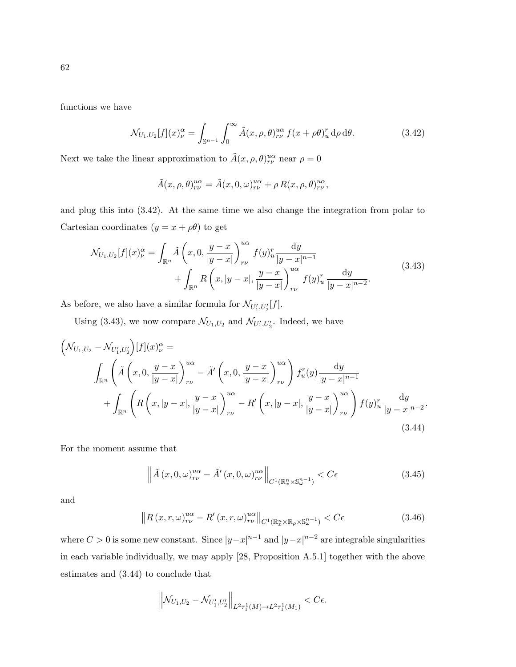functions we have

$$
\mathcal{N}_{U_1,U_2}[f](x)^\alpha_\nu = \int_{\mathbb{S}^{n-1}} \int_0^\infty \tilde{A}(x,\rho,\theta)_{r\nu}^{u\alpha} f(x+\rho\theta)_u^r \,d\rho \,d\theta. \tag{3.42}
$$

Next we take the linear approximation to  $\tilde{A}(x, \rho, \theta)_{r\nu}^{\mu\alpha}$  near  $\rho = 0$ 

$$
\tilde{A}(x,\rho,\theta)_{rv}^{u\alpha} = \tilde{A}(x,0,\omega)_{rv}^{u\alpha} + \rho R(x,\rho,\theta)_{rv}^{u\alpha},
$$

and plug this into (3.42). At the same time we also change the integration from polar to Cartesian coordinates  $(y = x + \rho \theta)$  to get

$$
\mathcal{N}_{U_1, U_2}[f](x)_{\nu}^{\alpha} = \int_{\mathbb{R}^n} \tilde{A}\left(x, 0, \frac{y - x}{|y - x|}\right)_{r\nu}^{u\alpha} f(y)_{u}^{r} \frac{dy}{|y - x|^{n-1}} + \int_{\mathbb{R}^n} R\left(x, |y - x|, \frac{y - x}{|y - x|}\right)_{r\nu}^{u\alpha} f(y)_{u}^{r} \frac{dy}{|y - x|^{n-2}}.
$$
\n(3.43)

As before, we also have a similar formula for  $\mathcal{N}_{U'_1, U'_2}[f]$ .

Using (3.43), we now compare  $\mathcal{N}_{U_1,U_2}$  and  $\mathcal{N}_{U'_1,U'_2}$ . Indeed, we have

$$
\left(\mathcal{N}_{U_1,U_2} - \mathcal{N}_{U'_1,U'_2}\right)[f](x)_{\nu}^{\alpha} =
$$
\n
$$
\int_{\mathbb{R}^n} \left( \tilde{A}\left(x, 0, \frac{y-x}{|y-x|}\right)_{r\nu}^{u\alpha} - \tilde{A}'\left(x, 0, \frac{y-x}{|y-x|}\right)_{r\nu}^{u\alpha} \right) f_u^r(y) \frac{dy}{|y-x|^{n-1}} + \int_{\mathbb{R}^n} \left( R\left(x, |y-x|, \frac{y-x}{|y-x|}\right)_{r\nu}^{u\alpha} - R'\left(x, |y-x|, \frac{y-x}{|y-x|}\right)_{r\nu}^{u\alpha} \right) f(y)_{u}^r \frac{dy}{|y-x|^{n-2}}.
$$
\n(3.44)

For the moment assume that

$$
\left\| \tilde{A}(x,0,\omega)_{r\nu}^{u\alpha} - \tilde{A}'(x,0,\omega)_{r\nu}^{u\alpha} \right\|_{C^1(\mathbb{R}^n_x \times \mathbb{S}^{n-1}_{\omega})} < C\epsilon
$$
\n(3.45)

and

$$
\left\| R\left(x, r, \omega\right)^{u\alpha}_{r\nu} - R'\left(x, r, \omega\right)^{u\alpha}_{r\nu} \right\|_{C^1\left(\mathbb{R}^n_x \times \mathbb{R}_\rho \times \mathbb{S}^{n-1}_\omega\right)} < C\epsilon \tag{3.46}
$$

where  $C > 0$  is some new constant. Since  $|y-x|^{n-1}$  and  $|y-x|^{n-2}$  are integrable singularities in each variable individually, we may apply [28, Proposition A.5.1] together with the above estimates and (3.44) to conclude that

$$
\left\| \mathcal{N}_{U_1, U_2} - \mathcal{N}_{U'_1, U'_2} \right\|_{L^2 \tau_1^1(M) \to L^2 \tau_1^1(M_1)} < C \epsilon.
$$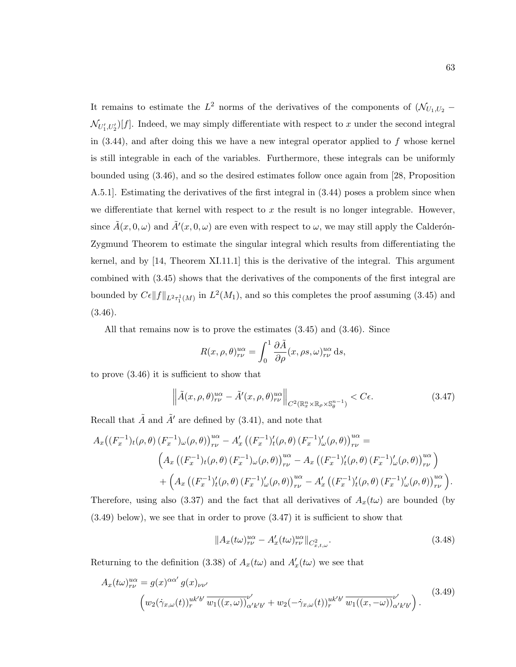It remains to estimate the  $L^2$  norms of the derivatives of the components of  $(\mathcal{N}_{U_1,U_2}$  –  $\mathcal{N}_{U_1', U_2'}[f]$ . Indeed, we may simply differentiate with respect to x under the second integral in  $(3.44)$ , and after doing this we have a new integral operator applied to f whose kernel is still integrable in each of the variables. Furthermore, these integrals can be uniformly bounded using (3.46), and so the desired estimates follow once again from [28, Proposition A.5.1]. Estimating the derivatives of the first integral in (3.44) poses a problem since when we differentiate that kernel with respect to  $x$  the result is no longer integrable. However, since  $\tilde{A}(x,0,\omega)$  and  $\tilde{A}'(x,0,\omega)$  are even with respect to  $\omega$ , we may still apply the Calderón-Zygmund Theorem to estimate the singular integral which results from differentiating the kernel, and by [14, Theorem XI.11.1] this is the derivative of the integral. This argument combined with (3.45) shows that the derivatives of the components of the first integral are bounded by  $C\epsilon ||f||_{L^2\tau_1^1(M)}$  in  $L^2(M_1)$ , and so this completes the proof assuming (3.45) and (3.46).

All that remains now is to prove the estimates (3.45) and (3.46). Since

$$
R(x, \rho, \theta)_{r\nu}^{u\alpha} = \int_0^1 \frac{\partial \tilde{A}}{\partial \rho} (x, \rho s, \omega)_{r\nu}^{u\alpha} ds,
$$

to prove (3.46) it is sufficient to show that

$$
\left\| \tilde{A}(x,\rho,\theta)_{r\nu}^{u\alpha} - \tilde{A}'(x,\rho,\theta)_{r\nu}^{u\alpha} \right\|_{C^2(\mathbb{R}^n_x \times \mathbb{R}_\rho \times \mathbb{S}_\theta^{n-1})} < C\epsilon. \tag{3.47}
$$

Recall that  $\tilde{A}$  and  $\tilde{A}'$  are defined by (3.41), and note that

$$
A_{x}\left((F_{x}^{-1})_{t}(\rho,\theta)\left(F_{x}^{-1}\right)_{\omega}(\rho,\theta)\right)_{r\nu}^{\alpha\alpha} - A'_{x}\left((F_{x}^{-1})'_{t}(\rho,\theta)\left(F_{x}^{-1}\right)'_{\omega}(\rho,\theta)\right)_{r\nu}^{\alpha\alpha} =
$$

$$
\left(A_{x}\left((F_{x}^{-1})_{t}(\rho,\theta)\left(F_{x}^{-1}\right)_{\omega}(\rho,\theta)\right)_{r\nu}^{\alpha\alpha} - A_{x}\left((F_{x}^{-1})'_{t}(\rho,\theta)\left(F_{x}^{-1}\right)'_{\omega}(\rho,\theta)\right)_{r\nu}^{\alpha\alpha}\right) + \left(A_{x}\left((F_{x}^{-1})'_{t}(\rho,\theta)\left(F_{x}^{-1}\right)'_{\omega}(\rho,\theta)\right)_{r\nu}^{\alpha\alpha} - A'_{x}\left((F_{x}^{-1})'_{t}(\rho,\theta)\left(F_{x}^{-1}\right)'_{\omega}(\rho,\theta)\right)_{r\nu}^{\alpha\alpha}\right).
$$

Therefore, using also (3.37) and the fact that all derivatives of  $A_x(t\omega)$  are bounded (by (3.49) below), we see that in order to prove (3.47) it is sufficient to show that

$$
||A_x(t\omega)_{r\nu}^{u\alpha} - A'_x(t\omega)_{r\nu}^{u\alpha}||_{C^2_{x,t,\omega}}.
$$
\n(3.48)

Returning to the definition (3.38) of  $A_x(t\omega)$  and  $A'_x(t\omega)$  we see that

$$
A_x(t\omega)_{r\nu}^{u\alpha} = g(x)^{\alpha\alpha'} g(x)_{\nu\nu'}
$$
  

$$
\left(w_2(\dot{\gamma}_{x,\omega}(t))_{r}^{u k'b'} \overline{w_1((x,\omega))}_{\alpha' k'b'}^{\nu'} + w_2(-\dot{\gamma}_{x,\omega}(t))_{r}^{u k'b'} \overline{w_1((x,-\omega))}_{\alpha' k'b'}^{\nu'}\right).
$$
 (3.49)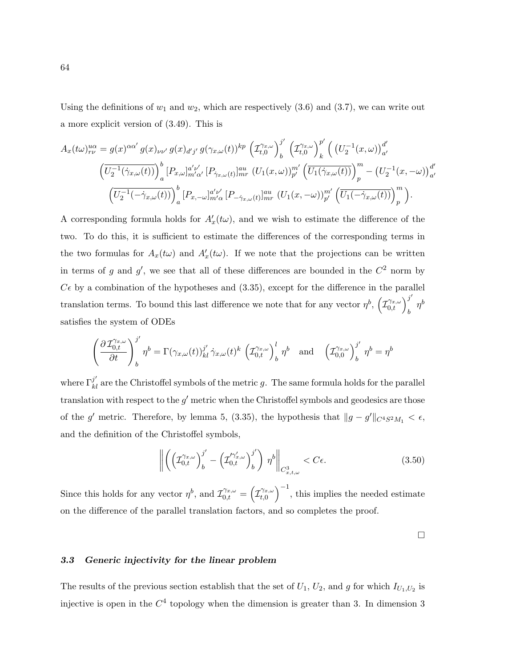Using the definitions of  $w_1$  and  $w_2$ , which are respectively (3.6) and (3.7), we can write out a more explicit version of (3.49). This is

$$
A_x(t\omega)_{r\nu}^{u\alpha} = g(x)^{\alpha\alpha'} g(x)_{\nu\nu'} g(x)_{d'j'} g(\gamma_{x,\omega}(t))^{kp} \left(\mathcal{I}_{t,0}^{\gamma_{x,\omega}}\right)_{b}^{j'} \left(\mathcal{I}_{t,0}^{\gamma_{x,\omega}}\right)_{k}^{p'} \left(\left(U_2^{-1}(x,\omega)\right)_{a'}^{d'}\right)
$$

$$
\left(\overline{U_2^{-1}(\gamma_{x,\omega}(t))}\right)_{a}^{b} [P_{x,\omega}]_{m'\alpha'}^{a'\nu'} [P_{\gamma_{x,\omega}(t)}]_{mr}^{au} \left(U_1(x,\omega)\right)_{p'}^{m'} \left(\overline{U_1(\gamma_{x,\omega}(t))}\right)_{p}^{m} - \left(U_2^{-1}(x,-\omega)\right)_{a'}^{d'}\right]
$$

$$
\left(\overline{U_2^{-1}(-\gamma_{x,\omega}(t))}\right)_{a}^{b} [P_{x,-\omega}]_{m'\alpha}^{a'\nu'} [P_{-\gamma_{x,\omega}(t)}]_{mr}^{au} \left(U_1(x,-\omega)\right)_{p'}^{m'} \left(\overline{U_1(-\gamma_{x,\omega}(t))}\right)_{p}^{m}\right).
$$

A corresponding formula holds for  $A'_x(t\omega)$ , and we wish to estimate the difference of the two. To do this, it is sufficient to estimate the differences of the corresponding terms in the two formulas for  $A_x(t\omega)$  and  $A'_x(t\omega)$ . If we note that the projections can be written in terms of g and g', we see that all of these differences are bounded in the  $C^2$  norm by  $C\epsilon$  by a combination of the hypotheses and (3.35), except for the difference in the parallel translation terms. To bound this last difference we note that for any vector  $\eta^b$ ,  $(\mathcal{I}_{0,t}^{\gamma_{x,\omega}})$  $\int_b^b$   $\eta^b$ satisfies the system of ODEs

$$
\left(\frac{\partial \mathcal{I}_{0,t}^{\gamma_{x,\omega}}}{\partial t}\right)_b^{j'} \eta^b = \Gamma(\gamma_{x,\omega}(t))_{kl}^{j'} \dot{\gamma}_{x,\omega}(t)^k \left(\mathcal{I}_{0,t}^{\gamma_{x,\omega}}\right)_b^l \eta^b \text{ and } \left(\mathcal{I}_{0,0}^{\gamma_{x,\omega}}\right)_b^{j'} \eta^b = \eta^b
$$

where  $\Gamma_{kl}^{j'}$  are the Christoffel symbols of the metric g. The same formula holds for the parallel translation with respect to the  $g'$  metric when the Christoffel symbols and geodesics are those of the g' metric. Therefore, by lemma 5, (3.35), the hypothesis that  $||g - g'||_{C^4S^2M_1} < \epsilon$ , and the definition of the Christoffel symbols,

$$
\left\| \left( \left( \mathcal{I}_{0,t}^{\gamma_{x,\omega}} \right)_{b}^{j'} - \left( \mathcal{I}_{0,t}^{\gamma_{x,\omega}'} \right)_{b}^{j'} \right) \eta^{b} \right\|_{C_{x,t,\omega}^{3}} < C\epsilon.
$$
 (3.50)

Since this holds for any vector  $\eta^b$ , and  $\mathcal{I}_{0,t}^{\gamma_{x,\omega}} = (\mathcal{I}_{t,0}^{\gamma_{x,\omega}})$  $\left(\gamma_{x,\omega}\atop t,0\right)^{-1}$ , this implies the needed estimate on the difference of the parallel translation factors, and so completes the proof.

 $\Box$ 

# 3.3 Generic injectivity for the linear problem

The results of the previous section establish that the set of  $U_1$ ,  $U_2$ , and g for which  $I_{U_1,U_2}$  is injective is open in the  $C<sup>4</sup>$  topology when the dimension is greater than 3. In dimension 3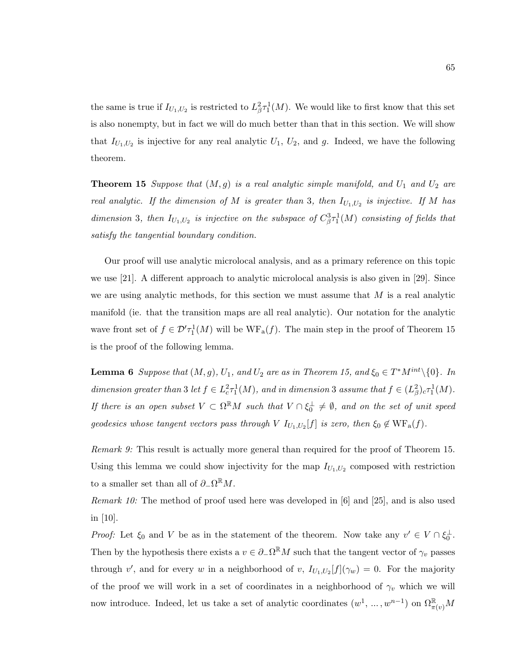the same is true if  $I_{U_1,U_2}$  is restricted to  $L^2_{\beta} \tau_1^1(M)$ . We would like to first know that this set is also nonempty, but in fact we will do much better than that in this section. We will show that  $I_{U_1,U_2}$  is injective for any real analytic  $U_1, U_2$ , and g. Indeed, we have the following theorem.

**Theorem 15** Suppose that  $(M, g)$  is a real analytic simple manifold, and  $U_1$  and  $U_2$  are real analytic. If the dimension of M is greater than 3, then  $I_{U_1,U_2}$  is injective. If M has dimension 3, then  $I_{U_1,U_2}$  is injective on the subspace of  $C_{\beta}^3 \tau_1^1(M)$  consisting of fields that satisfy the tangential boundary condition.

Our proof will use analytic microlocal analysis, and as a primary reference on this topic we use [21]. A different approach to analytic microlocal analysis is also given in [29]. Since we are using analytic methods, for this section we must assume that  $M$  is a real analytic manifold (ie. that the transition maps are all real analytic). Our notation for the analytic wave front set of  $f \in \mathcal{D}'\tau_1^1(M)$  will be  $WF_a(f)$ . The main step in the proof of Theorem 15 is the proof of the following lemma.

**Lemma 6** Suppose that  $(M, g)$ ,  $U_1$ , and  $U_2$  are as in Theorem 15, and  $\xi_0 \in T^*M^{int} \setminus \{0\}$ . In dimension greater than 3 let  $f \in L^2_c \tau_1^1(M)$ , and in dimension 3 assume that  $f \in (L^2_{\beta})_c \tau_1^1(M)$ . If there is an open subset  $V \subset \Omega^{\mathbb{R}}M$  such that  $V \cap \xi_0^{\perp} \neq \emptyset$ , and on the set of unit speed geodesics whose tangent vectors pass through V  $I_{U_1,U_2}[f]$  is zero, then  $\xi_0 \notin \text{WF}_{a}(f)$ .

Remark 9: This result is actually more general than required for the proof of Theorem 15. Using this lemma we could show injectivity for the map  $I_{U_1,U_2}$  composed with restriction to a smaller set than all of  $\partial_-\Omega^{\mathbb{R}}M$ .

Remark 10: The method of proof used here was developed in [6] and [25], and is also used in [10].

*Proof:* Let  $\xi_0$  and V be as in the statement of the theorem. Now take any  $v' \in V \cap \xi_0^{\perp}$ . Then by the hypothesis there exists a  $v \in \partial_{-}\Omega^{\mathbb{R}}M$  such that the tangent vector of  $\gamma_v$  passes through v', and for every w in a neighborhood of v,  $I_{U_1,U_2}[f](\gamma_w) = 0$ . For the majority of the proof we will work in a set of coordinates in a neighborhood of  $\gamma_v$  which we will now introduce. Indeed, let us take a set of analytic coordinates  $(w^1, \ldots, w^{n-1})$  on  $\Omega_{\pi(v)}^{\mathbb{R}}M$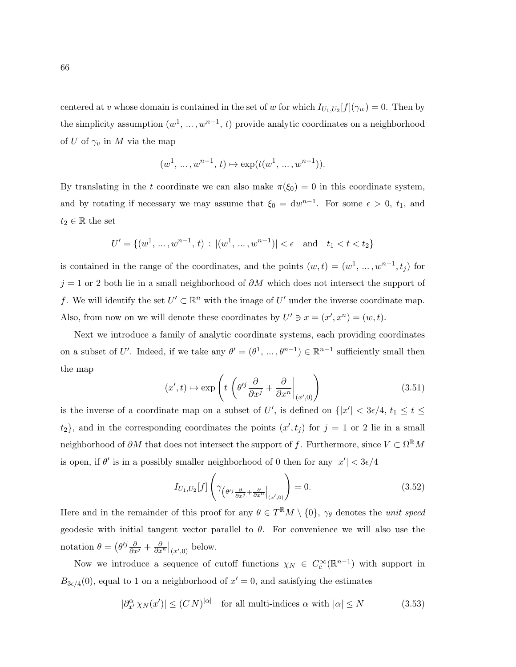centered at v whose domain is contained in the set of w for which  $I_{U_1,U_2}[f](\gamma_w) = 0$ . Then by the simplicity assumption  $(w^1, ..., w^{n-1}, t)$  provide analytic coordinates on a neighborhood of U of  $\gamma_v$  in M via the map

$$
(w^1, \ldots, w^{n-1}, t) \mapsto \exp(t(w^1, \ldots, w^{n-1})).
$$

By translating in the t coordinate we can also make  $\pi(\xi_0) = 0$  in this coordinate system, and by rotating if necessary we may assume that  $\xi_0 = dw^{n-1}$ . For some  $\epsilon > 0$ ,  $t_1$ , and  $t_2 \in \mathbb{R}$  the set

$$
U' = \{(w^1, \dots, w^{n-1}, t) : |(w^1, \dots, w^{n-1})| < \epsilon \quad \text{and} \quad t_1 < t < t_2\}
$$

is contained in the range of the coordinates, and the points  $(w,t) = (w^1, \dots, w^{n-1}, t_j)$  for  $j = 1$  or 2 both lie in a small neighborhood of  $\partial M$  which does not intersect the support of f. We will identify the set  $U' \subset \mathbb{R}^n$  with the image of  $U'$  under the inverse coordinate map. Also, from now on we will denote these coordinates by  $U' \ni x = (x', x^n) = (w, t)$ .

Next we introduce a family of analytic coordinate systems, each providing coordinates on a subset of U'. Indeed, if we take any  $\theta' = (\theta^1, \dots, \theta^{n-1}) \in \mathbb{R}^{n-1}$  sufficiently small then the map

$$
(x',t) \mapsto \exp\left(t\left(\theta'^j \frac{\partial}{\partial x^j} + \frac{\partial}{\partial x^n}\Big|_{(x',0)}\right)\right) \tag{3.51}
$$

is the inverse of a coordinate map on a subset of U', is defined on  $\{|x'| < 3\epsilon/4, t_1 \le t \le$  $\{t_2\}$ , and in the corresponding coordinates the points  $(x', t_j)$  for  $j = 1$  or 2 lie in a small neighborhood of  $\partial M$  that does not intersect the support of f. Furthermore, since  $V \subset \Omega^{\mathbb{R}}M$ is open, if  $\theta'$  is in a possibly smaller neighborhood of 0 then for any  $|x'| < 3\epsilon/4$ 

$$
I_{U_1, U_2}[f] \left( \gamma_{\left(\theta' \frac{\partial}{\partial x^j} + \frac{\partial}{\partial x^n} \Big|_{(x',0)}\right)} \right) = 0. \tag{3.52}
$$

Here and in the remainder of this proof for any  $\theta \in T^{\mathbb{R}}M \setminus \{0\}$ ,  $\gamma_{\theta}$  denotes the *unit speed* geodesic with initial tangent vector parallel to  $\theta$ . For convenience we will also use the notation  $\theta = \left(\theta^{ij}\frac{\partial}{\partial x^j} + \frac{\partial}{\partial x^n}\right|_{(x',0)}$  below.

Now we introduce a sequence of cutoff functions  $\chi_N \in C_c^{\infty}(\mathbb{R}^{n-1})$  with support in  $B_{3\epsilon/4}(0)$ , equal to 1 on a neighborhood of  $x'=0$ , and satisfying the estimates

$$
|\partial_{x'}^{\alpha} \chi_N(x')| \le (CN)^{|\alpha|} \quad \text{for all multi-indices } \alpha \text{ with } |\alpha| \le N \tag{3.53}
$$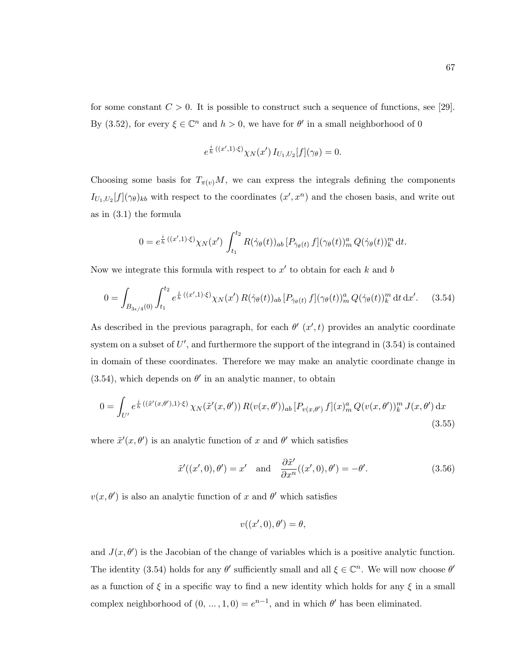for some constant  $C > 0$ . It is possible to construct such a sequence of functions, see [29]. By (3.52), for every  $\xi \in \mathbb{C}^n$  and  $h > 0$ , we have for  $\theta'$  in a small neighborhood of 0

$$
e^{\frac{i}{h}((x',1)\cdot\xi)}\chi_N(x') I_{U_1,U_2}[f](\gamma_\theta) = 0.
$$

Choosing some basis for  $T_{\pi(v)}M$ , we can express the integrals defining the components  $I_{U_1,U_2}[f](\gamma_\theta)_{kb}$  with respect to the coordinates  $(x',x^n)$  and the chosen basis, and write out as in (3.1) the formula

$$
0 = e^{\frac{i}{h}((x',1)\cdot\xi)}\chi_N(x')\int_{t_1}^{t_2} R(\dot{\gamma}_\theta(t))_{ab} [P_{\dot{\gamma}_\theta(t)} f](\gamma_\theta(t))_m^a Q(\dot{\gamma}_\theta(t))_k^m dt.
$$

Now we integrate this formula with respect to  $x'$  to obtain for each k and b

$$
0 = \int_{B_{3\epsilon/4}(0)} \int_{t_1}^{t_2} e^{\frac{i}{h}((x',1)\cdot\xi)} \chi_N(x') R(\dot{\gamma}_\theta(t))_{ab} [P_{\dot{\gamma}_\theta(t)} f](\gamma_\theta(t))_m^a Q(\dot{\gamma}_\theta(t))_k^m dt dx'. \tag{3.54}
$$

As described in the previous paragraph, for each  $\theta'$   $(x',t)$  provides an analytic coordinate system on a subset of  $U'$ , and furthermore the support of the integrand in  $(3.54)$  is contained in domain of these coordinates. Therefore we may make an analytic coordinate change in  $(3.54)$ , which depends on  $\theta'$  in an analytic manner, to obtain

$$
0 = \int_{U'} e^{\frac{i}{h} \left( (\tilde{x}'(x,\theta'),1) \cdot \xi \right)} \chi_N(\tilde{x}'(x,\theta')) R(v(x,\theta'))_{ab} \left[ P_{v(x,\theta')} f \right](x)_m^a Q(v(x,\theta'))_k^m J(x,\theta') dx
$$
\n(3.55)

where  $\tilde{x}'(x, \theta')$  is an analytic function of x and  $\theta'$  which satisfies

$$
\tilde{x}'((x',0),\theta') = x' \quad \text{and} \quad \frac{\partial \tilde{x}'}{\partial x^n}((x',0),\theta') = -\theta'.\tag{3.56}
$$

 $v(x, \theta')$  is also an analytic function of x and  $\theta'$  which satisfies

$$
v((x',0),\theta')=\theta,
$$

and  $J(x, \theta')$  is the Jacobian of the change of variables which is a positive analytic function. The identity (3.54) holds for any  $\theta'$  sufficiently small and all  $\xi \in \mathbb{C}^n$ . We will now choose  $\theta'$ as a function of  $\xi$  in a specific way to find a new identity which holds for any  $\xi$  in a small complex neighborhood of  $(0, ..., 1, 0) = e^{n-1}$ , and in which  $\theta'$  has been eliminated.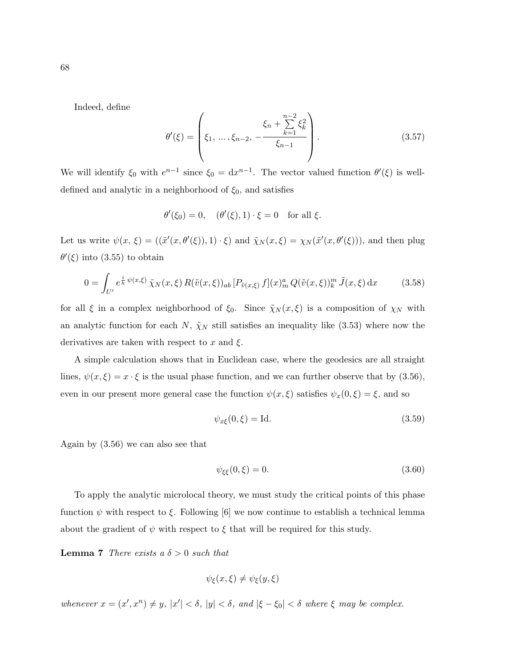Indeed, define

$$
\theta'(\xi) = \left(\xi_1, \dots, \xi_{n-2}, -\frac{\xi_n + \sum_{k=1}^{n-2} \xi_k^2}{\xi_{n-1}}\right).
$$
\n(3.57)

We will identify  $\xi_0$  with  $e^{n-1}$  since  $\xi_0 = dx^{n-1}$ . The vector valued function  $\theta'(\xi)$  is welldefined and analytic in a neighborhood of  $\xi_0$ , and satisfies

$$
\theta'(\xi_0) = 0, \quad (\theta'(\xi), 1) \cdot \xi = 0 \quad \text{for all } \xi.
$$

Let us write  $\psi(x,\xi) = ((\tilde{x}'(x,\theta'(\xi)),1)\cdot\xi)$  and  $\tilde{\chi}_N(x,\xi) = \chi_N(\tilde{x}'(x,\theta'(\xi)))$ , and then plug  $\theta'(\xi)$  into (3.55) to obtain

$$
0 = \int_{U'} e^{\frac{i}{\hbar}\psi(x,\xi)} \tilde{\chi}_N(x,\xi) R(\tilde{v}(x,\xi))_{ab} [P_{\tilde{v}(x,\xi)} f](x)_m^a Q(\tilde{v}(x,\xi))_k^m \tilde{J}(x,\xi) dx \qquad (3.58)
$$

for all  $\xi$  in a complex neighborhood of  $\xi_0$ . Since  $\tilde{\chi}_N(x,\xi)$  is a composition of  $\chi_N$  with an analytic function for each N,  $\tilde{\chi}_N$  still satisfies an inequality like (3.53) where now the derivatives are taken with respect to  $x$  and  $\xi$ .

A simple calculation shows that in Euclidean case, where the geodesics are all straight lines,  $\psi(x,\xi) = x \cdot \xi$  is the usual phase function, and we can further observe that by (3.56), even in our present more general case the function  $\psi(x,\xi)$  satisfies  $\psi_x(0,\xi) = \xi$ , and so

$$
\psi_{x\xi}(0,\xi) = \text{Id.}\tag{3.59}
$$

Again by (3.56) we can also see that

$$
\psi_{\xi\xi}(0,\xi) = 0.\tag{3.60}
$$

To apply the analytic microlocal theory, we must study the critical points of this phase function  $\psi$  with respect to  $\xi$ . Following [6] we now continue to establish a technical lemma about the gradient of  $\psi$  with respect to  $\xi$  that will be required for this study.

**Lemma 7** There exists a  $\delta > 0$  such that

$$
\psi_{\xi}(x,\xi) \neq \psi_{\xi}(y,\xi)
$$

whenever  $x = (x', x^n) \neq y$ ,  $|x'| < \delta$ ,  $|y| < \delta$ , and  $|\xi - \xi_0| < \delta$  where  $\xi$  may be complex.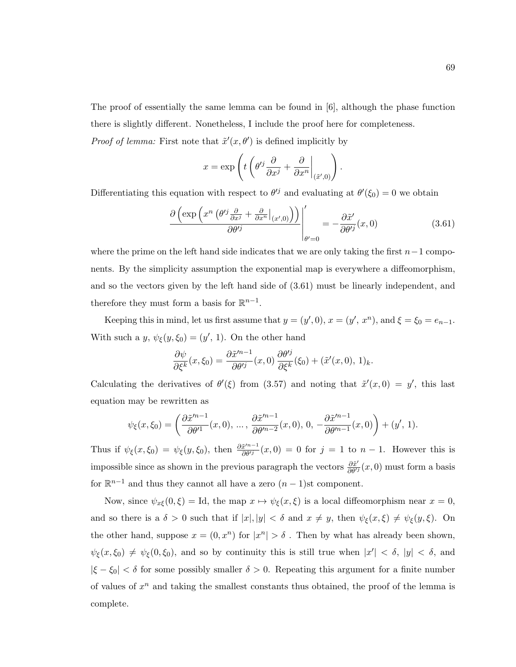The proof of essentially the same lemma can be found in [6], although the phase function there is slightly different. Nonetheless, I include the proof here for completeness.

*Proof of lemma:* First note that  $\tilde{x}'(x, \theta')$  is defined implicitly by

$$
x = \exp\left(t\left(\theta'^j\frac{\partial}{\partial x^j} + \frac{\partial}{\partial x^n}\Big|_{(\tilde{x}',0)}\right).
$$

Differentiating this equation with respect to  $\theta^{ij}$  and evaluating at  $\theta'(\xi_0) = 0$  we obtain

$$
\frac{\partial \left(\exp\left(x^n \left(\theta'^j \frac{\partial}{\partial x^j} + \frac{\partial}{\partial x^n}|_{(x',0)}\right)\right)\right)}{\partial \theta'^j} = -\frac{\partial \tilde{x}'}{\partial \theta'^j}(x,0) \tag{3.61}
$$

where the prime on the left hand side indicates that we are only taking the first  $n-1$  components. By the simplicity assumption the exponential map is everywhere a diffeomorphism, and so the vectors given by the left hand side of (3.61) must be linearly independent, and therefore they must form a basis for  $\mathbb{R}^{n-1}$ .

Keeping this in mind, let us first assume that  $y = (y', 0), x = (y', x^n)$ , and  $\xi = \xi_0 = e_{n-1}$ . With such a y,  $\psi_{\xi}(y,\xi_0) = (y', 1)$ . On the other hand

$$
\frac{\partial \psi}{\partial \xi^k}(x,\xi_0) = \frac{\partial \tilde{x}^{\prime n-1}}{\partial \theta^{\prime j}}(x,0) \frac{\partial \theta^{\prime j}}{\partial \xi^k}(\xi_0) + (\tilde{x}^{\prime}(x,0), 1)_k.
$$

Calculating the derivatives of  $\theta'(\xi)$  from (3.57) and noting that  $\tilde{x}'(x,0) = y'$ , this last equation may be rewritten as

$$
\psi_{\xi}(x,\xi_0)=\left(\frac{\partial \tilde{x}^{\prime n-1}}{\partial \theta^{\prime 1}}(x,0),\,\ldots,\,\frac{\partial \tilde{x}^{\prime n-1}}{\partial \theta^{\prime n-2}}(x,0),\,0,\,-\frac{\partial \tilde{x}^{\prime n-1}}{\partial \theta^{\prime n-1}}(x,0)\right)+(y^\prime,\,1).
$$

Thus if  $\psi_{\xi}(x,\xi_0) = \psi_{\xi}(y,\xi_0)$ , then  $\frac{\partial \tilde{x}^{n-1}}{\partial \theta^{j}}(x,0) = 0$  for  $j = 1$  to  $n-1$ . However this is impossible since as shown in the previous paragraph the vectors  $\frac{\partial \tilde{x}'}{\partial \theta''}(x,0)$  must form a basis for  $\mathbb{R}^{n-1}$  and thus they cannot all have a zero  $(n-1)$ st component.

Now, since  $\psi_{x\xi}(0,\xi) = \text{Id}$ , the map  $x \mapsto \psi_{\xi}(x,\xi)$  is a local diffeomorphism near  $x = 0$ , and so there is a  $\delta > 0$  such that if  $|x|, |y| < \delta$  and  $x \neq y$ , then  $\psi_{\xi}(x, \xi) \neq \psi_{\xi}(y, \xi)$ . On the other hand, suppose  $x = (0, x^n)$  for  $|x^n| > \delta$ . Then by what has already been shown,  $\psi_{\xi}(x,\xi_0) \neq \psi_{\xi}(0,\xi_0)$ , and so by continuity this is still true when  $|x'| < \delta$ ,  $|y| < \delta$ , and  $|\xi - \xi_0| < \delta$  for some possibly smaller  $\delta > 0$ . Repeating this argument for a finite number of values of  $x^n$  and taking the smallest constants thus obtained, the proof of the lemma is complete.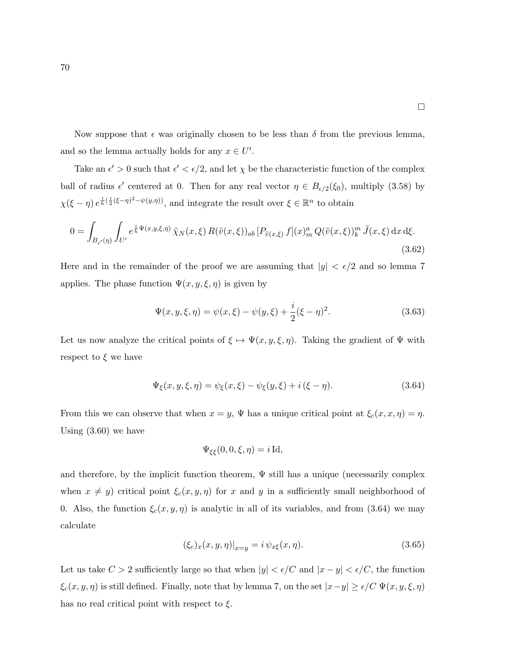Now suppose that  $\epsilon$  was originally chosen to be less than  $\delta$  from the previous lemma, and so the lemma actually holds for any  $x \in U'$ .

Take an  $\epsilon' > 0$  such that  $\epsilon' < \epsilon/2$ , and let  $\chi$  be the characteristic function of the complex ball of radius  $\epsilon'$  centered at 0. Then for any real vector  $\eta \in B_{\epsilon/2}(\xi_0)$ , multiply (3.58) by  $\chi(\xi-\eta) e^{\frac{i}{h}(\frac{i}{2}(\xi-\eta)^2-\psi(y,\eta))}$ , and integrate the result over  $\xi \in \mathbb{R}^n$  to obtain

$$
0 = \int_{B_{\epsilon'}(\eta)} \int_{U'} e^{\frac{i}{h}\Psi(x,y,\xi,\eta)} \tilde{\chi}_N(x,\xi) R(\tilde{v}(x,\xi))_{ab} [P_{\tilde{v}(x,\xi)} f](x)_m^a Q(\tilde{v}(x,\xi))_k^m \tilde{J}(x,\xi) dx d\xi.
$$
\n(3.62)

Here and in the remainder of the proof we are assuming that  $|y| < \epsilon/2$  and so lemma 7 applies. The phase function  $\Psi(x, y, \xi, \eta)$  is given by

$$
\Psi(x, y, \xi, \eta) = \psi(x, \xi) - \psi(y, \xi) + \frac{i}{2}(\xi - \eta)^2.
$$
\n(3.63)

Let us now analyze the critical points of  $\xi \mapsto \Psi(x, y, \xi, \eta)$ . Taking the gradient of  $\Psi$  with respect to  $\xi$  we have

$$
\Psi_{\xi}(x, y, \xi, \eta) = \psi_{\xi}(x, \xi) - \psi_{\xi}(y, \xi) + i(\xi - \eta). \tag{3.64}
$$

From this we can observe that when  $x = y$ ,  $\Psi$  has a unique critical point at  $\xi_c(x, x, \eta) = \eta$ . Using (3.60) we have

$$
\Psi_{\xi\xi}(0,0,\xi,\eta)=i\operatorname{Id},
$$

and therefore, by the implicit function theorem,  $\Psi$  still has a unique (necessarily complex when  $x \neq y$ ) critical point  $\xi_c(x, y, \eta)$  for x and y in a sufficiently small neighborhood of 0. Also, the function  $\xi_c(x, y, \eta)$  is analytic in all of its variables, and from (3.64) we may calculate

$$
(\xi_c)_x(x, y, \eta)|_{x=y} = i \psi_{x\xi}(x, \eta). \tag{3.65}
$$

Let us take  $C > 2$  sufficiently large so that when  $|y| < \epsilon/C$  and  $|x - y| < \epsilon/C$ , the function  $\xi_c(x, y, \eta)$  is still defined. Finally, note that by lemma 7, on the set  $|x-y| \ge \epsilon/C \Psi(x, y, \xi, \eta)$ has no real critical point with respect to  $\xi$ .

 $\Box$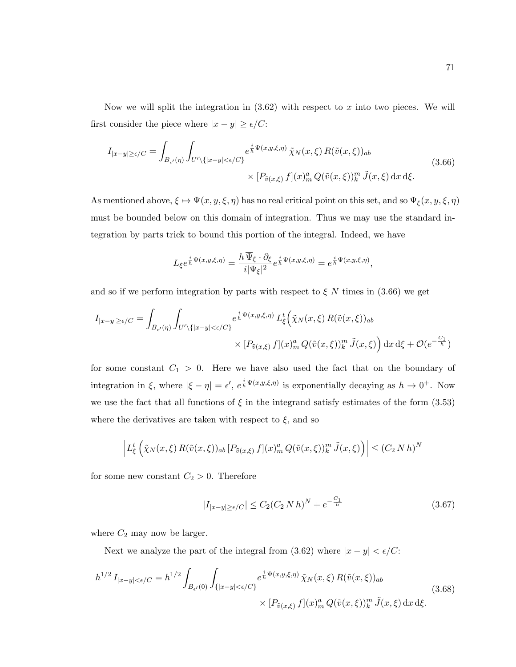Now we will split the integration in  $(3.62)$  with respect to x into two pieces. We will first consider the piece where  $|x - y| \ge \epsilon / C$ :

$$
I_{|x-y|\geq\epsilon/C} = \int_{B_{\epsilon'}(\eta)} \int_{U' \setminus \{|x-y| < \epsilon/C\}} e^{\frac{i}{h}\Psi(x,y,\xi,\eta)} \tilde{\chi}_N(x,\xi) R(\tilde{v}(x,\xi))_{ab}
$$
\n
$$
\times [P_{\tilde{v}(x,\xi)} f](x)_m^a Q(\tilde{v}(x,\xi))_k^m \tilde{J}(x,\xi) dx d\xi.
$$
\n(3.66)

As mentioned above,  $\xi \mapsto \Psi(x, y, \xi, \eta)$  has no real critical point on this set, and so  $\Psi_{\xi}(x, y, \xi, \eta)$ must be bounded below on this domain of integration. Thus we may use the standard integration by parts trick to bound this portion of the integral. Indeed, we have

$$
L_{\xi}e^{\frac{i}{h}\Psi(x,y,\xi,\eta)} = \frac{h\,\overline{\Psi}_{\xi}\cdot\partial_{\xi}}{i|\Psi_{\xi}|^2}e^{\frac{i}{h}\Psi(x,y,\xi,\eta)} = e^{\frac{i}{h}\Psi(x,y,\xi,\eta)},
$$

and so if we perform integration by parts with respect to  $\xi$  N times in (3.66) we get

$$
I_{|x-y|\geq\epsilon/C} = \int_{B_{\epsilon'}(\eta)} \int_{U' \setminus \{|x-y| < \epsilon/C\}} e^{\frac{i}{h}\Psi(x,y,\xi,\eta)} L_{\xi}^t \left(\tilde{\chi}_N(x,\xi) R(\tilde{v}(x,\xi))_{ab} \times [P_{\tilde{v}(x,\xi)} f](x)_m^a Q(\tilde{v}(x,\xi))_k^m \tilde{J}(x,\xi)\right) dx d\xi + \mathcal{O}(e^{-\frac{C_1}{h}})
$$

for some constant  $C_1 > 0$ . Here we have also used the fact that on the boundary of integration in  $\xi$ , where  $|\xi - \eta| = \epsilon'$ ,  $e^{\frac{i}{h}\Psi(x,y,\xi,\eta)}$  is exponentially decaying as  $h \to 0^+$ . Now we use the fact that all functions of  $\xi$  in the integrand satisfy estimates of the form (3.53) where the derivatives are taken with respect to  $\xi$ , and so

$$
\left| L_{\xi}^{t} \left( \tilde{\chi}_{N}(x,\xi) R(\tilde{v}(x,\xi))_{ab} \left[ P_{\tilde{v}(x,\xi)} f \right](x)_{m}^{a} Q(\tilde{v}(x,\xi))_{k}^{m} \tilde{J}(x,\xi) \right) \right| \leq (C_{2} N h)^{N}
$$

for some new constant  $C_2 > 0$ . Therefore

$$
|I_{|x-y| \ge \epsilon/C}| \le C_2 (C_2 N h)^N + e^{-\frac{C_1}{h}}
$$
\n(3.67)

where  $C_2$  may now be larger.

Next we analyze the part of the integral from (3.62) where  $|x - y| < \epsilon/C$ :

$$
h^{1/2} I_{|x-y| < \epsilon/C} = h^{1/2} \int_{B_{\epsilon}(0)} \int_{\{|x-y| < \epsilon/C\}} e^{\frac{i}{h} \Psi(x,y,\xi,\eta)} \tilde{\chi}_N(x,\xi) R(\tilde{v}(x,\xi))_{ab}
$$
  
 
$$
\times [P_{\tilde{v}(x,\xi)} f](x)_m^a Q(\tilde{v}(x,\xi))_k^m \tilde{J}(x,\xi) dx d\xi.
$$
 (3.68)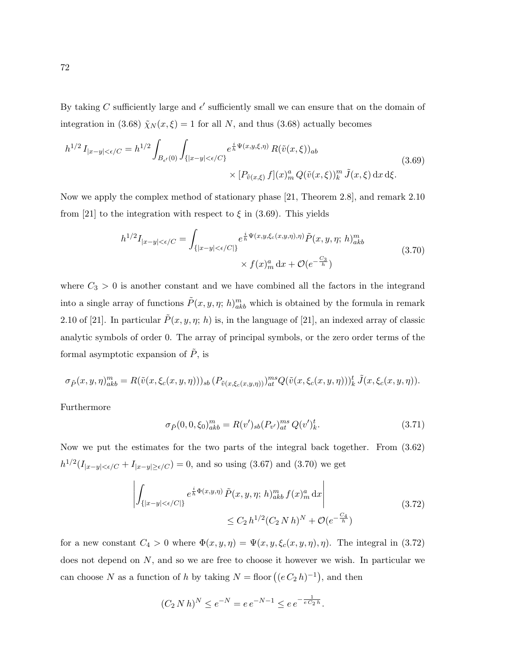By taking C sufficiently large and  $\epsilon'$  sufficiently small we can ensure that on the domain of integration in (3.68)  $\tilde{\chi}_N(x,\xi) = 1$  for all N, and thus (3.68) actually becomes

$$
h^{1/2} I_{|x-y|<\epsilon/C} = h^{1/2} \int_{B_{\epsilon'}(0)} \int_{\{|x-y|<\epsilon/C\}} e^{\frac{i}{h}\Psi(x,y,\xi,\eta)} R(\tilde{v}(x,\xi))_{ab}
$$
  
 
$$
\times [P_{\tilde{v}(x,\xi)} f](x)^a_m Q(\tilde{v}(x,\xi))^m_{k} \tilde{J}(x,\xi) dx d\xi.
$$
 (3.69)

Now we apply the complex method of stationary phase [21, Theorem 2.8], and remark 2.10 from [21] to the integration with respect to  $\xi$  in (3.69). This yields

$$
h^{1/2}I_{|x-y|<\epsilon/C} = \int_{\{|x-y|<\epsilon/C|\}} e^{\frac{i}{h}\Psi(x,y,\xi_c(x,y,\eta),\eta)} \tilde{P}(x,y,\eta;h)_{akh}^m
$$
  
 
$$
\times f(x)_{m}^a \,dx + \mathcal{O}(e^{-\frac{C_3}{h}})
$$
 (3.70)

where  $C_3 > 0$  is another constant and we have combined all the factors in the integrand into a single array of functions  $\tilde{P}(x, y, \eta; h)_{akb}^m$  which is obtained by the formula in remark 2.10 of [21]. In particular  $\tilde{P}(x, y, \eta; h)$  is, in the language of [21], an indexed array of classic analytic symbols of order 0. The array of principal symbols, or the zero order terms of the formal asymptotic expansion of  $\tilde{P}$ , is

$$
\sigma_{\tilde{P}}(x, y, \eta)_{akb}^m = R(\tilde{v}(x, \xi_c(x, y, \eta)))_{sb} (P_{\tilde{v}(x, \xi_c(x, y, \eta)))_{at}^{ms} Q(\tilde{v}(x, \xi_c(x, y, \eta)))_{k}^t \tilde{J}(x, \xi_c(x, y, \eta)).
$$

Furthermore

$$
\sigma_{\tilde{P}}(0,0,\xi_0)_{akb}^m = R(v')_{sb}(P_{v'})_{at}^{ms}Q(v')_k^t.
$$
\n(3.71)

Now we put the estimates for the two parts of the integral back together. From (3.62)  $h^{1/2}(I_{|x-y|<\epsilon/C}+I_{|x-y|\geq\epsilon/C})=0$ , and so using (3.67) and (3.70) we get

$$
\left| \int_{\{|x-y| < \epsilon/C\}} e^{\frac{i}{h} \Phi(x,y,\eta)} \tilde{P}(x,y,\eta; h)^{m}_{akb} f(x)^{a}_{m} \, \mathrm{d}x \right| \leq C_{2} \, h^{1/2} (C_{2} \, N \, h)^{N} + \mathcal{O}(e^{-\frac{C_{4}}{h}}) \tag{3.72}
$$

for a new constant  $C_4 > 0$  where  $\Phi(x, y, \eta) = \Psi(x, y, \xi_c(x, y, \eta), \eta)$ . The integral in (3.72) does not depend on  $N$ , and so we are free to choose it however we wish. In particular we can choose N as a function of h by taking  $N =$  floor  $((e C_2 h)^{-1})$ , and then

$$
(C_2 N h)^N \le e^{-N} = e e^{-N-1} \le e e^{-\frac{1}{e C_2 h}}.
$$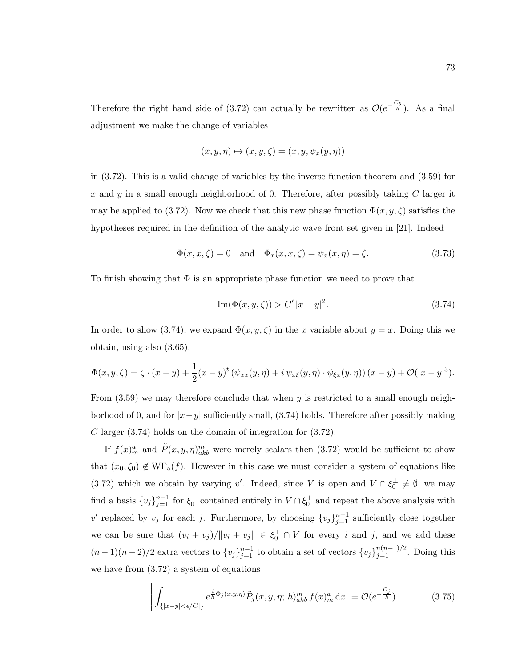Therefore the right hand side of (3.72) can actually be rewritten as  $\mathcal{O}(e^{-\frac{C_5}{h}})$ . As a final adjustment we make the change of variables

$$
(x, y, \eta) \mapsto (x, y, \zeta) = (x, y, \psi_x(y, \eta))
$$

in (3.72). This is a valid change of variables by the inverse function theorem and (3.59) for x and y in a small enough neighborhood of 0. Therefore, after possibly taking  $C$  larger it may be applied to (3.72). Now we check that this new phase function  $\Phi(x, y, \zeta)$  satisfies the hypotheses required in the definition of the analytic wave front set given in [21]. Indeed

$$
\Phi(x, x, \zeta) = 0 \quad \text{and} \quad \Phi_x(x, x, \zeta) = \psi_x(x, \eta) = \zeta. \tag{3.73}
$$

To finish showing that  $\Phi$  is an appropriate phase function we need to prove that

Im
$$
(\Phi(x, y, \zeta)) > C' |x - y|^2
$$
. (3.74)

In order to show (3.74), we expand  $\Phi(x, y, \zeta)$  in the x variable about  $y = x$ . Doing this we obtain, using also (3.65),

$$
\Phi(x, y, \zeta) = \zeta \cdot (x - y) + \frac{1}{2}(x - y)^t (\psi_{xx}(y, \eta) + i \psi_{x\xi}(y, \eta) \cdot \psi_{\xi x}(y, \eta)) (x - y) + \mathcal{O}(|x - y|^3).
$$

From  $(3.59)$  we may therefore conclude that when y is restricted to a small enough neighborhood of 0, and for  $|x-y|$  sufficiently small, (3.74) holds. Therefore after possibly making C larger  $(3.74)$  holds on the domain of integration for  $(3.72)$ .

If  $f(x)^a_m$  and  $\tilde{P}(x, y, \eta)^m_{akb}$  were merely scalars then (3.72) would be sufficient to show that  $(x_0, \xi_0) \notin \text{WF}_{a}(f)$ . However in this case we must consider a system of equations like (3.72) which we obtain by varying v'. Indeed, since V is open and  $V \cap \xi_0^{\perp} \neq \emptyset$ , we may find a basis  $\{v_j\}_{j=1}^{n-1}$  for  $\xi_0^{\perp}$  contained entirely in  $V \cap \xi_0^{\perp}$  and repeat the above analysis with v' replaced by  $v_j$  for each j. Furthermore, by choosing  $\{v_j\}_{j=1}^{n-1}$  sufficiently close together we can be sure that  $(v_i + v_j) / ||v_i + v_j|| \in \xi_0^{\perp} \cap V$  for every i and j, and we add these  $(n-1)(n-2)/2$  extra vectors to  $\{v_j\}_{j=1}^{n-1}$  to obtain a set of vectors  $\{v_j\}_{j=1}^{n(n-1)/2}$ . Doing this we have from (3.72) a system of equations

$$
\left| \int_{\{|x-y| < \epsilon/C|\}} e^{\frac{i}{h} \Phi_j(x, y, \eta)} \tilde{P}_j(x, y, \eta; h)^m_{akb} f(x)^a_m \, dx \right| = \mathcal{O}(e^{-\frac{C_j}{h}}) \tag{3.75}
$$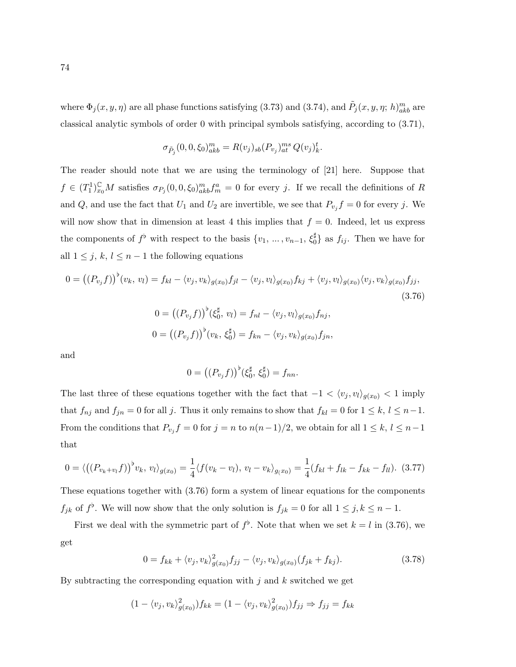where  $\Phi_j(x, y, \eta)$  are all phase functions satisfying (3.73) and (3.74), and  $\tilde{P}_j(x, y, \eta; h)_{akb}^m$  are classical analytic symbols of order 0 with principal symbols satisfying, according to (3.71),

$$
\sigma_{\tilde{P}_j}(0,0,\xi_0)_{akb}^m = R(v_j)_{sb}(P_{v_j})_{at}^{ms} Q(v_j)_k^t.
$$

The reader should note that we are using the terminology of [21] here. Suppose that  $f \in (T_1^1)_{x_0}^{\mathbb{C}} M$  satisfies  $\sigma_{P_j}(0,0,\xi_0)_{akb}^m f_m^a = 0$  for every j. If we recall the definitions of R and Q, and use the fact that  $U_1$  and  $U_2$  are invertible, we see that  $P_{v_j} f = 0$  for every j. We will now show that in dimension at least 4 this implies that  $f = 0$ . Indeed, let us express the components of  $f^{\flat}$  with respect to the basis  $\{v_1, \ldots, v_{n-1}, \xi_0^{\sharp}\}$  as  $f_{ij}$ . Then we have for all  $1 \leq j, k, l \leq n-1$  the following equations

$$
0 = ((P_{v_j}f))^{\flat}(v_k, v_l) = f_{kl} - \langle v_j, v_k \rangle_{g(x_0)} f_{jl} - \langle v_j, v_l \rangle_{g(x_0)} f_{kj} + \langle v_j, v_l \rangle_{g(x_0)} \langle v_j, v_k \rangle_{g(x_0)} f_{jj},
$$
\n
$$
0 = ((P_{v_j}f))^{\flat}(\xi_0^{\sharp}, v_l) = f_{nl} - \langle v_j, v_l \rangle_{g(x_0)} f_{nj},
$$
\n(3.76)

$$
0 = ((P_{v_j}f))^{\flat}(v_k, \xi_0^{\sharp}) = f_{kn} - \langle v_j, v_k \rangle_{g(x_0)} f_{jn},
$$

and

$$
0 = ((P_{v_j}f))^{\flat}(\xi_0^{\sharp}, \xi_0^{\sharp}) = f_{nn}.
$$

The last three of these equations together with the fact that  $-1 < \langle v_j, v_l \rangle_{g(x_0)} < 1$  imply that  $f_{nj}$  and  $f_{jn} = 0$  for all j. Thus it only remains to show that  $f_{kl} = 0$  for  $1 \leq k, l \leq n-1$ . From the conditions that  $P_{v_j} f = 0$  for  $j = n$  to  $n(n-1)/2$ , we obtain for all  $1 \leq k, l \leq n-1$ that

$$
0 = \langle ((P_{v_k+v_l}f))^b v_k, v_l \rangle_{g(x_0)} = \frac{1}{4} \langle f(v_k - v_l), v_l - v_k \rangle_{g(x_0)} = \frac{1}{4} (f_{kl} + f_{lk} - f_{kk} - f_{ll}).
$$
 (3.77)

These equations together with (3.76) form a system of linear equations for the components  $f_{jk}$  of  $f^{\flat}$ . We will now show that the only solution is  $f_{jk} = 0$  for all  $1 \leq j, k \leq n-1$ .

First we deal with the symmetric part of  $f^{\flat}$ . Note that when we set  $k = l$  in (3.76), we get

$$
0 = f_{kk} + \langle v_j, v_k \rangle_{g(x_0)}^2 f_{jj} - \langle v_j, v_k \rangle_{g(x_0)} (f_{jk} + f_{kj}). \tag{3.78}
$$

By subtracting the corresponding equation with  $j$  and  $k$  switched we get

$$
(1 - \langle v_j, v_k \rangle_{g(x_0)}^2) f_{kk} = (1 - \langle v_j, v_k \rangle_{g(x_0)}^2) f_{jj} \Rightarrow f_{jj} = f_{kk}
$$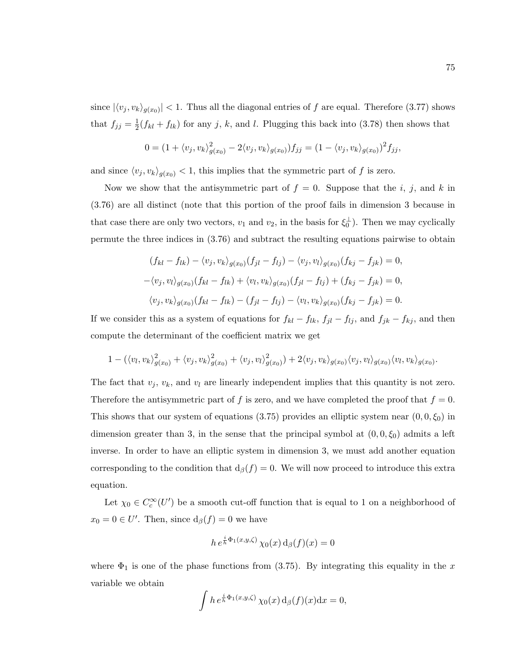since  $|\langle v_j, v_k \rangle_{g(x_0)}|$  < 1. Thus all the diagonal entries of f are equal. Therefore (3.77) shows that  $f_{jj} = \frac{1}{2}$  $\frac{1}{2}(f_{kl} + f_{lk})$  for any j, k, and l. Plugging this back into (3.78) then shows that

$$
0 = (1 + \langle v_j, v_k \rangle_{g(x_0)}^2 - 2 \langle v_j, v_k \rangle_{g(x_0)}) f_{jj} = (1 - \langle v_j, v_k \rangle_{g(x_0)})^2 f_{jj},
$$

and since  $\langle v_j, v_k \rangle_{g(x_0)} < 1$ , this implies that the symmetric part of f is zero.

Now we show that the antisymmetric part of  $f = 0$ . Suppose that the *i*, *j*, and *k* in (3.76) are all distinct (note that this portion of the proof fails in dimension 3 because in that case there are only two vectors,  $v_1$  and  $v_2$ , in the basis for  $\xi_0^{\perp}$ ). Then we may cyclically permute the three indices in (3.76) and subtract the resulting equations pairwise to obtain

$$
(f_{kl} - f_{lk}) - \langle v_j, v_k \rangle_{g(x_0)} (f_{jl} - f_{lj}) - \langle v_j, v_l \rangle_{g(x_0)} (f_{kj} - f_{jk}) = 0,
$$
  

$$
-\langle v_j, v_l \rangle_{g(x_0)} (f_{kl} - f_{lk}) + \langle v_l, v_k \rangle_{g(x_0)} (f_{jl} - f_{lj}) + (f_{kj} - f_{jk}) = 0,
$$
  

$$
\langle v_j, v_k \rangle_{g(x_0)} (f_{kl} - f_{lk}) - (f_{jl} - f_{lj}) - \langle v_l, v_k \rangle_{g(x_0)} (f_{kj} - f_{jk}) = 0.
$$

If we consider this as a system of equations for  $f_{kl} - f_{lk}$ ,  $f_{jl} - f_{lj}$ , and  $f_{jk} - f_{kj}$ , and then compute the determinant of the coefficient matrix we get

$$
1-(\langle v_l,v_k\rangle^2_{g(x_0)}+\langle v_j,v_k\rangle^2_{g(x_0)}+\langle v_j,v_l\rangle^2_{g(x_0)})+2\langle v_j,v_k\rangle_{g(x_0)}\langle v_j,v_l\rangle_{g(x_0)}\langle v_l,v_k\rangle_{g(x_0)}.
$$

The fact that  $v_j$ ,  $v_k$ , and  $v_l$  are linearly independent implies that this quantity is not zero. Therefore the antisymmetric part of f is zero, and we have completed the proof that  $f = 0$ . This shows that our system of equations (3.75) provides an elliptic system near  $(0, 0, \xi_0)$  in dimension greater than 3, in the sense that the principal symbol at  $(0, 0, \xi_0)$  admits a left inverse. In order to have an elliptic system in dimension 3, we must add another equation corresponding to the condition that  $d_\beta(f) = 0$ . We will now proceed to introduce this extra equation.

Let  $\chi_0 \in C_c^{\infty}(U')$  be a smooth cut-off function that is equal to 1 on a neighborhood of  $x_0 = 0 \in U'$ . Then, since  $d_\beta(f) = 0$  we have

$$
h\,e^{\frac{i}{h}\Phi_1(x,y,\zeta)}\,\chi_0(x)\,\mathrm{d}_{\beta}(f)(x)=0
$$

where  $\Phi_1$  is one of the phase functions from (3.75). By integrating this equality in the x variable we obtain

$$
\int h e^{\frac{i}{h}\Phi_1(x,y,\zeta)} \chi_0(x) d_{\beta}(f)(x) dx = 0,
$$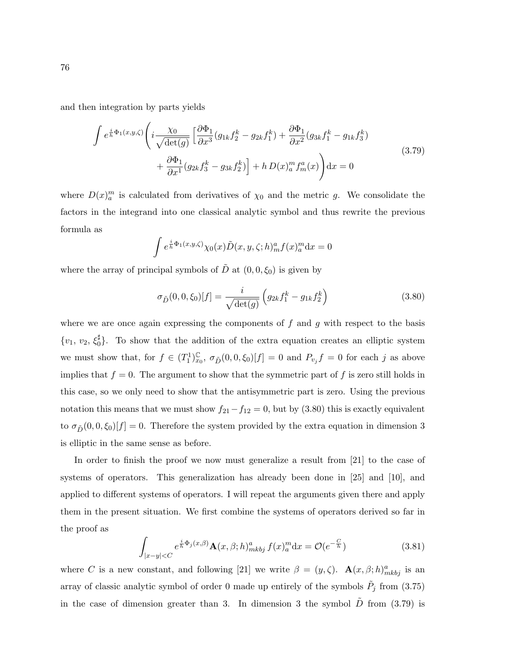and then integration by parts yields

J

$$
\int e^{\frac{i}{h}\Phi_1(x,y,\zeta)} \left( i \frac{\chi_0}{\sqrt{\det(g)}} \left[ \frac{\partial \Phi_1}{\partial x^3} (g_{1k} f_2^k - g_{2k} f_1^k) + \frac{\partial \Phi_1}{\partial x^2} (g_{3k} f_1^k - g_{1k} f_3^k) + \frac{\partial \Phi_1}{\partial x^1} (g_{2k} f_3^k - g_{3k} f_2^k) \right] + h D(x)_a^m f_m^a(x) \right) dx = 0
$$
\n(3.79)

where  $D(x)_a^m$  is calculated from derivatives of  $\chi_0$  and the metric g. We consolidate the factors in the integrand into one classical analytic symbol and thus rewrite the previous formula as

$$
\int e^{\frac{i}{h}\Phi_1(x,y,\zeta)}\chi_0(x)\tilde{D}(x,y,\zeta;h)^a_m f(x)^m_a\mathrm{d}x=0
$$

where the array of principal symbols of  $\tilde{D}$  at  $(0, 0, \xi_0)$  is given by

$$
\sigma_{\tilde{D}}(0,0,\xi_0)[f] = \frac{i}{\sqrt{\det(g)}} \left( g_{2k} f_1^k - g_{1k} f_2^k \right)
$$
\n(3.80)

where we are once again expressing the components of  $f$  and  $g$  with respect to the basis  $\{v_1, v_2, \xi_0^{\sharp}\}$ . To show that the addition of the extra equation creates an elliptic system we must show that, for  $f \in (T_1^1)_{x_0}^{\mathbb{C}}$  $\int_{x_0}^{\infty}$ ,  $\sigma_{\tilde{D}}(0,0,\xi_0)[f] = 0$  and  $P_{v_j}f = 0$  for each j as above implies that  $f = 0$ . The argument to show that the symmetric part of f is zero still holds in this case, so we only need to show that the antisymmetric part is zero. Using the previous notation this means that we must show  $f_{21}-f_{12}=0$ , but by (3.80) this is exactly equivalent to  $\sigma_{\tilde{D}}(0, 0, \xi_0)[f] = 0$ . Therefore the system provided by the extra equation in dimension 3 is elliptic in the same sense as before.

In order to finish the proof we now must generalize a result from [21] to the case of systems of operators. This generalization has already been done in [25] and [10], and applied to different systems of operators. I will repeat the arguments given there and apply them in the present situation. We first combine the systems of operators derived so far in the proof as

$$
\int_{|x-y|\n(3.81)
$$

where C is a new constant, and following [21] we write  $\beta = (y, \zeta)$ .  $\mathbf{A}(x, \beta; h)_{mkbj}^a$  is an array of classic analytic symbol of order 0 made up entirely of the symbols  $\tilde{P}_j$  from (3.75) in the case of dimension greater than 3. In dimension 3 the symbol  $D$  from (3.79) is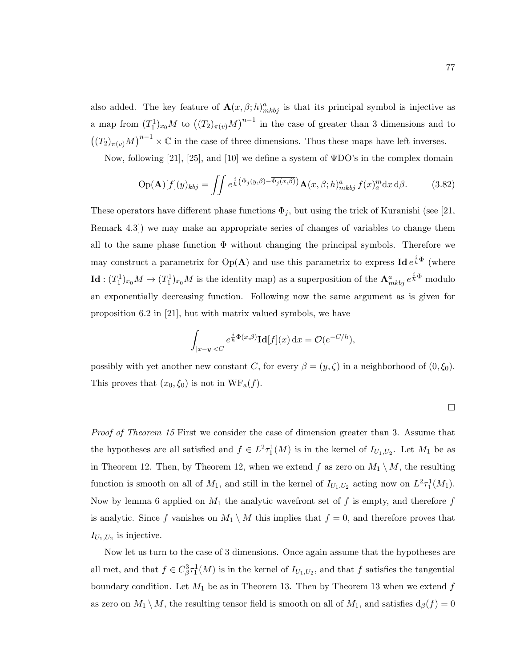also added. The key feature of  $\mathbf{A}(x,\beta;h)_{mkbj}^a$  is that its principal symbol is injective as a map from  $(T_1^1)_{x_0}M$  to  $((T_2)_{\pi(v)}M)^{n-1}$  in the case of greater than 3 dimensions and to  $((T_2)_{\pi(v)}M)^{n-1}\times\mathbb{C}$  in the case of three dimensions. Thus these maps have left inverses.

Now, following [21], [25], and [10] we define a system of ΨDO's in the complex domain

$$
\text{Op}(\mathbf{A})[f](y)_{kbj} = \iint e^{\frac{i}{h}(\Phi_j(y,\beta) - \overline{\Phi_j(x,\beta)})} \mathbf{A}(x,\beta;h)_{mkbj}^a f(x)_a^m \mathrm{d}x \, \mathrm{d}\beta. \tag{3.82}
$$

These operators have different phase functions  $\Phi_j$ , but using the trick of Kuranishi (see [21, Remark 4.3]) we may make an appropriate series of changes of variables to change them all to the same phase function  $\Phi$  without changing the principal symbols. Therefore we may construct a parametrix for  $Op(A)$  and use this parametrix to express  $Ide^{\frac{i}{h}\Phi}$  (where  $\mathbf{Id}:(T_1^1)_{x_0}M\to (T_1^1)_{x_0}M$  is the identity map) as a superposition of the  $\mathbf{A}^a_{mkbj}e^{\frac{i}{h}\Phi}$  modulo an exponentially decreasing function. Following now the same argument as is given for proposition 6.2 in [21], but with matrix valued symbols, we have

$$
\int_{|x-y|
$$

possibly with yet another new constant C, for every  $\beta = (y, \zeta)$  in a neighborhood of  $(0, \xi_0)$ . This proves that  $(x_0, \xi_0)$  is not in  $WF_a(f)$ .

$$
\Box
$$

Proof of Theorem 15 First we consider the case of dimension greater than 3. Assume that the hypotheses are all satisfied and  $f \in L^2 \tau_1^1(M)$  is in the kernel of  $I_{U_1,U_2}$ . Let  $M_1$  be as in Theorem 12. Then, by Theorem 12, when we extend f as zero on  $M_1 \setminus M$ , the resulting function is smooth on all of  $M_1$ , and still in the kernel of  $I_{U_1,U_2}$  acting now on  $L^2\tau_1^1(M_1)$ . Now by lemma 6 applied on  $M_1$  the analytic wavefront set of f is empty, and therefore f is analytic. Since f vanishes on  $M_1 \setminus M$  this implies that  $f = 0$ , and therefore proves that  $I_{U_1,U_2}$  is injective.

Now let us turn to the case of 3 dimensions. Once again assume that the hypotheses are all met, and that  $f \in C^3_\beta \tau^1_1(M)$  is in the kernel of  $I_{U_1,U_2}$ , and that f satisfies the tangential boundary condition. Let  $M_1$  be as in Theorem 13. Then by Theorem 13 when we extend f as zero on  $M_1 \setminus M$ , the resulting tensor field is smooth on all of  $M_1$ , and satisfies  $d_\beta(f) = 0$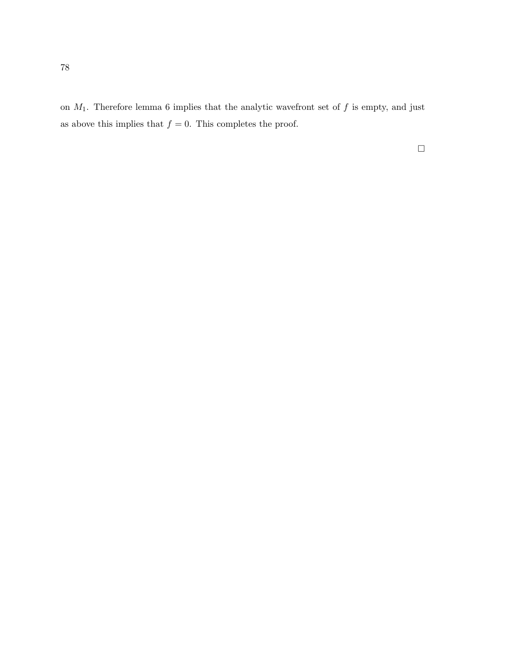on  $M_1$ . Therefore lemma 6 implies that the analytic wavefront set of  $f$  is empty, and just as above this implies that  $f = 0$ . This completes the proof.

 $\Box$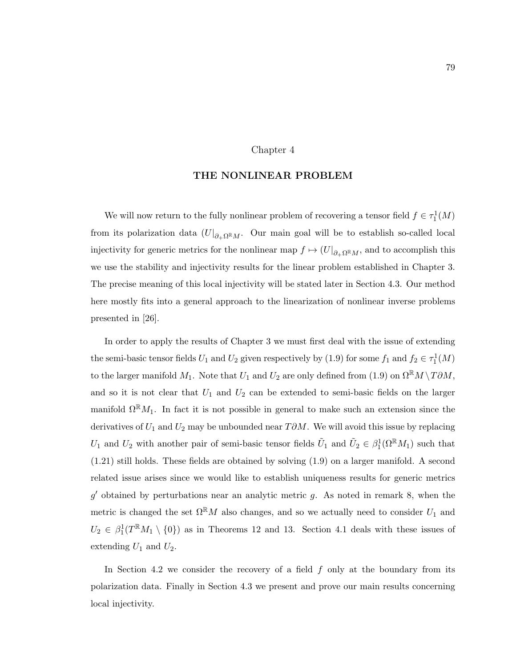#### Chapter 4

# THE NONLINEAR PROBLEM

We will now return to the fully nonlinear problem of recovering a tensor field  $f \in \tau_1^1(M)$ from its polarization data  $(U|_{\partial_{+}\Omega^{R}M}$ . Our main goal will be to establish so-called local injectivity for generic metrics for the nonlinear map  $f \mapsto (U|_{\partial_{+}\Omega^{R}M})$ , and to accomplish this we use the stability and injectivity results for the linear problem established in Chapter 3. The precise meaning of this local injectivity will be stated later in Section 4.3. Our method here mostly fits into a general approach to the linearization of nonlinear inverse problems presented in [26].

In order to apply the results of Chapter 3 we must first deal with the issue of extending the semi-basic tensor fields  $U_1$  and  $U_2$  given respectively by (1.9) for some  $f_1$  and  $f_2 \in \tau_1^1(M)$ to the larger manifold  $M_1$ . Note that  $U_1$  and  $U_2$  are only defined from (1.9) on  $\Omega^{\mathbb{R}}M \setminus T\partial M$ , and so it is not clear that  $U_1$  and  $U_2$  can be extended to semi-basic fields on the larger manifold  $\Omega^{\mathbb{R}}M_1$ . In fact it is not possible in general to make such an extension since the derivatives of  $U_1$  and  $U_2$  may be unbounded near  $T\partial M$ . We will avoid this issue by replacing  $U_1$  and  $U_2$  with another pair of semi-basic tensor fields  $\tilde{U}_1$  and  $\tilde{U}_2 \in \beta_1^1(\Omega^{\mathbb{R}}M_1)$  such that (1.21) still holds. These fields are obtained by solving (1.9) on a larger manifold. A second related issue arises since we would like to establish uniqueness results for generic metrics  $g'$  obtained by perturbations near an analytic metric  $g$ . As noted in remark 8, when the metric is changed the set  $\Omega^{\mathbb{R}}M$  also changes, and so we actually need to consider  $U_1$  and  $U_2 \in \beta_1^1(T^{\mathbb{R}}M_1 \setminus \{0\})$  as in Theorems 12 and 13. Section 4.1 deals with these issues of extending  $U_1$  and  $U_2$ .

In Section 4.2 we consider the recovery of a field  $f$  only at the boundary from its polarization data. Finally in Section 4.3 we present and prove our main results concerning local injectivity.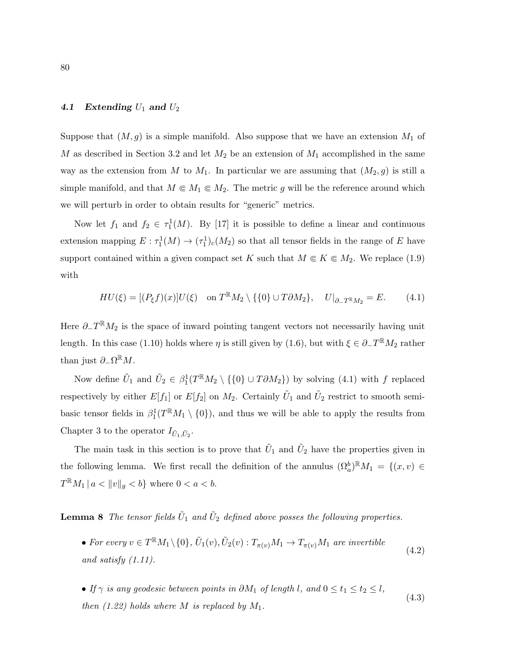#### 4.1 Extending  $U_1$  and  $U_2$

Suppose that  $(M, g)$  is a simple manifold. Also suppose that we have an extension  $M_1$  of M as described in Section 3.2 and let  $M_2$  be an extension of  $M_1$  accomplished in the same way as the extension from M to  $M_1$ . In particular we are assuming that  $(M_2, g)$  is still a simple manifold, and that  $M \in M_1 \in M_2$ . The metric g will be the reference around which we will perturb in order to obtain results for "generic" metrics.

Now let  $f_1$  and  $f_2 \in \tau_1^1(M)$ . By [17] it is possible to define a linear and continuous extension mapping  $E: \tau_1^1(M) \to (\tau_1^1)_c(M_2)$  so that all tensor fields in the range of E have support contained within a given compact set K such that  $M \in K \in M_2$ . We replace (1.9) with

$$
HU(\xi) = [(P_{\xi}f)(x)]U(\xi) \quad \text{on } T^{\mathbb{R}}M_2 \setminus \{\{0\} \cup T\partial M_2\}, \quad U|_{\partial_-T^{\mathbb{R}}M_2} = E. \tag{4.1}
$$

Here  $\partial_{-}T^{\mathbb{R}}M_2$  is the space of inward pointing tangent vectors not necessarily having unit length. In this case (1.10) holds where  $\eta$  is still given by (1.6), but with  $\xi \in \partial_- T^{\mathbb{R}} M_2$  rather than just  $\partial_{-}\Omega^{\mathbb{R}}M$ .

Now define  $\tilde{U}_1$  and  $\tilde{U}_2 \in \beta_1^1(T^{\mathbb{R}}M_2 \setminus {\{0\} \cup T\partial M_2\}})$  by solving (4.1) with f replaced respectively by either  $E[f_1]$  or  $E[f_2]$  on  $M_2$ . Certainly  $\tilde{U}_1$  and  $\tilde{U}_2$  restrict to smooth semibasic tensor fields in  $\beta_1^1(T^{\mathbb{R}}M_1 \setminus \{0\})$ , and thus we will be able to apply the results from Chapter 3 to the operator  $I_{\tilde{U}_1,\tilde{U}_2}$ .

The main task in this section is to prove that  $\tilde{U}_1$  and  $\tilde{U}_2$  have the properties given in the following lemma. We first recall the definition of the annulus  $(\Omega_a^b)^{\mathbb{R}}M_1 = \{(x,v) \in$  $T^{\mathbb{R}}M_1 | a < ||v||_g < b$  where  $0 < a < b$ .

**Lemma 8** The tensor fields  $\tilde{U}_1$  and  $\tilde{U}_2$  defined above posses the following properties.

- For every  $v \in T^{\mathbb{R}}M_1 \setminus \{0\}$ ,  $\tilde{U}_1(v)$ ,  $\tilde{U}_2(v)$  :  $T_{\pi(v)}M_1 \to T_{\pi(v)}M_1$  are invertible and satisfy (1.11). (4.2)
- If  $\gamma$  is any geodesic between points in  $\partial M_1$  of length l, and  $0 \le t_1 \le t_2 \le l$ , then  $(1.22)$  holds where M is replaced by  $M_1$ . (4.3)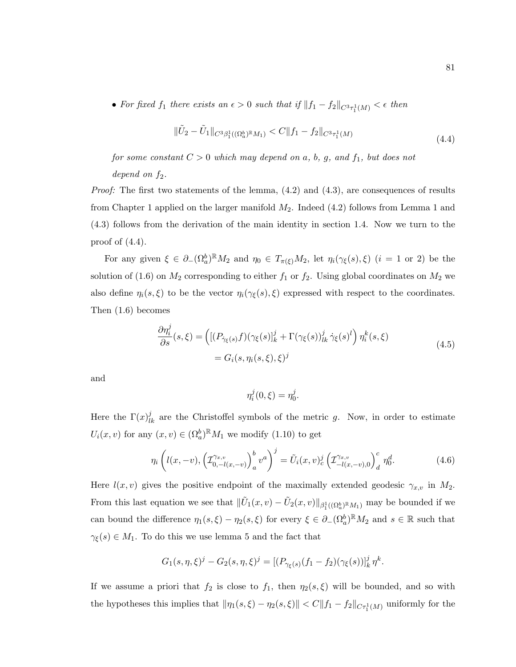• For fixed  $f_1$  there exists an  $\epsilon > 0$  such that if  $||f_1 - f_2||_{C^3 \tau_1^1(M)} < \epsilon$  then

$$
\|\tilde{U}_2 - \tilde{U}_1\|_{C^3\beta_1^1((\Omega_a^b)\mathbb{R}M_1)} < C\|f_1 - f_2\|_{C^3\tau_1^1(M)}\tag{4.4}
$$

for some constant  $C > 0$  which may depend on a, b, g, and  $f_1$ , but does not

## depend on  $f_2$ .

*Proof:* The first two statements of the lemma,  $(4.2)$  and  $(4.3)$ , are consequences of results from Chapter 1 applied on the larger manifold  $M_2$ . Indeed  $(4.2)$  follows from Lemma 1 and (4.3) follows from the derivation of the main identity in section 1.4. Now we turn to the proof of  $(4.4)$ .

For any given  $\xi \in \partial_-(\Omega_a^b)^{\mathbb{R}}M_2$  and  $\eta_0 \in T_{\pi(\xi)}M_2$ , let  $\eta_i(\gamma_{\xi}(s), \xi)$   $(i = 1 \text{ or } 2)$  be the solution of (1.6) on  $M_2$  corresponding to either  $f_1$  or  $f_2$ . Using global coordinates on  $M_2$  we also define  $\eta_i(s,\xi)$  to be the vector  $\eta_i(\gamma_{\xi}(s),\xi)$  expressed with respect to the coordinates. Then (1.6) becomes

$$
\frac{\partial \eta_i^j}{\partial s}(s,\xi) = \left( \left[ (P_{\dot{\gamma}_{\xi}(s)} f)(\gamma_{\xi}(s))_{k}^j + \Gamma(\gamma_{\xi}(s))_{lk}^j \dot{\gamma}_{\xi}(s)^l \right) \eta_i^k(s,\xi) \right. \\
= G_i(s, \eta_i(s,\xi), \xi)^j
$$
\n(4.5)

and

$$
\eta_i^j(0,\xi) = \eta_0^j
$$

Here the  $\Gamma(x)_{lk}^j$  are the Christoffel symbols of the metric g. Now, in order to estimate  $U_i(x, v)$  for any  $(x, v) \in (\Omega_a^b)^{\mathbb{R}} M_1$  we modify  $(1.10)$  to get

$$
\eta_i \left( l(x, -v), \left( \mathcal{I}_{0, -l(x, -v)}^{\gamma_{x, v}} \right)_a^b v^a \right)^j = \tilde{U}_i(x, v)_c^j \left( \mathcal{I}_{-l(x, -v), 0}^{\gamma_{x, v}} \right)_d^c \eta_0^d. \tag{4.6}
$$

.

Here  $l(x, v)$  gives the positive endpoint of the maximally extended geodesic  $\gamma_{x,v}$  in  $M_2$ . From this last equation we see that  $\|\tilde{U}_1(x,v) - \tilde{U}_2(x,v)\|_{\beta_1^1((\Omega_a^b)^{\mathbb{R}}M_1)}$  may be bounded if we can bound the difference  $\eta_1(s,\xi) - \eta_2(s,\xi)$  for every  $\xi \in \partial_-(\Omega_a^b)^\mathbb{R} M_2$  and  $s \in \mathbb{R}$  such that  $\gamma_{\xi}(s) \in M_1$ . To do this we use lemma 5 and the fact that

$$
G_1(s, \eta, \xi)^j - G_2(s, \eta, \xi)^j = [(P_{\gamma_{\xi}(s)}(f_1 - f_2)(\gamma_{\xi}(s))]_k^j \eta^k.
$$

If we assume a priori that  $f_2$  is close to  $f_1$ , then  $\eta_2(s,\xi)$  will be bounded, and so with the hypotheses this implies that  $\|\eta_1(s,\xi) - \eta_2(s,\xi)\| < C \|f_1 - f_2\|_{C\tau_1^1(M)}$  uniformly for the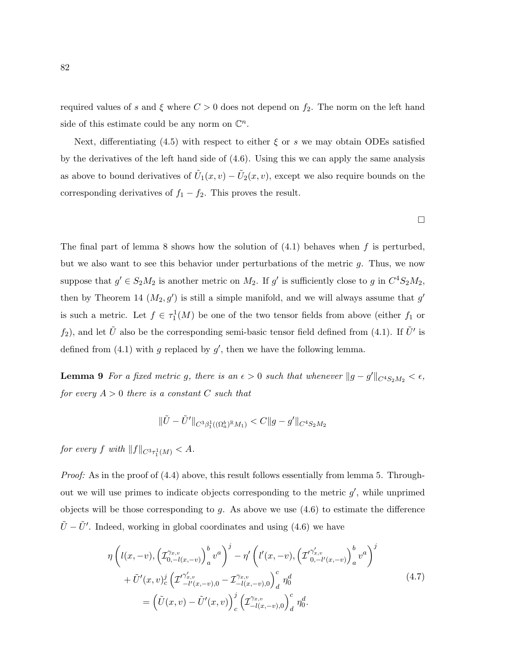required values of s and  $\xi$  where  $C > 0$  does not depend on  $f_2$ . The norm on the left hand side of this estimate could be any norm on  $\mathbb{C}^n$ .

Next, differentiating (4.5) with respect to either  $\xi$  or s we may obtain ODEs satisfied by the derivatives of the left hand side of (4.6). Using this we can apply the same analysis as above to bound derivatives of  $\tilde{U}_1(x,v) - \tilde{U}_2(x,v)$ , except we also require bounds on the corresponding derivatives of  $f_1 - f_2$ . This proves the result.

The final part of lemma 8 shows how the solution of  $(4.1)$  behaves when f is perturbed, but we also want to see this behavior under perturbations of the metric  $g$ . Thus, we now suppose that  $g' \in S_2M_2$  is another metric on  $M_2$ . If  $g'$  is sufficiently close to g in  $C^4S_2M_2$ , then by Theorem 14  $(M_2, g')$  is still a simple manifold, and we will always assume that  $g'$ is such a metric. Let  $f \in \tau_1^1(M)$  be one of the two tensor fields from above (either  $f_1$  or  $f_2$ ), and let  $\tilde{U}$  also be the corresponding semi-basic tensor field defined from (4.1). If  $\tilde{U}'$  is defined from  $(4.1)$  with g replaced by  $g'$ , then we have the following lemma.

**Lemma 9** For a fixed metric g, there is an  $\epsilon > 0$  such that whenever  $||g - g'||_{C^4S_2M_2} < \epsilon$ , for every  $A > 0$  there is a constant C such that

$$
\|\tilde{U}-\tilde{U}'\|_{C^3\beta_1^1((\Omega_a^b)^{\mathbb{R}}M_1)} < C\|g-g'\|_{C^4S_2M_2}
$$

for every f with  $||f||_{C^3\tau_1^1(M)} < A$ .

Proof: As in the proof of  $(4.4)$  above, this result follows essentially from lemma 5. Throughout we will use primes to indicate objects corresponding to the metric  $g'$ , while unprimed objects will be those corresponding to  $g$ . As above we use  $(4.6)$  to estimate the difference  $\tilde{U} - \tilde{U}'$ . Indeed, working in global coordinates and using (4.6) we have

$$
\eta \left( l(x, -v), \left( \mathcal{I}_{0, -l(x, -v)}^{\gamma_{x, v}} \right)_a^b v^a \right)^j - \eta' \left( l'(x, -v), \left( \mathcal{I}_{0, -l'(x, -v)}^{\gamma'_{x, v}} \right)_a^b v^a \right)^j \n+ \tilde{U}'(x, v)_c^j \left( \mathcal{I}_{-l'(x, -v), 0}^{\gamma'_{x, v}} - \mathcal{I}_{-l(x, -v), 0}^{\gamma_{x, v}} \right)_d^c \eta_0^d \n= \left( \tilde{U}(x, v) - \tilde{U}'(x, v) \right)_c^j \left( \mathcal{I}_{-l(x, -v), 0}^{\gamma_{x, v}} \right)_d^c \eta_0^d.
$$
\n(4.7)

 $\Box$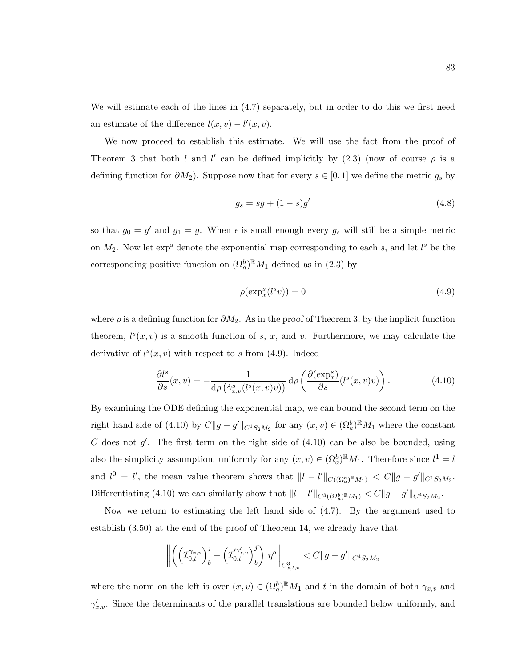We will estimate each of the lines in  $(4.7)$  separately, but in order to do this we first need an estimate of the difference  $l(x, v) - l'(x, v)$ .

We now proceed to establish this estimate. We will use the fact from the proof of Theorem 3 that both l and l' can be defined implicitly by  $(2.3)$  (now of course  $\rho$  is a defining function for  $\partial M_2$ ). Suppose now that for every  $s \in [0,1]$  we define the metric  $g_s$  by

$$
g_s = sg + (1 - s)g'
$$
\n
$$
(4.8)
$$

so that  $g_0 = g'$  and  $g_1 = g$ . When  $\epsilon$  is small enough every  $g_s$  will still be a simple metric on  $M_2$ . Now let  $\exp^s$  denote the exponential map corresponding to each s, and let  $l^s$  be the corresponding positive function on  $(\Omega_a^b)^{\mathbb{R}}M_1$  defined as in (2.3) by

$$
\rho(\exp_x^s(l^s v)) = 0\tag{4.9}
$$

where  $\rho$  is a defining function for  $\partial M_2$ . As in the proof of Theorem 3, by the implicit function theorem,  $l^s(x, v)$  is a smooth function of s, x, and v. Furthermore, we may calculate the derivative of  $l^s(x, v)$  with respect to s from (4.9). Indeed

$$
\frac{\partial l^s}{\partial s}(x,v) = -\frac{1}{\mathrm{d}\rho\left(\dot{\gamma}_{x,v}^s(l^s(x,v)v)\right)}\,\mathrm{d}\rho\left(\frac{\partial(\exp_x^s)}{\partial s}(l^s(x,v)v)\right). \tag{4.10}
$$

By examining the ODE defining the exponential map, we can bound the second term on the right hand side of (4.10) by  $C||g - g'||_{C^1S_2M_2}$  for any  $(x, v) \in (\Omega_a^b) \mathbb{R}M_1$  where the constant C does not  $g'$ . The first term on the right side of  $(4.10)$  can be also be bounded, using also the simplicity assumption, uniformly for any  $(x, v) \in (\Omega_a^b)^{\mathbb{R}} M_1$ . Therefore since  $l^1 = l$ and  $l^0 = l'$ , the mean value theorem shows that  $||l - l'||_{C((\Omega_a^b)\mathbb{R}_{M_1})} < C||g - g'||_{C^1S_2M_2}$ . Differentiating (4.10) we can similarly show that  $||l - l'||_{C^{3}((\Omega_a^b)^{\mathbb{R}}M_1)} < C||g - g'||_{C^{4}S_2M_2}$ .

Now we return to estimating the left hand side of (4.7). By the argument used to establish (3.50) at the end of the proof of Theorem 14, we already have that

$$
\left\| \left( \left( \mathcal{I}_{0,t}^{\gamma_{x,v}} \right)_{b}^{j} - \left( \mathcal{I}_{0,t}^{\gamma_{x,v}^{\prime}} \right)_{b}^{j} \right) \eta^{b} \right\|_{C_{x,t,v}^{3}} < C \|g - g^{\prime}\|_{C^{4}S_{2}M_{2}}
$$

where the norm on the left is over  $(x, v) \in (\Omega_a^b)^{\mathbb{R}} M_1$  and t in the domain of both  $\gamma_{x,v}$  and  $\gamma'_{x,v}$ . Since the determinants of the parallel translations are bounded below uniformly, and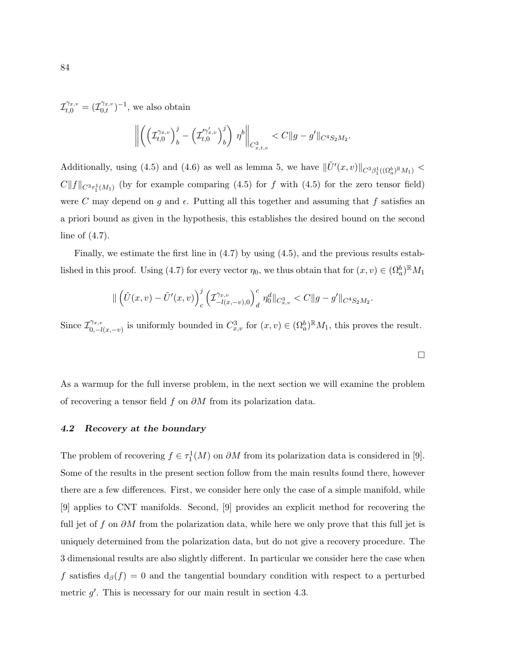$\mathcal{I}_{t,0}^{\gamma_{x,v}} = (\mathcal{I}_{0,t}^{\gamma_{x,v}})^{-1}$ , we also obtain

$$
\left\| \left( \left( \mathcal{I}_{t,0}^{\gamma_{x,v}} \right)_{b}^{j} - \left( \mathcal{I}_{t,0}^{\gamma_{x,v}'} \right)_{b}^{j} \right) \eta^{b} \right\|_{C_{x,t,v}^{3}} < C \|g - g'\|_{C^{4}S_{2}M_{2}}.
$$

Additionally, using (4.5) and (4.6) as well as lemma 5, we have  $\|\tilde{U}'(x,v)\|_{C^3\beta_1^1((\Omega_a^b)\mathbb{R}M_1)}$  <  $C||f||_{C^{3}\tau_{1}^{1}(M_{1})}$  (by for example comparing (4.5) for f with (4.5) for the zero tensor field) were C may depend on g and  $\epsilon$ . Putting all this together and assuming that f satisfies an a priori bound as given in the hypothesis, this establishes the desired bound on the second line of (4.7).

Finally, we estimate the first line in (4.7) by using (4.5), and the previous results established in this proof. Using (4.7) for every vector  $\eta_0$ , we thus obtain that for  $(x, v) \in (\Omega_a^b)^{\mathbb{R}}M_1$ 

$$
\|\left(\tilde{U}(x,v)-\tilde{U}'(x,v)\right)_{c}^{j}\left(\mathcal{I}_{-l(x,-v),0}^{\gamma_{x,v}}\right)_{d}^{c}\eta_{0}^{d}\|_{C_{x,v}^{3}} < C\|g-g'\|_{C^{4}S_{2}M_{2}}.
$$

Since  $\mathcal{I}_{0}^{\gamma_{x,v}}$  $C_{0,-l(x,-v)}^{x,v}$  is uniformly bounded in  $C_{x,v}^3$  for  $(x,v) \in (\Omega_a^b)^{\mathbb{R}}M_1$ , this proves the result.

As a warmup for the full inverse problem, in the next section we will examine the problem of recovering a tensor field f on  $\partial M$  from its polarization data.

### 4.2 Recovery at the boundary

The problem of recovering  $f \in \tau_1^1(M)$  on  $\partial M$  from its polarization data is considered in [9]. Some of the results in the present section follow from the main results found there, however there are a few differences. First, we consider here only the case of a simple manifold, while [9] applies to CNT manifolds. Second, [9] provides an explicit method for recovering the full jet of f on  $\partial M$  from the polarization data, while here we only prove that this full jet is uniquely determined from the polarization data, but do not give a recovery procedure. The 3 dimensional results are also slightly different. In particular we consider here the case when f satisfies  $d_{\beta}(f) = 0$  and the tangential boundary condition with respect to a perturbed metric  $g'$ . This is necessary for our main result in section 4.3.

 $\Box$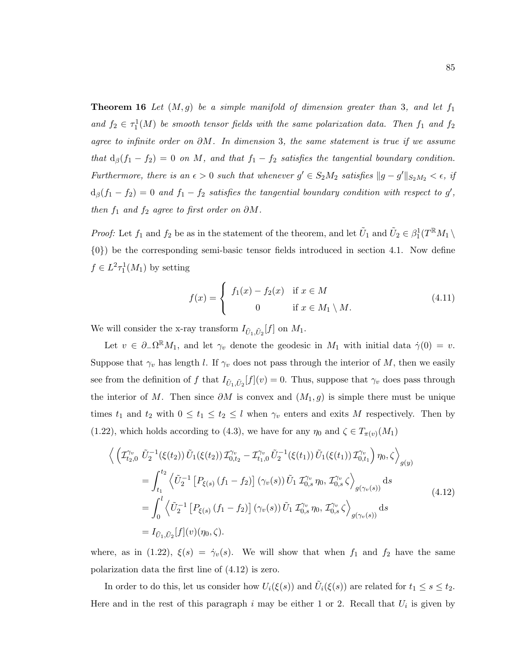**Theorem 16** Let  $(M, g)$  be a simple manifold of dimension greater than 3, and let  $f_1$ and  $f_2 \in \tau_1^1(M)$  be smooth tensor fields with the same polarization data. Then  $f_1$  and  $f_2$ agree to infinite order on  $\partial M$ . In dimension 3, the same statement is true if we assume that  $d_{\beta}(f_1 - f_2) = 0$  on M, and that  $f_1 - f_2$  satisfies the tangential boundary condition. Furthermore, there is an  $\epsilon > 0$  such that whenever  $g' \in S_2M_2$  satisfies  $||g - g'||_{S_2M_2} < \epsilon$ , if  $d_{\beta}(f_1-f_2)=0$  and  $f_1-f_2$  satisfies the tangential boundary condition with respect to g', then  $f_1$  and  $f_2$  agree to first order on  $\partial M$ .

*Proof:* Let  $f_1$  and  $f_2$  be as in the statement of the theorem, and let  $\tilde{U}_1$  and  $\tilde{U}_2 \in \beta_1^1(T^{\mathbb{R}}M_1 \setminus$ {0}) be the corresponding semi-basic tensor fields introduced in section 4.1. Now define  $f \in L^2 \tau_1^1(M_1)$  by setting

$$
f(x) = \begin{cases} f_1(x) - f_2(x) & \text{if } x \in M \\ 0 & \text{if } x \in M_1 \setminus M. \end{cases}
$$
 (4.11)

We will consider the x-ray transform  $I_{\tilde{U}_1,\tilde{U}_2}[f]$  on  $M_1$ .

Let  $v \in \partial_{-}\Omega^{\mathbb{R}}M_1$ , and let  $\gamma_v$  denote the geodesic in  $M_1$  with initial data  $\dot{\gamma}(0) = v$ . Suppose that  $\gamma_v$  has length l. If  $\gamma_v$  does not pass through the interior of M, then we easily see from the definition of f that  $I_{\tilde{U}_1,\tilde{U}_2}[f](v) = 0$ . Thus, suppose that  $\gamma_v$  does pass through the interior of M. Then since  $\partial M$  is convex and  $(M_1, g)$  is simple there must be unique times  $t_1$  and  $t_2$  with  $0 \le t_1 \le t_2 \le l$  when  $\gamma_v$  enters and exits M respectively. Then by (1.22), which holds according to (4.3), we have for any  $\eta_0$  and  $\zeta \in T_{\pi(v)}(M_1)$ 

$$
\left\langle \left( \mathcal{I}_{t_{2},0}^{\gamma_{v}} \tilde{U}_{2}^{-1}(\xi(t_{2})) \tilde{U}_{1}(\xi(t_{2})) \mathcal{I}_{0,t_{2}}^{\gamma_{v}} - \mathcal{I}_{t_{1},0}^{\gamma_{v}} \tilde{U}_{2}^{-1}(\xi(t_{1})) \tilde{U}_{1}(\xi(t_{1})) \mathcal{I}_{0,t_{1}}^{\gamma_{v}} \right) \eta_{0}, \zeta \right\rangle_{g(y)} \n= \int_{t_{1}}^{t_{2}} \left\langle \tilde{U}_{2}^{-1} \left[ P_{\xi(s)} \left( f_{1} - f_{2} \right) \right] \left( \gamma_{v}(s) \right) \tilde{U}_{1} \mathcal{I}_{0,s}^{\gamma_{v}} \eta_{0}, \mathcal{I}_{0,s}^{\gamma_{v}} \zeta \right\rangle_{g(\gamma_{v}(s))} ds \n= \int_{0}^{l} \left\langle \tilde{U}_{2}^{-1} \left[ P_{\xi(s)} \left( f_{1} - f_{2} \right) \right] \left( \gamma_{v}(s) \right) \tilde{U}_{1} \mathcal{I}_{0,s}^{\gamma_{v}} \eta_{0}, \mathcal{I}_{0,s}^{\gamma_{v}} \zeta \right\rangle_{g(\gamma_{v}(s))} ds \n= I_{\tilde{U}_{1}, \tilde{U}_{2}}[f](v)(\eta_{0}, \zeta).
$$
\n(A.12)

where, as in (1.22),  $\xi(s) = \dot{\gamma}_v(s)$ . We will show that when  $f_1$  and  $f_2$  have the same polarization data the first line of (4.12) is zero.

In order to do this, let us consider how  $U_i(\xi(s))$  and  $\tilde{U}_i(\xi(s))$  are related for  $t_1 \leq s \leq t_2$ . Here and in the rest of this paragraph i may be either 1 or 2. Recall that  $U_i$  is given by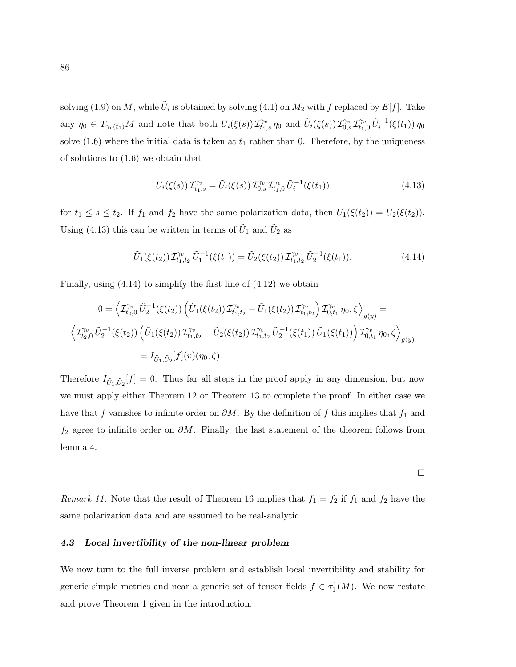solving (1.9) on M, while  $\tilde{U}_i$  is obtained by solving (4.1) on  $M_2$  with f replaced by  $E[f]$ . Take any  $\eta_0 \in T_{\gamma_v(t_1)}M$  and note that both  $U_i(\xi(s)) T_{t_1,s}^{\gamma_v} \eta_0$  and  $\tilde{U}_i(\xi(s)) T_{0,s}^{\gamma_v} T_{t_1,0}^{\gamma_v} \tilde{U}_i^{-1}(\xi(t_1)) \eta_0$ solve  $(1.6)$  where the initial data is taken at  $t_1$  rather than 0. Therefore, by the uniqueness of solutions to (1.6) we obtain that

$$
U_i(\xi(s))\mathcal{I}_{t_1,s}^{\gamma_v} = \tilde{U}_i(\xi(s))\mathcal{I}_{0,s}^{\gamma_v}\mathcal{I}_{t_1,0}^{\gamma_v}\tilde{U}_i^{-1}(\xi(t_1))\tag{4.13}
$$

for  $t_1 \leq s \leq t_2$ . If  $f_1$  and  $f_2$  have the same polarization data, then  $U_1(\xi(t_2)) = U_2(\xi(t_2))$ . Using (4.13) this can be written in terms of  $\tilde{U}_1$  and  $\tilde{U}_2$  as

$$
\tilde{U}_1(\xi(t_2)) \mathcal{I}_{t_1,t_2}^{\gamma_v} \tilde{U}_1^{-1}(\xi(t_1)) = \tilde{U}_2(\xi(t_2)) \mathcal{I}_{t_1,t_2}^{\gamma_v} \tilde{U}_2^{-1}(\xi(t_1)). \tag{4.14}
$$

Finally, using (4.14) to simplify the first line of (4.12) we obtain

$$
0 = \left\langle \mathcal{I}_{t_2,0}^{\gamma_v} \tilde{U}_2^{-1}(\xi(t_2)) \left( \tilde{U}_1(\xi(t_2)) \mathcal{I}_{t_1,t_2}^{\gamma_v} - \tilde{U}_1(\xi(t_2)) \mathcal{I}_{t_1,t_2}^{\gamma_v} \right) \mathcal{I}_{0,t_1}^{\gamma_v} \eta_0, \zeta \right\rangle_{g(y)} =
$$
  

$$
\left\langle \mathcal{I}_{t_2,0}^{\gamma_v} \tilde{U}_2^{-1}(\xi(t_2)) \left( \tilde{U}_1(\xi(t_2)) \mathcal{I}_{t_1,t_2}^{\gamma_v} - \tilde{U}_2(\xi(t_2)) \mathcal{I}_{t_1,t_2}^{\gamma_v} \tilde{U}_2^{-1}(\xi(t_1)) \tilde{U}_1(\xi(t_1)) \right) \mathcal{I}_{0,t_1}^{\gamma_v} \eta_0, \zeta \right\rangle_{g(y)}
$$
  

$$
= I_{\tilde{U}_1,\tilde{U}_2}[f](v)(\eta_0,\zeta).
$$

Therefore  $I_{\tilde{U}_1,\tilde{U}_2}[f] = 0$ . Thus far all steps in the proof apply in any dimension, but now we must apply either Theorem 12 or Theorem 13 to complete the proof. In either case we have that f vanishes to infinite order on  $\partial M$ . By the definition of f this implies that  $f_1$  and  $f_2$  agree to infinite order on  $\partial M$ . Finally, the last statement of the theorem follows from lemma 4.

 $\Box$ 

Remark 11: Note that the result of Theorem 16 implies that  $f_1 = f_2$  if  $f_1$  and  $f_2$  have the same polarization data and are assumed to be real-analytic.

### 4.3 Local invertibility of the non-linear problem

We now turn to the full inverse problem and establish local invertibility and stability for generic simple metrics and near a generic set of tensor fields  $f \in \tau_1^1(M)$ . We now restate and prove Theorem 1 given in the introduction.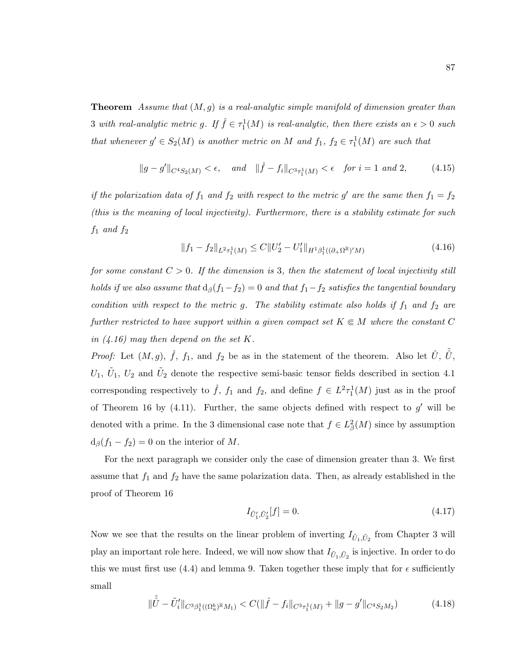**Theorem** Assume that  $(M, g)$  is a real-analytic simple manifold of dimension greater than 3 with real-analytic metric g. If  $\hat{f} \in \tau_1^1(M)$  is real-analytic, then there exists an  $\epsilon > 0$  such that whenever  $g' \in S_2(M)$  is another metric on M and  $f_1, f_2 \in \tau_1^1(M)$  are such that

$$
||g - g'||_{C^{4}S_{2}(M)} < \epsilon, \quad and \quad ||\hat{f} - f_{i}||_{C^{3}\tau_{1}^{1}(M)} < \epsilon \quad \text{for } i = 1 \text{ and } 2, \tag{4.15}
$$

if the polarization data of  $f_1$  and  $f_2$  with respect to the metric g' are the same then  $f_1 = f_2$ (this is the meaning of local injectivity). Furthermore, there is a stability estimate for such  $f_1$  and  $f_2$ 

$$
||f_1 - f_2||_{L^2 \tau_1^1(M)} \le C||U'_2 - U'_1||_{H^1 \beta_1^1((\partial_+ \Omega^{\mathbb{R}})'M)} \tag{4.16}
$$

for some constant  $C > 0$ . If the dimension is 3, then the statement of local injectivity still holds if we also assume that  $d_{\beta}(f_1-f_2) = 0$  and that  $f_1-f_2$  satisfies the tangential boundary condition with respect to the metric g. The stability estimate also holds if  $f_1$  and  $f_2$  are further restricted to have support within a given compact set  $K \subseteq M$  where the constant C in  $(4.16)$  may then depend on the set K.

*Proof:* Let  $(M, g)$ ,  $\hat{f}$ ,  $f_1$ , and  $f_2$  be as in the statement of the theorem. Also let  $\hat{U}$ ,  $\tilde{\hat{U}}$ ,  $U_1, \tilde{U}_1, U_2$  and  $\tilde{U}_2$  denote the respective semi-basic tensor fields described in section 4.1 corresponding respectively to  $\hat{f}$ ,  $f_1$  and  $f_2$ , and define  $f \in L^2 \tau_1^1(M)$  just as in the proof of Theorem 16 by  $(4.11)$ . Further, the same objects defined with respect to  $g'$  will be denoted with a prime. In the 3 dimensional case note that  $f \in L^2_{\beta}(M)$  since by assumption  $d_{\beta}(f_1 - f_2) = 0$  on the interior of M.

For the next paragraph we consider only the case of dimension greater than 3. We first assume that  $f_1$  and  $f_2$  have the same polarization data. Then, as already established in the proof of Theorem 16

$$
I_{\tilde{U}'_1, \tilde{U}'_2}[f] = 0. \tag{4.17}
$$

Now we see that the results on the linear problem of inverting  $I_{\tilde{U}_1,\tilde{U}_2}$  from Chapter 3 will play an important role here. Indeed, we will now show that  $I_{\tilde{U}_1,\tilde{U}_2}$  is injective. In order to do this we must first use (4.4) and lemma 9. Taken together these imply that for  $\epsilon$  sufficiently small

$$
\|\tilde{U} - \tilde{U}'_i\|_{C^3\beta_1^1((\Omega_a^b)^{\mathbb{R}}M_1)} < C(\|\hat{f} - f_i\|_{C^3\tau_1^1(M)} + \|g - g'\|_{C^4S_2M_2})\tag{4.18}
$$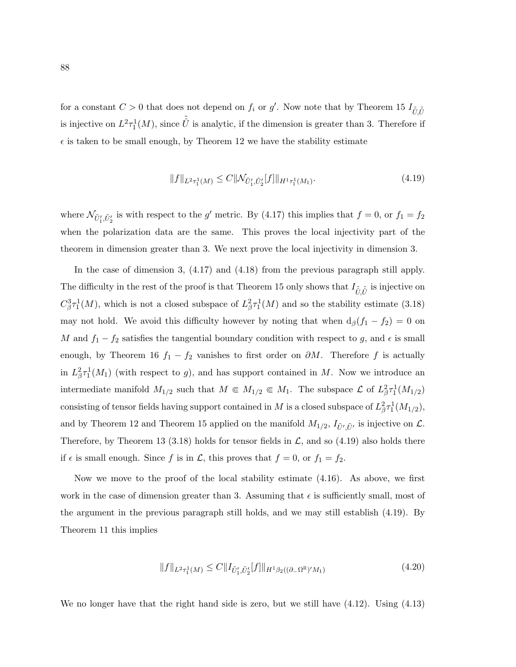for a constant  $C > 0$  that does not depend on  $f_i$  or  $g'$ . Now note that by Theorem 15  $I_{\tilde{U}, \tilde{U}}$ is injective on  $L^2 \tau_1^1(M)$ , since  $\tilde{U}$  is analytic, if the dimension is greater than 3. Therefore if  $\epsilon$  is taken to be small enough, by Theorem 12 we have the stability estimate

$$
||f||_{L^{2}\tau_{1}^{1}(M)} \leq C||\mathcal{N}_{\tilde{U}'_{1},\tilde{U}'_{2}}[f]||_{H^{1}\tau_{1}^{1}(M_{1})}.
$$
\n(4.19)

where  $\mathcal{N}_{\tilde{U}'_1, \tilde{U}'_2}$  is with respect to the g' metric. By (4.17) this implies that  $f = 0$ , or  $f_1 = f_2$ when the polarization data are the same. This proves the local injectivity part of the theorem in dimension greater than 3. We next prove the local injectivity in dimension 3.

In the case of dimension 3, (4.17) and (4.18) from the previous paragraph still apply. The difficulty in the rest of the proof is that Theorem 15 only shows that  $I_{\tilde{U}, \tilde{\tilde{U}}}$  is injective on  $C_{\beta}^{3} \tau_1^1(M)$ , which is not a closed subspace of  $L_{\beta}^{2} \tau_1^1(M)$  and so the stability estimate (3.18) may not hold. We avoid this difficulty however by noting that when  $d_{\beta}(f_1 - f_2) = 0$  on M and  $f_1 - f_2$  satisfies the tangential boundary condition with respect to g, and  $\epsilon$  is small enough, by Theorem 16  $f_1 - f_2$  vanishes to first order on  $\partial M$ . Therefore f is actually in  $L^2_{\beta} \tau_1^1(M_1)$  (with respect to g), and has support contained in M. Now we introduce an intermediate manifold  $M_{1/2}$  such that  $M \in M_{1/2} \in M_1$ . The subspace  $\mathcal{L}$  of  $L^2_{\beta} \tau_1^1(M_{1/2})$ consisting of tensor fields having support contained in M is a closed subspace of  $L^2_{\beta} \tau_1^1(M_{1/2}),$ and by Theorem 12 and Theorem 15 applied on the manifold  $M_{1/2}$ ,  $I_{\tilde{U}', \tilde{U}'}$  is injective on  $\mathcal{L}$ . Therefore, by Theorem 13 (3.18) holds for tensor fields in  $\mathcal{L}$ , and so (4.19) also holds there if  $\epsilon$  is small enough. Since f is in  $\mathcal{L}$ , this proves that  $f = 0$ , or  $f_1 = f_2$ .

Now we move to the proof of the local stability estimate (4.16). As above, we first work in the case of dimension greater than 3. Assuming that  $\epsilon$  is sufficiently small, most of the argument in the previous paragraph still holds, and we may still establish (4.19). By Theorem 11 this implies

$$
||f||_{L^{2}\tau_{1}^{1}(M)} \leq C||I_{\tilde{U}'_{1},\tilde{U}'_{2}}[f]||_{H^{1}\beta_{2}((\partial_{-}\Omega^{\mathbb{R}})'M_{1})}
$$
\n(4.20)

We no longer have that the right hand side is zero, but we still have  $(4.12)$ . Using  $(4.13)$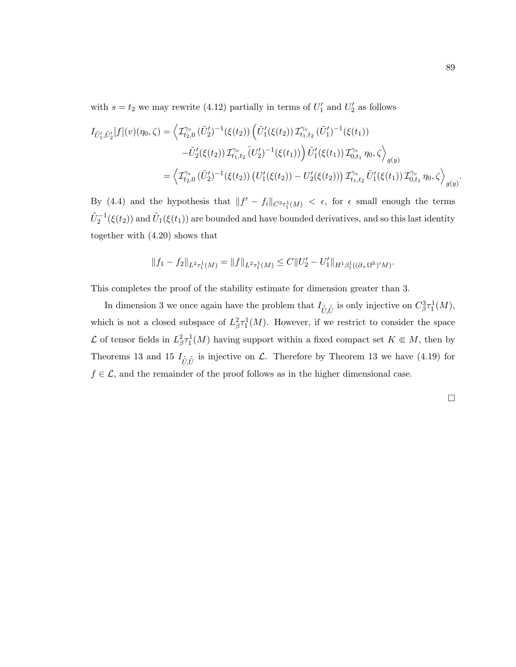with  $s = t_2$  we may rewrite (4.12) partially in terms of  $U'_1$  and  $U'_2$  as follows

$$
I_{\tilde{U}'_1, \tilde{U}'_2}[f](v)(\eta_0, \zeta) = \left\langle \mathcal{I}^{\gamma_v}_{t_2, 0}(\tilde{U}'_2)^{-1}(\xi(t_2)) \left( \tilde{U}'_1(\xi(t_2)) \mathcal{I}^{\gamma_v}_{t_1, t_2}(\tilde{U}'_1)^{-1}(\xi(t_1)) \right. \\ \left. - \tilde{U}'_2(\xi(t_2)) \mathcal{I}^{\gamma_v}_{t_1, t_2}(\tilde{U}'_2)^{-1}(\xi(t_1)) \right) \tilde{U}'_1(\xi(t_1)) \mathcal{I}^{\gamma_v}_{0, t_1} \eta_0, \zeta \right\rangle_{g(y)} = \left\langle \mathcal{I}^{\gamma_v}_{t_2, 0}(\tilde{U}'_2)^{-1}(\xi(t_2)) \left( U'_1(\xi(t_2)) - U'_2(\xi(t_2)) \right) \mathcal{I}^{\gamma_v}_{t_1, t_2}(\tilde{U}'_1(\xi(t_1)) \mathcal{I}^{\gamma_v}_{0, t_1} \eta_0, \zeta \right\rangle_{g(y)}.
$$

By (4.4) and the hypothesis that  $||f' - f_i||_{C^3 \tau_1^1(M)} < \epsilon$ , for  $\epsilon$  small enough the terms  $\tilde{U}_2^{-1}(\xi(t_2))$  and  $\tilde{U}_1(\xi(t_1))$  are bounded and have bounded derivatives, and so this last identity together with (4.20) shows that

$$
||f_1 - f_2||_{L^2 \tau_1^1(M)} = ||f||_{L^2 \tau_1^1(M)} \leq C||U'_2 - U'_1||_{H^1 \beta_1^1((\partial_+ \Omega^{\mathbb{R}})^\prime M)}.
$$

This completes the proof of the stability estimate for dimension greater than 3.

In dimension 3 we once again have the problem that  $I_{\tilde{U}, \tilde{U}}$  is only injective on  $C_{\beta}^3 \tau_1^1(M)$ , which is not a closed subspace of  $L^2_{\beta} \tau_1^1(M)$ . However, if we restrict to consider the space L of tensor fields in  $L^2_{\beta} \tau_1^1(M)$  having support within a fixed compact set  $K \in M$ , then by Theorems 13 and 15  $I_{\tilde{U}, \tilde{U}}$  is injective on  $\mathcal{L}$ . Therefore by Theorem 13 we have (4.19) for  $f \in \mathcal{L}$ , and the remainder of the proof follows as in the higher dimensional case.

 $\Box$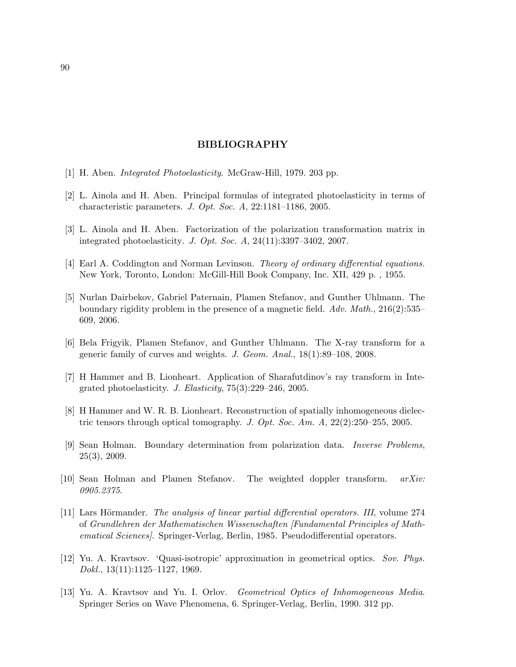## BIBLIOGRAPHY

- [1] H. Aben. Integrated Photoelasticity. McGraw-Hill, 1979. 203 pp.
- [2] L. Ainola and H. Aben. Principal formulas of integrated photoelasticity in terms of characteristic parameters. J. Opt. Soc. A, 22:1181–1186, 2005.
- [3] L. Ainola and H. Aben. Factorization of the polarization transformation matrix in integrated photoelasticity. J. Opt. Soc. A, 24(11):3397–3402, 2007.
- [4] Earl A. Coddington and Norman Levinson. Theory of ordinary differential equations. New York, Toronto, London: McGill-Hill Book Company, Inc. XII, 429 p. , 1955.
- [5] Nurlan Dairbekov, Gabriel Paternain, Plamen Stefanov, and Gunther Uhlmann. The boundary rigidity problem in the presence of a magnetic field. Adv. Math., 216(2):535– 609, 2006.
- [6] Bela Frigyik, Plamen Stefanov, and Gunther Uhlmann. The X-ray transform for a generic family of curves and weights. J. Geom. Anal., 18(1):89–108, 2008.
- [7] H Hammer and B. Lionheart. Application of Sharafutdinov's ray transform in Integrated photoelasticity. J. Elasticity, 75(3):229–246, 2005.
- [8] H Hammer and W. R. B. Lionheart. Reconstruction of spatially inhomogeneous dielectric tensors through optical tomography. J. Opt. Soc. Am.  $A$ , 22(2):250–255, 2005.
- [9] Sean Holman. Boundary determination from polarization data. Inverse Problems, 25(3), 2009.
- [10] Sean Holman and Plamen Stefanov. The weighted doppler transform. arXiv: 0905.2375.
- [11] Lars Hörmander. The analysis of linear partial differential operators. III, volume 274 of Grundlehren der Mathematischen Wissenschaften [Fundamental Principles of Mathematical Sciences]. Springer-Verlag, Berlin, 1985. Pseudodifferential operators.
- [12] Yu. A. Kravtsov. 'Quasi-isotropic' approximation in geometrical optics. Sov. Phys. Dokl., 13(11):1125–1127, 1969.
- [13] Yu. A. Kravtsov and Yu. I. Orlov. Geometrical Optics of Inhomogeneous Media. Springer Series on Wave Phenomena, 6. Springer-Verlag, Berlin, 1990. 312 pp.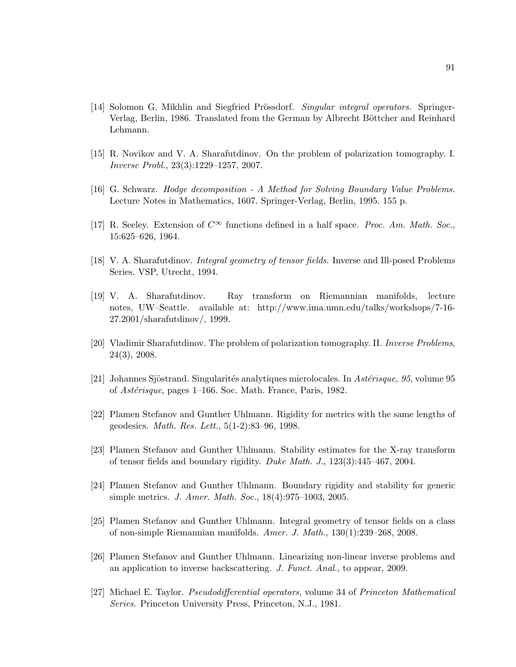- [14] Solomon G. Mikhlin and Siegfried Prössdorf. Singular integral operators. Springer-Verlag, Berlin, 1986. Translated from the German by Albrecht Böttcher and Reinhard Lehmann.
- [15] R. Novikov and V. A. Sharafutdinov. On the problem of polarization tomography. I. Inverse Probl., 23(3):1229–1257, 2007.
- [16] G. Schwarz. Hodge decomposition A Method for Solving Boundary Value Problems. Lecture Notes in Mathematics, 1607. Springer-Verlag, Berlin, 1995. 155 p.
- [17] R. Seeley. Extension of  $C^{\infty}$  functions defined in a half space. *Proc. Am. Math. Soc.*, 15:625–626, 1964.
- [18] V. A. Sharafutdinov. Integral geometry of tensor fields. Inverse and Ill-posed Problems Series. VSP, Utrecht, 1994.
- [19] V. A. Sharafutdinov. Ray transform on Riemannian manifolds, lecture notes, UW–Seattle. available at: http://www.ima.umn.edu/talks/workshops/7-16- 27.2001/sharafutdinov/, 1999.
- [20] Vladimir Sharafutdinov. The problem of polarization tomography. II. Inverse Problems, 24(3), 2008.
- [21] Johannes Sjöstrand. Singularités analytiques microlocales. In Astérisque, 95, volume 95 of Astérisque, pages 1–166. Soc. Math. France, Paris, 1982.
- [22] Plamen Stefanov and Gunther Uhlmann. Rigidity for metrics with the same lengths of geodesics. Math. Res. Lett., 5(1-2):83–96, 1998.
- [23] Plamen Stefanov and Gunther Uhlmann. Stability estimates for the X-ray transform of tensor fields and boundary rigidity. Duke Math. J., 123(3):445–467, 2004.
- [24] Plamen Stefanov and Gunther Uhlmann. Boundary rigidity and stability for generic simple metrics. J. Amer. Math. Soc., 18(4):975–1003, 2005.
- [25] Plamen Stefanov and Gunther Uhlmann. Integral geometry of tensor fields on a class of non-simple Riemannian manifolds. Amer. J. Math., 130(1):239–268, 2008.
- [26] Plamen Stefanov and Gunther Uhlmann. Linearizing non-linear inverse problems and an application to inverse backscattering. J. Funct. Anal., to appear, 2009.
- [27] Michael E. Taylor. Pseudodifferential operators, volume 34 of Princeton Mathematical Series. Princeton University Press, Princeton, N.J., 1981.